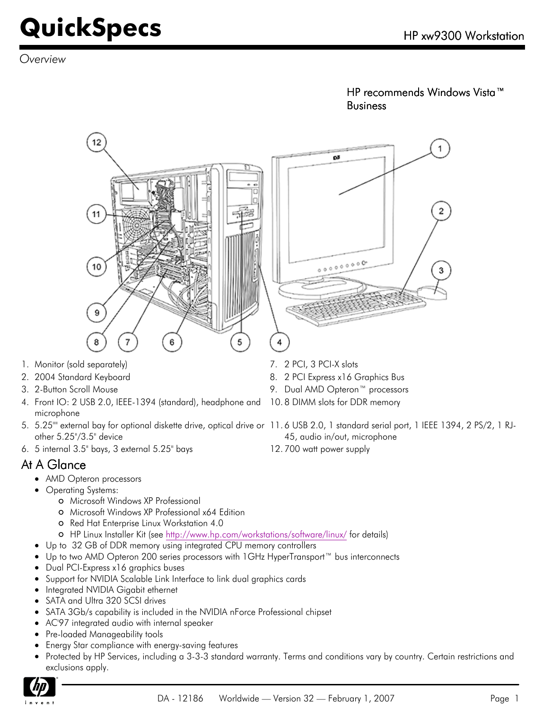*Overview*

HP recommends Windows Vista™ Business



- 1. Monitor (sold separately)  $\overline{7}$ , 2 PCI, 3 PCI-X slots
- 2. 2004 Standard Keyboard **8. 2 PCI Express x16 Graphics Bus** 8. 2 PCI Express x16 Graphics Bus
- 3. 2-Button Scroll Mouse 9. Dual AMD Opteron™ processors
- 4. Front IO: 2 USB 2.0, IEEE-1394 (standard), headphone and 10. 8 DIMM slots for DDR memory microphone
- 5. 5.25"" external bay for optional diskette drive, optical drive or 11. 6 USB 2.0, 1 standard serial port, 1 IEEE 1394, 2 PS/2, 1 RJother 5.25"/3.5" device
- 6. 5 internal 3.5" bays, 3 external 5.25" bays 12. 700 watt power supply

#### At A Glance

- AMD Opteron processors
- Operating Systems:
	- Microsoft Windows XP Professional
	- Microsoft Windows XP Professional x64 Edition
	- o Red Hat Enterprise Linux Workstation 4.0
	- HP Linux Installer Kit (see<http://www.hp.com/workstations/software/linux/> for details)
- Up to 32 GB of DDR memory using integrated CPU memory controllers
- Up to two AMD Opteron 200 series processors with 1GHz HyperTransport™ bus interconnects
- Dual PCI-Express x16 graphics buses
- Support for NVIDIA Scalable Link Interface to link dual graphics cards
- Integrated NVIDIA Gigabit ethernet
- SATA and Ultra 320 SCSI drives
- SATA 3Gb/s capability is included in the NVIDIA nForce Professional chipset
- AC'97 integrated audio with internal speaker
- Pre-loaded Manageability tools
- Energy Star compliance with energy-saving features
- Protected by HP Services, including a 3-3-3 standard warranty. Terms and conditions vary by country. Certain restrictions and exclusions apply.

45, audio in/out, microphone

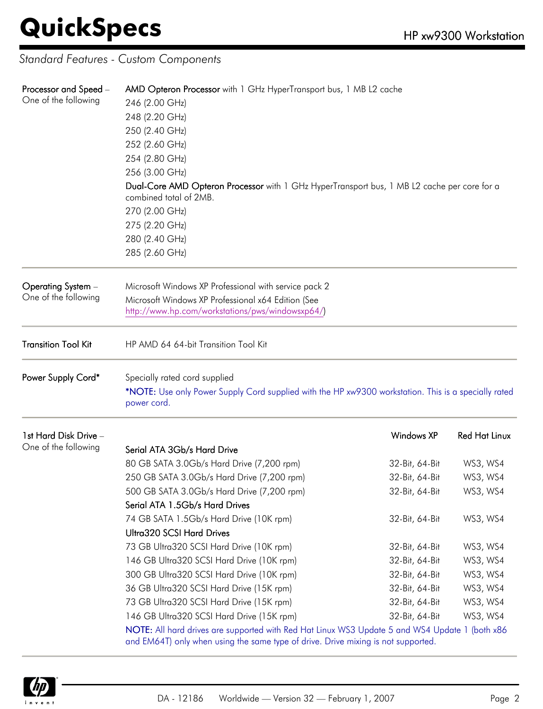*Standard Features - Custom Components*

| Processor and Speed -<br>One of the following | AMD Opteron Processor with 1 GHz HyperTransport bus, 1 MB L2 cache                                                                                                                  |                |                      |  |
|-----------------------------------------------|-------------------------------------------------------------------------------------------------------------------------------------------------------------------------------------|----------------|----------------------|--|
|                                               | 246 (2.00 GHz)                                                                                                                                                                      |                |                      |  |
|                                               | 248 (2.20 GHz)<br>250 (2.40 GHz)                                                                                                                                                    |                |                      |  |
|                                               |                                                                                                                                                                                     |                |                      |  |
|                                               | 252 (2.60 GHz)<br>254 (2.80 GHz)                                                                                                                                                    |                |                      |  |
|                                               |                                                                                                                                                                                     |                |                      |  |
|                                               | 256 (3.00 GHz)                                                                                                                                                                      |                |                      |  |
|                                               | Dual-Core AMD Opteron Processor with 1 GHz HyperTransport bus, 1 MB L2 cache per core for a<br>combined total of 2MB.                                                               |                |                      |  |
|                                               | 270 (2.00 GHz)                                                                                                                                                                      |                |                      |  |
|                                               | 275 (2.20 GHz)                                                                                                                                                                      |                |                      |  |
|                                               | 280 (2.40 GHz)                                                                                                                                                                      |                |                      |  |
|                                               | 285 (2.60 GHz)                                                                                                                                                                      |                |                      |  |
| Operating System -                            | Microsoft Windows XP Professional with service pack 2                                                                                                                               |                |                      |  |
| One of the following                          | Microsoft Windows XP Professional x64 Edition (See                                                                                                                                  |                |                      |  |
|                                               | http://www.hp.com/workstations/pws/windowsxp64/)                                                                                                                                    |                |                      |  |
| <b>Transition Tool Kit</b>                    | HP AMD 64 64-bit Transition Tool Kit                                                                                                                                                |                |                      |  |
| Power Supply Cord*                            | Specially rated cord supplied<br>*NOTE: Use only Power Supply Cord supplied with the HP xw9300 workstation. This is a specially rated                                               |                |                      |  |
|                                               | power cord.                                                                                                                                                                         |                |                      |  |
| 1st Hard Disk Drive -                         |                                                                                                                                                                                     | Windows XP     | <b>Red Hat Linux</b> |  |
| One of the following                          | Serial ATA 3Gb/s Hard Drive                                                                                                                                                         |                |                      |  |
|                                               | 80 GB SATA 3.0Gb/s Hard Drive (7,200 rpm)                                                                                                                                           | 32-Bit, 64-Bit | WS3, WS4             |  |
|                                               | 250 GB SATA 3.0Gb/s Hard Drive (7,200 rpm)                                                                                                                                          | 32-Bit, 64-Bit | WS3, WS4             |  |
|                                               | 500 GB SATA 3.0Gb/s Hard Drive (7,200 rpm)                                                                                                                                          | 32-Bit, 64-Bit | WS3, WS4             |  |
|                                               | Serial ATA 1.5Gb/s Hard Drives                                                                                                                                                      |                |                      |  |
|                                               | 74 GB SATA 1.5Gb/s Hard Drive (10K rpm)                                                                                                                                             | 32-Bit, 64-Bit | WS3, WS4             |  |
|                                               | Ultra320 SCSI Hard Drives                                                                                                                                                           |                |                      |  |
|                                               | 73 GB Ultra320 SCSI Hard Drive (10K rpm)                                                                                                                                            | 32-Bit, 64-Bit | WS3, WS4             |  |
|                                               | 146 GB Ultra320 SCSI Hard Drive (10K rpm)                                                                                                                                           | 32-Bit, 64-Bit | WS3, WS4             |  |
|                                               | 300 GB Ultra320 SCSI Hard Drive (10K rpm)                                                                                                                                           | 32-Bit, 64-Bit | WS3, WS4             |  |
|                                               | 36 GB Ultra320 SCSI Hard Drive (15K rpm)                                                                                                                                            | 32-Bit, 64-Bit | WS3, WS4             |  |
|                                               | 73 GB Ultra320 SCSI Hard Drive (15K rpm)                                                                                                                                            | 32-Bit, 64-Bit | WS3, WS4             |  |
|                                               | 146 GB Ultra320 SCSI Hard Drive (15K rpm)                                                                                                                                           | 32-Bit, 64-Bit | WS3, WS4             |  |
|                                               | NOTE: All hard drives are supported with Red Hat Linux WS3 Update 5 and WS4 Update 1 (both x86<br>and EM64T) only when using the same type of drive. Drive mixing is not supported. |                |                      |  |

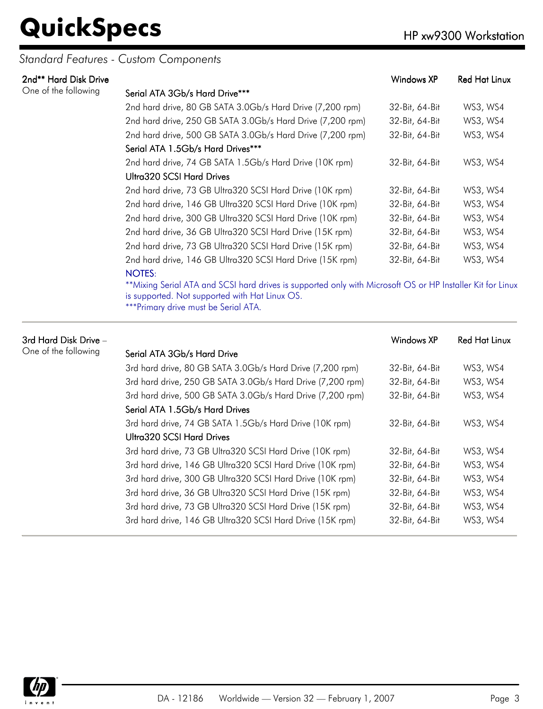#### *Standard Features - Custom Components*

| 2nd** Hard Disk Drive |                                                                                                            | Windows XP     | <b>Red Hat Linux</b> |
|-----------------------|------------------------------------------------------------------------------------------------------------|----------------|----------------------|
| One of the following  | Serial ATA 3Gb/s Hard Drive***                                                                             |                |                      |
|                       | 2nd hard drive, 80 GB SATA 3.0Gb/s Hard Drive (7,200 rpm)                                                  | 32-Bit, 64-Bit | WS3, WS4             |
|                       | 2nd hard drive, 250 GB SATA 3.0Gb/s Hard Drive (7,200 rpm)                                                 | 32-Bit, 64-Bit | WS3, WS4             |
|                       | 2nd hard drive, 500 GB SATA 3.0Gb/s Hard Drive (7,200 rpm)                                                 | 32-Bit, 64-Bit | WS3, WS4             |
|                       | Serial ATA 1.5Gb/s Hard Drives***                                                                          |                |                      |
|                       | 2nd hard drive, 74 GB SATA 1.5Gb/s Hard Drive (10K rpm)                                                    | 32-Bit, 64-Bit | WS3, WS4             |
|                       | Ultra320 SCSI Hard Drives                                                                                  |                |                      |
|                       | 2nd hard drive, 73 GB Ultra320 SCSI Hard Drive (10K rpm)                                                   | 32-Bit, 64-Bit | WS3, WS4             |
|                       | 2nd hard drive, 146 GB Ultra320 SCSI Hard Drive (10K rpm)                                                  | 32-Bit, 64-Bit | WS3, WS4             |
|                       | 2nd hard drive, 300 GB Ultra320 SCSI Hard Drive (10K rpm)                                                  | 32-Bit, 64-Bit | WS3, WS4             |
|                       | 2nd hard drive, 36 GB Ultra320 SCSI Hard Drive (15K rpm)                                                   | 32-Bit, 64-Bit | WS3, WS4             |
|                       | 2nd hard drive, 73 GB Ultra320 SCSI Hard Drive (15K rpm)                                                   | 32-Bit, 64-Bit | WS3, WS4             |
|                       | 2nd hard drive, 146 GB Ultra320 SCSI Hard Drive (15K rpm)                                                  | 32-Bit, 64-Bit | WS3, WS4             |
|                       | <b>NOTES:</b>                                                                                              |                |                      |
|                       | **Mixing Serial ATA and SCSI hard drives is supported only with Microsoft OS or HP Installer Kit for Linux |                |                      |

is supported. Not supported with Hat Linux OS.

\*\*\*Primary drive must be Serial ATA.

| 3rd Hard Disk Drive – |                                                            | Windows XP     | <b>Red Hat Linux</b> |
|-----------------------|------------------------------------------------------------|----------------|----------------------|
| One of the following  | Serial ATA 3Gb/s Hard Drive                                |                |                      |
|                       | 3rd hard drive, 80 GB SATA 3.0Gb/s Hard Drive (7,200 rpm)  | 32-Bit, 64-Bit | WS3, WS4             |
|                       | 3rd hard drive, 250 GB SATA 3.0Gb/s Hard Drive (7,200 rpm) | 32-Bit, 64-Bit | WS3, WS4             |
|                       | 3rd hard drive, 500 GB SATA 3.0Gb/s Hard Drive (7,200 rpm) | 32-Bit, 64-Bit | WS3, WS4             |
|                       | Serial ATA 1.5Gb/s Hard Drives                             |                |                      |
|                       | 3rd hard drive, 74 GB SATA 1.5Gb/s Hard Drive (10K rpm)    | 32-Bit, 64-Bit | WS3, WS4             |
|                       | Ultra320 SCSI Hard Drives                                  |                |                      |
|                       | 3rd hard drive, 73 GB Ultra320 SCSI Hard Drive (10K rpm)   | 32-Bit, 64-Bit | WS3, WS4             |
|                       | 3rd hard drive, 146 GB Ultra320 SCSI Hard Drive (10K rpm)  | 32-Bit, 64-Bit | WS3, WS4             |
|                       | 3rd hard drive, 300 GB Ultra320 SCSI Hard Drive (10K rpm)  | 32-Bit, 64-Bit | WS3, WS4             |
|                       | 3rd hard drive, 36 GB Ultra320 SCSI Hard Drive (15K rpm)   | 32-Bit, 64-Bit | WS3, WS4             |
|                       | 3rd hard drive, 73 GB Ultra320 SCSI Hard Drive (15K rpm)   | 32-Bit, 64-Bit | WS3, WS4             |
|                       | 3rd hard drive, 146 GB Ultra320 SCSI Hard Drive (15K rpm)  | 32-Bit, 64-Bit | WS3, WS4             |

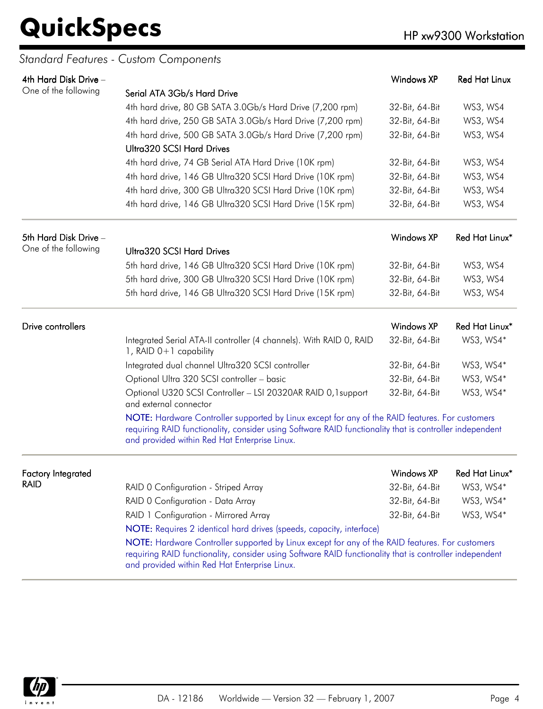#### *Standard Features - Custom Components*

| 4th Hard Disk Drive -     |                                                                                                                                                                                                                                                             | Windows XP        | <b>Red Hat Linux</b> |
|---------------------------|-------------------------------------------------------------------------------------------------------------------------------------------------------------------------------------------------------------------------------------------------------------|-------------------|----------------------|
| One of the following      | Serial ATA 3Gb/s Hard Drive                                                                                                                                                                                                                                 |                   |                      |
|                           | 4th hard drive, 80 GB SATA 3.0Gb/s Hard Drive (7,200 rpm)                                                                                                                                                                                                   | 32-Bit, 64-Bit    | WS3, WS4             |
|                           | 4th hard drive, 250 GB SATA 3.0Gb/s Hard Drive (7,200 rpm)                                                                                                                                                                                                  | 32-Bit, 64-Bit    | WS3, WS4             |
|                           | 4th hard drive, 500 GB SATA 3.0Gb/s Hard Drive (7,200 rpm)                                                                                                                                                                                                  | 32-Bit, 64-Bit    | WS3, WS4             |
|                           | <b>Ultra320 SCSI Hard Drives</b>                                                                                                                                                                                                                            |                   |                      |
|                           | 4th hard drive, 74 GB Serial ATA Hard Drive (10K rpm)                                                                                                                                                                                                       | 32-Bit, 64-Bit    | WS3, WS4             |
|                           | 4th hard drive, 146 GB Ultra320 SCSI Hard Drive (10K rpm)                                                                                                                                                                                                   | 32-Bit, 64-Bit    | WS3, WS4             |
|                           | 4th hard drive, 300 GB Ultra320 SCSI Hard Drive (10K rpm)                                                                                                                                                                                                   | 32-Bit, 64-Bit    | WS3, WS4             |
|                           | 4th hard drive, 146 GB Ultra320 SCSI Hard Drive (15K rpm)                                                                                                                                                                                                   | 32-Bit, 64-Bit    | WS3, WS4             |
| 5th Hard Disk Drive -     |                                                                                                                                                                                                                                                             | <b>Windows XP</b> | Red Hat Linux*       |
| One of the following      | <b>Ultra320 SCSI Hard Drives</b>                                                                                                                                                                                                                            |                   |                      |
|                           | 5th hard drive, 146 GB Ultra320 SCSI Hard Drive (10K rpm)                                                                                                                                                                                                   | 32-Bit, 64-Bit    | WS3, WS4             |
|                           | 5th hard drive, 300 GB Ultra320 SCSI Hard Drive (10K rpm)                                                                                                                                                                                                   | 32-Bit, 64-Bit    | WS3, WS4             |
|                           | 5th hard drive, 146 GB Ultra320 SCSI Hard Drive (15K rpm)                                                                                                                                                                                                   | 32-Bit, 64-Bit    | WS3, WS4             |
| Drive controllers         |                                                                                                                                                                                                                                                             | <b>Windows XP</b> | Red Hat Linux*       |
|                           | Integrated Serial ATA-II controller (4 channels). With RAID 0, RAID<br>1, RAID $0+1$ capability                                                                                                                                                             | 32-Bit, 64-Bit    | WS3, WS4*            |
|                           | Integrated dual channel Ultra320 SCSI controller                                                                                                                                                                                                            | 32-Bit, 64-Bit    | WS3, WS4*            |
|                           | Optional Ultra 320 SCSI controller - basic                                                                                                                                                                                                                  | 32-Bit, 64-Bit    | WS3, WS4*            |
|                           | Optional U320 SCSI Controller - LSI 20320AR RAID 0,1 support<br>and external connector                                                                                                                                                                      | 32-Bit, 64-Bit    | WS3, WS4*            |
|                           | NOTE: Hardware Controller supported by Linux except for any of the RAID features. For customers<br>requiring RAID functionality, consider using Software RAID functionality that is controller independent<br>and provided within Red Hat Enterprise Linux. |                   |                      |
| <b>Factory Integrated</b> |                                                                                                                                                                                                                                                             | <b>Windows XP</b> | Red Hat Linux*       |
| <b>RAID</b>               | RAID 0 Configuration - Striped Array                                                                                                                                                                                                                        | 32-Bit, 64-Bit    | WS3, WS4*            |
|                           | RAID 0 Configuration - Data Array                                                                                                                                                                                                                           | 32-Bit, 64-Bit    | WS3, WS4*            |
|                           | RAID 1 Configuration - Mirrored Array                                                                                                                                                                                                                       | 32-Bit, 64-Bit    | WS3, WS4*            |
|                           | NOTE: Requires 2 identical hard drives (speeds, capacity, interface)                                                                                                                                                                                        |                   |                      |
|                           | NOTE: Hardware Controller supported by Linux except for any of the RAID features. For customers<br>requiring RAID functionality, consider using Software RAID functionality that is controller independent<br>and provided within Red Hat Enterprise Linux. |                   |                      |

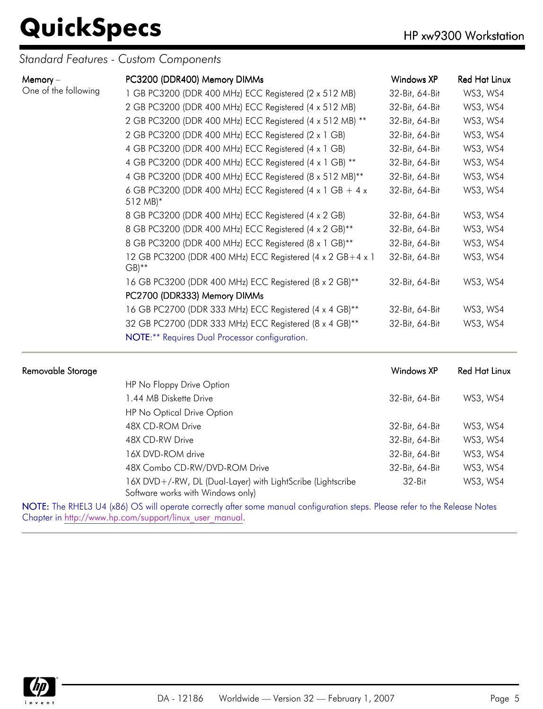*Standard Features - Custom Components*

| Memory $-$           | PC3200 (DDR400) Memory DIMMs                                                              | Windows XP     | <b>Red Hat Linux</b> |
|----------------------|-------------------------------------------------------------------------------------------|----------------|----------------------|
| One of the following | 1 GB PC3200 (DDR 400 MHz) ECC Registered (2 x 512 MB)                                     | 32-Bit, 64-Bit | WS3, WS4             |
|                      | 2 GB PC3200 (DDR 400 MHz) ECC Registered (4 x 512 MB)                                     | 32-Bit, 64-Bit | WS3, WS4             |
|                      | 2 GB PC3200 (DDR 400 MHz) ECC Registered (4 x 512 MB) **                                  | 32-Bit, 64-Bit | WS3, WS4             |
|                      | 2 GB PC3200 (DDR 400 MHz) ECC Registered (2 x 1 GB)                                       | 32-Bit, 64-Bit | WS3, WS4             |
|                      | 4 GB PC3200 (DDR 400 MHz) ECC Registered (4 x 1 GB)                                       | 32-Bit, 64-Bit | WS3, WS4             |
|                      | 4 GB PC3200 (DDR 400 MHz) ECC Registered (4 x 1 GB) **                                    | 32-Bit, 64-Bit | WS3, WS4             |
|                      | 4 GB PC3200 (DDR 400 MHz) ECC Registered (8 x 512 MB)**                                   | 32-Bit, 64-Bit | WS3, WS4             |
|                      | 6 GB PC3200 (DDR 400 MHz) ECC Registered (4 x 1 GB + 4 x<br>$512 \text{ MB}$ <sup>*</sup> | 32-Bit, 64-Bit | WS3, WS4             |
|                      | 8 GB PC3200 (DDR 400 MHz) ECC Registered (4 x 2 GB)                                       | 32-Bit, 64-Bit | WS3, WS4             |
|                      | 8 GB PC3200 (DDR 400 MHz) ECC Registered (4 x 2 GB)**                                     | 32-Bit, 64-Bit | WS3, WS4             |
|                      | 8 GB PC3200 (DDR 400 MHz) ECC Registered (8 x 1 GB)**                                     | 32-Bit, 64-Bit | WS3, WS4             |
|                      | 12 GB PC3200 (DDR 400 MHz) ECC Registered (4 x 2 GB+4 x 1<br>$GB)$ **                     | 32-Bit, 64-Bit | WS3, WS4             |
|                      | 16 GB PC3200 (DDR 400 MHz) ECC Registered (8 x 2 GB)**                                    | 32-Bit, 64-Bit | WS3, WS4             |
|                      | PC2700 (DDR333) Memory DIMMs                                                              |                |                      |
|                      | 16 GB PC2700 (DDR 333 MHz) ECC Registered (4 x 4 GB)**                                    | 32-Bit, 64-Bit | WS3, WS4             |
|                      | 32 GB PC2700 (DDR 333 MHz) ECC Registered (8 x 4 GB)**                                    | 32-Bit, 64-Bit | WS3, WS4             |
|                      | NOTE:** Requires Dual Processor configuration.                                            |                |                      |
|                      |                                                                                           |                |                      |

| Removable Storage |                                                                                                  | Windows XP     | <b>Red Hat Linux</b> |
|-------------------|--------------------------------------------------------------------------------------------------|----------------|----------------------|
|                   | HP No Floppy Drive Option                                                                        |                |                      |
|                   | 1.44 MB Diskette Drive                                                                           | 32-Bit, 64-Bit | WS3, WS4             |
|                   | HP No Optical Drive Option                                                                       |                |                      |
|                   | 48X CD-ROM Drive                                                                                 | 32-Bit, 64-Bit | WS3, WS4             |
|                   | 48X CD-RW Drive                                                                                  | 32-Bit, 64-Bit | WS3, WS4             |
|                   | 16X DVD-ROM drive                                                                                | 32-Bit, 64-Bit | WS3, WS4             |
|                   | 48X Combo CD-RW/DVD-ROM Drive                                                                    | 32-Bit, 64-Bit | WS3, WS4             |
|                   | 16X DVD+/-RW, DL (Dual-Layer) with LightScribe (Lightscribe<br>Software works with Windows only) | $32-Hit$       | WS3, WS4             |

NOTE: The RHEL3 U4 (x86) OS will operate correctly after some manual configuration steps. Please refer to the Release Notes Chapter in [http://www.hp.com/support/linux\\_user\\_manual](http://www.hp.com/support/linux_user_manual).

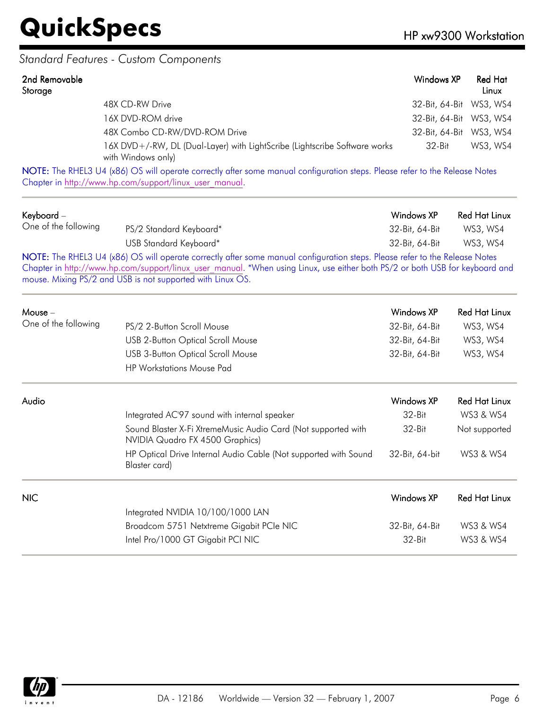#### *Standard Features - Custom Components*

| 2nd Removable<br>Storage |                                                                                                  | Windows XP              | <b>Red Hat</b><br>Linux |
|--------------------------|--------------------------------------------------------------------------------------------------|-------------------------|-------------------------|
|                          | 48X CD-RW Drive                                                                                  | 32-Bit, 64-Bit WS3, WS4 |                         |
|                          | 16X DVD-ROM drive                                                                                | 32-Bit, 64-Bit WS3, WS4 |                         |
|                          | 48X Combo CD-RW/DVD-ROM Drive                                                                    | 32-Bit, 64-Bit WS3, WS4 |                         |
|                          | 16X DVD+/-RW, DL (Dual-Layer) with LightScribe (Lightscribe Software works<br>with Windows only) | 32-Bit                  | WS3, WS4                |

NOTE: The RHEL3 U4 (x86) OS will operate correctly after some manual configuration steps. Please refer to the Release Notes Chapter in [http://www.hp.com/support/linux\\_user\\_manual](http://www.hp.com/support/linux_user_manual).

| Keyboard -<br>One of the following |                                                                                                                                                                                                                                                                                                                           | Windows XP        | <b>Red Hat Linux</b> |
|------------------------------------|---------------------------------------------------------------------------------------------------------------------------------------------------------------------------------------------------------------------------------------------------------------------------------------------------------------------------|-------------------|----------------------|
|                                    | PS/2 Standard Keyboard*                                                                                                                                                                                                                                                                                                   | 32-Bit, 64-Bit    | WS3, WS4             |
|                                    | USB Standard Keyboard*                                                                                                                                                                                                                                                                                                    | 32-Bit, 64-Bit    | WS3, WS4             |
|                                    | NOTE: The RHEL3 U4 (x86) OS will operate correctly after some manual configuration steps. Please refer to the Release Notes<br>Chapter in http://www.hp.com/support/linux user manual. *When using Linux, use either both PS/2 or both USB for keyboard and<br>mouse. Mixing PS/2 and USB is not supported with Linux OS. |                   |                      |
| $Mouse -$                          |                                                                                                                                                                                                                                                                                                                           | Windows XP        | <b>Red Hat Linux</b> |
| One of the following               | PS/2 2-Button Scroll Mouse                                                                                                                                                                                                                                                                                                | 32-Bit, 64-Bit    | WS3, WS4             |
|                                    | <b>USB 2-Button Optical Scroll Mouse</b>                                                                                                                                                                                                                                                                                  | 32-Bit, 64-Bit    | WS3, WS4             |
|                                    | <b>USB 3-Button Optical Scroll Mouse</b>                                                                                                                                                                                                                                                                                  | 32-Bit, 64-Bit    | WS3, WS4             |
|                                    | <b>HP Workstations Mouse Pad</b>                                                                                                                                                                                                                                                                                          |                   |                      |
| Audio                              |                                                                                                                                                                                                                                                                                                                           | <b>Windows XP</b> | <b>Red Hat Linux</b> |
|                                    | Integrated AC'97 sound with internal speaker                                                                                                                                                                                                                                                                              | 32-Bit            | WS3 & WS4            |
|                                    | Sound Blaster X-Fi XtremeMusic Audio Card (Not supported with<br>NVIDIA Quadro FX 4500 Graphics)                                                                                                                                                                                                                          | 32-Bit            | Not supported        |
|                                    | HP Optical Drive Internal Audio Cable (Not supported with Sound<br>Blaster card)                                                                                                                                                                                                                                          | 32-Bit, 64-bit    | WS3 & WS4            |
| <b>NIC</b>                         |                                                                                                                                                                                                                                                                                                                           | <b>Windows XP</b> | <b>Red Hat Linux</b> |
|                                    | Integrated NVIDIA 10/100/1000 LAN                                                                                                                                                                                                                                                                                         |                   |                      |
|                                    | Broadcom 5751 Netxtreme Gigabit PCIe NIC                                                                                                                                                                                                                                                                                  | 32-Bit, 64-Bit    | WS3 & WS4            |
|                                    | Intel Pro/1000 GT Gigabit PCI NIC                                                                                                                                                                                                                                                                                         | 32-Bit            | WS3 & WS4            |

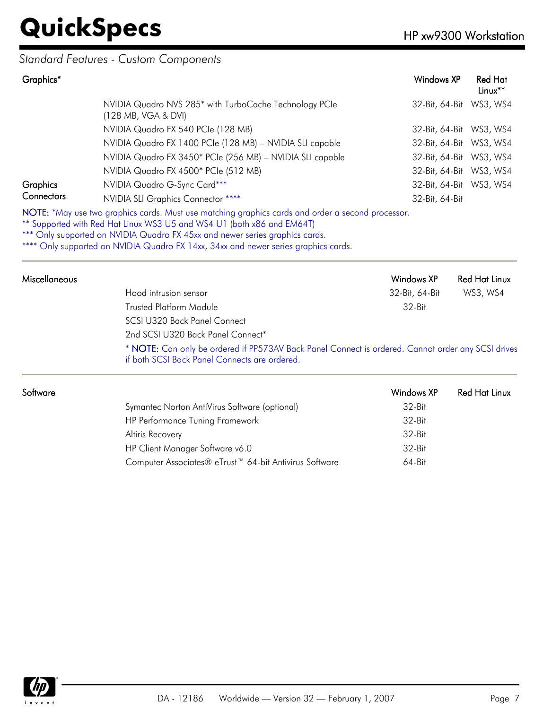#### *Standard Features - Custom Components*

| Graphics*       |                                                                                                   | Windows XP              | <b>Red Hat</b><br>$Linux**$ |
|-----------------|---------------------------------------------------------------------------------------------------|-------------------------|-----------------------------|
|                 | NVIDIA Quadro NVS 285* with TurboCache Technology PCIe<br>(128 MB, VGA & DVI)                     | 32-Bit, 64-Bit          | WS3, WS4                    |
|                 | NVIDIA Quadro FX 540 PCIe (128 MB)                                                                | 32-Bit, 64-Bit WS3, WS4 |                             |
|                 | NVIDIA Quadro FX 1400 PCIe (128 MB) - NVIDIA SLI capable                                          | 32-Bit, 64-Bit WS3, WS4 |                             |
|                 | NVIDIA Quadro FX 3450* PCIe (256 MB) - NVIDIA SLI capable                                         | 32-Bit, 64-Bit          | WS3, WS4                    |
|                 | NVIDIA Quadro FX 4500* PCIe (512 MB)                                                              | 32-Bit, 64-Bit          | WS3, WS4                    |
| <b>Graphics</b> | NVIDIA Quadro G-Sync Card***                                                                      | 32-Bit, 64-Bit WS3, WS4 |                             |
| Connectors      | NVIDIA SLI Graphics Connector ****                                                                | 32-Bit, 64-Bit          |                             |
|                 | NOTE: *May use two graphics cards. Must use matching graphics cards and order a second processor. |                         |                             |

\*\* Supported with Red Hat Linux WS3 U5 and WS4 U1 (both x86 and EM64T)

\*\*\* Only supported on NVIDIA Quadro FX 45xx and newer series graphics cards.

\*\*\*\* Only supported on NVIDIA Quadro FX 14xx, 34xx and newer series graphics cards.

| <b>Miscellaneous</b> |                                                                                                                                                     | Windows XP     | <b>Red Hat Linux</b> |
|----------------------|-----------------------------------------------------------------------------------------------------------------------------------------------------|----------------|----------------------|
|                      | Hood intrusion sensor                                                                                                                               | 32-Bit, 64-Bit | WS3, WS4             |
|                      | <b>Trusted Platform Module</b>                                                                                                                      | $32-Hit$       |                      |
|                      | SCSI U320 Back Panel Connect                                                                                                                        |                |                      |
|                      | 2nd SCSI U320 Back Panel Connect*                                                                                                                   |                |                      |
|                      | * NOTE: Can only be ordered if PP573AV Back Panel Connect is ordered. Cannot order any SCSI drives<br>if both SCSI Back Panel Connects are ordered. |                |                      |

| Software |                                                                    | Windows XP | Red Hat Linux |
|----------|--------------------------------------------------------------------|------------|---------------|
|          | Symantec Norton AntiVirus Software (optional)                      | $32-Hit$   |               |
|          | HP Performance Tuning Framework                                    | $32-Hit$   |               |
|          | Altiris Recovery                                                   | 32-Bit     |               |
|          | HP Client Manager Software v6.0                                    | 32-Bit     |               |
|          | Computer Associates® eTrust <sup>™</sup> 64-bit Antivirus Software | $64 - Bit$ |               |
|          |                                                                    |            |               |

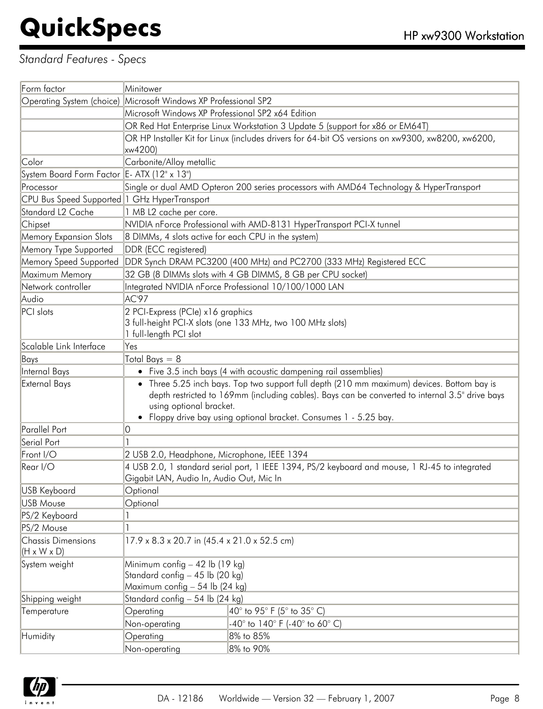#### *Standard Features - Specs*

| Operating System (choice) Microsoft Windows XP Professional SP2<br>Microsoft Windows XP Professional SP2 x64 Edition<br>OR Red Hat Enterprise Linux Workstation 3 Update 5 (support for x86 or EM64T)<br>OR HP Installer Kit for Linux (includes drivers for 64-bit OS versions on xw9300, xw8200, xw6200,<br>xw4200)<br>Carbonite/Alloy metallic<br>Color<br>System Board Form Factor E- ATX (12" x 13")<br>Single or dual AMD Opteron 200 series processors with AMD64 Technology & HyperTransport<br>CPU Bus Speed Supported 1 GHz HyperTransport<br>1 MB L2 cache per core.<br>NVIDIA nForce Professional with AMD-8131 HyperTransport PCI-X tunnel<br>Chipset<br>8 DIMMs, 4 slots active for each CPU in the system)<br>DDR (ECC registered)<br>DDR Synch DRAM PC3200 (400 MHz) and PC2700 (333 MHz) Registered ECC<br>32 GB (8 DIMMs slots with 4 GB DIMMS, 8 GB per CPU socket)<br>Integrated NVIDIA nForce Professional 10/100/1000 LAN<br>AC'97<br>2 PCI-Express (PCIe) x16 graphics<br>3 full-height PCI-X slots (one 133 MHz, two 100 MHz slots)<br>1 full-length PCI slot<br>Yes<br>Total Bays $= 8$<br>• Five 3.5 inch bays (4 with acoustic dampening rail assemblies)<br>• Three 5.25 inch bays. Top two support full depth (210 mm maximum) devices. Bottom bay is<br><b>External Bays</b><br>depth restricted to 169mm (including cables). Bays can be converted to internal 3.5" drive bays<br>using optional bracket.<br>• Floppy drive bay using optional bracket. Consumes 1 - 5.25 bay.<br>0<br>2 USB 2.0, Headphone, Microphone, IEEE 1394<br>4 USB 2.0, 1 standard serial port, 1 IEEE 1394, PS/2 keyboard and mouse, 1 RJ-45 to integrated<br>Gigabit LAN, Audio In, Audio Out, Mic In<br>Optional<br><b>USB Mouse</b><br>Optional<br>PS/2 Keyboard<br>PS/2 Mouse<br><b>Chassis Dimensions</b><br>17.9 x 8.3 x 20.7 in (45.4 x 21.0 x 52.5 cm)<br>$(H \times W \times D)$<br>Minimum config $-42$ lb (19 kg)<br>Standard config - 45 lb (20 kg)<br>Maximum config - 54 lb (24 kg)<br>Standard config - 54 lb (24 kg)<br>Temperature<br>Operating<br>$\vert$ 40° to 95° F (5° to 35° C)<br>Non-operating<br>$-40^{\circ}$ to 140° F (-40° to 60° C)<br>8% to 85%<br>Humidity<br>Operating<br>8% to 90%<br>Non-operating | Form factor                   | Minitower |  |  |
|-------------------------------------------------------------------------------------------------------------------------------------------------------------------------------------------------------------------------------------------------------------------------------------------------------------------------------------------------------------------------------------------------------------------------------------------------------------------------------------------------------------------------------------------------------------------------------------------------------------------------------------------------------------------------------------------------------------------------------------------------------------------------------------------------------------------------------------------------------------------------------------------------------------------------------------------------------------------------------------------------------------------------------------------------------------------------------------------------------------------------------------------------------------------------------------------------------------------------------------------------------------------------------------------------------------------------------------------------------------------------------------------------------------------------------------------------------------------------------------------------------------------------------------------------------------------------------------------------------------------------------------------------------------------------------------------------------------------------------------------------------------------------------------------------------------------------------------------------------------------------------------------------------------------------------------------------------------------------------------------------------------------------------------------------------------------------------------------------------------------------------------------------------------------------------------------------------------------------------------------------|-------------------------------|-----------|--|--|
|                                                                                                                                                                                                                                                                                                                                                                                                                                                                                                                                                                                                                                                                                                                                                                                                                                                                                                                                                                                                                                                                                                                                                                                                                                                                                                                                                                                                                                                                                                                                                                                                                                                                                                                                                                                                                                                                                                                                                                                                                                                                                                                                                                                                                                                 |                               |           |  |  |
|                                                                                                                                                                                                                                                                                                                                                                                                                                                                                                                                                                                                                                                                                                                                                                                                                                                                                                                                                                                                                                                                                                                                                                                                                                                                                                                                                                                                                                                                                                                                                                                                                                                                                                                                                                                                                                                                                                                                                                                                                                                                                                                                                                                                                                                 |                               |           |  |  |
|                                                                                                                                                                                                                                                                                                                                                                                                                                                                                                                                                                                                                                                                                                                                                                                                                                                                                                                                                                                                                                                                                                                                                                                                                                                                                                                                                                                                                                                                                                                                                                                                                                                                                                                                                                                                                                                                                                                                                                                                                                                                                                                                                                                                                                                 |                               |           |  |  |
|                                                                                                                                                                                                                                                                                                                                                                                                                                                                                                                                                                                                                                                                                                                                                                                                                                                                                                                                                                                                                                                                                                                                                                                                                                                                                                                                                                                                                                                                                                                                                                                                                                                                                                                                                                                                                                                                                                                                                                                                                                                                                                                                                                                                                                                 |                               |           |  |  |
|                                                                                                                                                                                                                                                                                                                                                                                                                                                                                                                                                                                                                                                                                                                                                                                                                                                                                                                                                                                                                                                                                                                                                                                                                                                                                                                                                                                                                                                                                                                                                                                                                                                                                                                                                                                                                                                                                                                                                                                                                                                                                                                                                                                                                                                 |                               |           |  |  |
|                                                                                                                                                                                                                                                                                                                                                                                                                                                                                                                                                                                                                                                                                                                                                                                                                                                                                                                                                                                                                                                                                                                                                                                                                                                                                                                                                                                                                                                                                                                                                                                                                                                                                                                                                                                                                                                                                                                                                                                                                                                                                                                                                                                                                                                 |                               |           |  |  |
|                                                                                                                                                                                                                                                                                                                                                                                                                                                                                                                                                                                                                                                                                                                                                                                                                                                                                                                                                                                                                                                                                                                                                                                                                                                                                                                                                                                                                                                                                                                                                                                                                                                                                                                                                                                                                                                                                                                                                                                                                                                                                                                                                                                                                                                 |                               |           |  |  |
|                                                                                                                                                                                                                                                                                                                                                                                                                                                                                                                                                                                                                                                                                                                                                                                                                                                                                                                                                                                                                                                                                                                                                                                                                                                                                                                                                                                                                                                                                                                                                                                                                                                                                                                                                                                                                                                                                                                                                                                                                                                                                                                                                                                                                                                 | Processor                     |           |  |  |
|                                                                                                                                                                                                                                                                                                                                                                                                                                                                                                                                                                                                                                                                                                                                                                                                                                                                                                                                                                                                                                                                                                                                                                                                                                                                                                                                                                                                                                                                                                                                                                                                                                                                                                                                                                                                                                                                                                                                                                                                                                                                                                                                                                                                                                                 |                               |           |  |  |
|                                                                                                                                                                                                                                                                                                                                                                                                                                                                                                                                                                                                                                                                                                                                                                                                                                                                                                                                                                                                                                                                                                                                                                                                                                                                                                                                                                                                                                                                                                                                                                                                                                                                                                                                                                                                                                                                                                                                                                                                                                                                                                                                                                                                                                                 | Standard L <sub>2</sub> Cache |           |  |  |
|                                                                                                                                                                                                                                                                                                                                                                                                                                                                                                                                                                                                                                                                                                                                                                                                                                                                                                                                                                                                                                                                                                                                                                                                                                                                                                                                                                                                                                                                                                                                                                                                                                                                                                                                                                                                                                                                                                                                                                                                                                                                                                                                                                                                                                                 |                               |           |  |  |
|                                                                                                                                                                                                                                                                                                                                                                                                                                                                                                                                                                                                                                                                                                                                                                                                                                                                                                                                                                                                                                                                                                                                                                                                                                                                                                                                                                                                                                                                                                                                                                                                                                                                                                                                                                                                                                                                                                                                                                                                                                                                                                                                                                                                                                                 | <b>Memory Expansion Slots</b> |           |  |  |
|                                                                                                                                                                                                                                                                                                                                                                                                                                                                                                                                                                                                                                                                                                                                                                                                                                                                                                                                                                                                                                                                                                                                                                                                                                                                                                                                                                                                                                                                                                                                                                                                                                                                                                                                                                                                                                                                                                                                                                                                                                                                                                                                                                                                                                                 | Memory Type Supported         |           |  |  |
|                                                                                                                                                                                                                                                                                                                                                                                                                                                                                                                                                                                                                                                                                                                                                                                                                                                                                                                                                                                                                                                                                                                                                                                                                                                                                                                                                                                                                                                                                                                                                                                                                                                                                                                                                                                                                                                                                                                                                                                                                                                                                                                                                                                                                                                 | Memory Speed Supported        |           |  |  |
|                                                                                                                                                                                                                                                                                                                                                                                                                                                                                                                                                                                                                                                                                                                                                                                                                                                                                                                                                                                                                                                                                                                                                                                                                                                                                                                                                                                                                                                                                                                                                                                                                                                                                                                                                                                                                                                                                                                                                                                                                                                                                                                                                                                                                                                 | Maximum Memory                |           |  |  |
|                                                                                                                                                                                                                                                                                                                                                                                                                                                                                                                                                                                                                                                                                                                                                                                                                                                                                                                                                                                                                                                                                                                                                                                                                                                                                                                                                                                                                                                                                                                                                                                                                                                                                                                                                                                                                                                                                                                                                                                                                                                                                                                                                                                                                                                 | Network controller            |           |  |  |
|                                                                                                                                                                                                                                                                                                                                                                                                                                                                                                                                                                                                                                                                                                                                                                                                                                                                                                                                                                                                                                                                                                                                                                                                                                                                                                                                                                                                                                                                                                                                                                                                                                                                                                                                                                                                                                                                                                                                                                                                                                                                                                                                                                                                                                                 | Audio                         |           |  |  |
|                                                                                                                                                                                                                                                                                                                                                                                                                                                                                                                                                                                                                                                                                                                                                                                                                                                                                                                                                                                                                                                                                                                                                                                                                                                                                                                                                                                                                                                                                                                                                                                                                                                                                                                                                                                                                                                                                                                                                                                                                                                                                                                                                                                                                                                 | PCI slots                     |           |  |  |
|                                                                                                                                                                                                                                                                                                                                                                                                                                                                                                                                                                                                                                                                                                                                                                                                                                                                                                                                                                                                                                                                                                                                                                                                                                                                                                                                                                                                                                                                                                                                                                                                                                                                                                                                                                                                                                                                                                                                                                                                                                                                                                                                                                                                                                                 |                               |           |  |  |
|                                                                                                                                                                                                                                                                                                                                                                                                                                                                                                                                                                                                                                                                                                                                                                                                                                                                                                                                                                                                                                                                                                                                                                                                                                                                                                                                                                                                                                                                                                                                                                                                                                                                                                                                                                                                                                                                                                                                                                                                                                                                                                                                                                                                                                                 |                               |           |  |  |
|                                                                                                                                                                                                                                                                                                                                                                                                                                                                                                                                                                                                                                                                                                                                                                                                                                                                                                                                                                                                                                                                                                                                                                                                                                                                                                                                                                                                                                                                                                                                                                                                                                                                                                                                                                                                                                                                                                                                                                                                                                                                                                                                                                                                                                                 | Scalable Link Interface       |           |  |  |
|                                                                                                                                                                                                                                                                                                                                                                                                                                                                                                                                                                                                                                                                                                                                                                                                                                                                                                                                                                                                                                                                                                                                                                                                                                                                                                                                                                                                                                                                                                                                                                                                                                                                                                                                                                                                                                                                                                                                                                                                                                                                                                                                                                                                                                                 | Bays                          |           |  |  |
|                                                                                                                                                                                                                                                                                                                                                                                                                                                                                                                                                                                                                                                                                                                                                                                                                                                                                                                                                                                                                                                                                                                                                                                                                                                                                                                                                                                                                                                                                                                                                                                                                                                                                                                                                                                                                                                                                                                                                                                                                                                                                                                                                                                                                                                 | Internal Bays                 |           |  |  |
|                                                                                                                                                                                                                                                                                                                                                                                                                                                                                                                                                                                                                                                                                                                                                                                                                                                                                                                                                                                                                                                                                                                                                                                                                                                                                                                                                                                                                                                                                                                                                                                                                                                                                                                                                                                                                                                                                                                                                                                                                                                                                                                                                                                                                                                 |                               |           |  |  |
|                                                                                                                                                                                                                                                                                                                                                                                                                                                                                                                                                                                                                                                                                                                                                                                                                                                                                                                                                                                                                                                                                                                                                                                                                                                                                                                                                                                                                                                                                                                                                                                                                                                                                                                                                                                                                                                                                                                                                                                                                                                                                                                                                                                                                                                 | Parallel Port                 |           |  |  |
|                                                                                                                                                                                                                                                                                                                                                                                                                                                                                                                                                                                                                                                                                                                                                                                                                                                                                                                                                                                                                                                                                                                                                                                                                                                                                                                                                                                                                                                                                                                                                                                                                                                                                                                                                                                                                                                                                                                                                                                                                                                                                                                                                                                                                                                 | Serial Port                   |           |  |  |
|                                                                                                                                                                                                                                                                                                                                                                                                                                                                                                                                                                                                                                                                                                                                                                                                                                                                                                                                                                                                                                                                                                                                                                                                                                                                                                                                                                                                                                                                                                                                                                                                                                                                                                                                                                                                                                                                                                                                                                                                                                                                                                                                                                                                                                                 | Front I/O                     |           |  |  |
|                                                                                                                                                                                                                                                                                                                                                                                                                                                                                                                                                                                                                                                                                                                                                                                                                                                                                                                                                                                                                                                                                                                                                                                                                                                                                                                                                                                                                                                                                                                                                                                                                                                                                                                                                                                                                                                                                                                                                                                                                                                                                                                                                                                                                                                 | Rear I/O                      |           |  |  |
|                                                                                                                                                                                                                                                                                                                                                                                                                                                                                                                                                                                                                                                                                                                                                                                                                                                                                                                                                                                                                                                                                                                                                                                                                                                                                                                                                                                                                                                                                                                                                                                                                                                                                                                                                                                                                                                                                                                                                                                                                                                                                                                                                                                                                                                 | USB Keyboard                  |           |  |  |
|                                                                                                                                                                                                                                                                                                                                                                                                                                                                                                                                                                                                                                                                                                                                                                                                                                                                                                                                                                                                                                                                                                                                                                                                                                                                                                                                                                                                                                                                                                                                                                                                                                                                                                                                                                                                                                                                                                                                                                                                                                                                                                                                                                                                                                                 |                               |           |  |  |
|                                                                                                                                                                                                                                                                                                                                                                                                                                                                                                                                                                                                                                                                                                                                                                                                                                                                                                                                                                                                                                                                                                                                                                                                                                                                                                                                                                                                                                                                                                                                                                                                                                                                                                                                                                                                                                                                                                                                                                                                                                                                                                                                                                                                                                                 |                               |           |  |  |
|                                                                                                                                                                                                                                                                                                                                                                                                                                                                                                                                                                                                                                                                                                                                                                                                                                                                                                                                                                                                                                                                                                                                                                                                                                                                                                                                                                                                                                                                                                                                                                                                                                                                                                                                                                                                                                                                                                                                                                                                                                                                                                                                                                                                                                                 |                               |           |  |  |
|                                                                                                                                                                                                                                                                                                                                                                                                                                                                                                                                                                                                                                                                                                                                                                                                                                                                                                                                                                                                                                                                                                                                                                                                                                                                                                                                                                                                                                                                                                                                                                                                                                                                                                                                                                                                                                                                                                                                                                                                                                                                                                                                                                                                                                                 |                               |           |  |  |
|                                                                                                                                                                                                                                                                                                                                                                                                                                                                                                                                                                                                                                                                                                                                                                                                                                                                                                                                                                                                                                                                                                                                                                                                                                                                                                                                                                                                                                                                                                                                                                                                                                                                                                                                                                                                                                                                                                                                                                                                                                                                                                                                                                                                                                                 | System weight                 |           |  |  |
|                                                                                                                                                                                                                                                                                                                                                                                                                                                                                                                                                                                                                                                                                                                                                                                                                                                                                                                                                                                                                                                                                                                                                                                                                                                                                                                                                                                                                                                                                                                                                                                                                                                                                                                                                                                                                                                                                                                                                                                                                                                                                                                                                                                                                                                 | Shipping weight               |           |  |  |
|                                                                                                                                                                                                                                                                                                                                                                                                                                                                                                                                                                                                                                                                                                                                                                                                                                                                                                                                                                                                                                                                                                                                                                                                                                                                                                                                                                                                                                                                                                                                                                                                                                                                                                                                                                                                                                                                                                                                                                                                                                                                                                                                                                                                                                                 |                               |           |  |  |
|                                                                                                                                                                                                                                                                                                                                                                                                                                                                                                                                                                                                                                                                                                                                                                                                                                                                                                                                                                                                                                                                                                                                                                                                                                                                                                                                                                                                                                                                                                                                                                                                                                                                                                                                                                                                                                                                                                                                                                                                                                                                                                                                                                                                                                                 |                               |           |  |  |
|                                                                                                                                                                                                                                                                                                                                                                                                                                                                                                                                                                                                                                                                                                                                                                                                                                                                                                                                                                                                                                                                                                                                                                                                                                                                                                                                                                                                                                                                                                                                                                                                                                                                                                                                                                                                                                                                                                                                                                                                                                                                                                                                                                                                                                                 |                               |           |  |  |
|                                                                                                                                                                                                                                                                                                                                                                                                                                                                                                                                                                                                                                                                                                                                                                                                                                                                                                                                                                                                                                                                                                                                                                                                                                                                                                                                                                                                                                                                                                                                                                                                                                                                                                                                                                                                                                                                                                                                                                                                                                                                                                                                                                                                                                                 |                               |           |  |  |

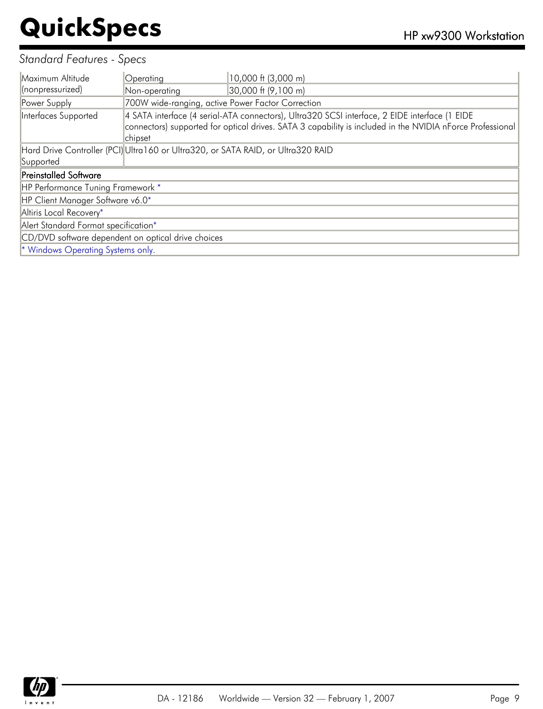#### *Standard Features - Specs*

| Maximum Altitude                                   | Operating                                         | 10,000 ft (3,000 m)                                                                                                                                                                                        |
|----------------------------------------------------|---------------------------------------------------|------------------------------------------------------------------------------------------------------------------------------------------------------------------------------------------------------------|
| (nonpressurized)                                   | Non-operating                                     | 30,000 ft (9,100 m)                                                                                                                                                                                        |
| Power Supply                                       | 700W wide-ranging, active Power Factor Correction |                                                                                                                                                                                                            |
| Interfaces Supported                               | chipset                                           | 4 SATA interface (4 serial-ATA connectors), Ultra320 SCSI interface, 2 EIDE interface (1 EIDE<br>connectors) supported for optical drives. SATA 3 capability is included in the NVIDIA nForce Professional |
|                                                    |                                                   | Hard Drive Controller (PCI)Ultra160 or Ultra320, or SATA RAID, or Ultra320 RAID                                                                                                                            |
| Supported                                          |                                                   |                                                                                                                                                                                                            |
| <b>Preinstalled Software</b>                       |                                                   |                                                                                                                                                                                                            |
| HP Performance Tuning Framework *                  |                                                   |                                                                                                                                                                                                            |
| HP Client Manager Software v6.0*                   |                                                   |                                                                                                                                                                                                            |
| Altiris Local Recovery*                            |                                                   |                                                                                                                                                                                                            |
| Alert Standard Format specification*               |                                                   |                                                                                                                                                                                                            |
| CD/DVD software dependent on optical drive choices |                                                   |                                                                                                                                                                                                            |
| <sup>*</sup> Windows Operating Systems only.       |                                                   |                                                                                                                                                                                                            |

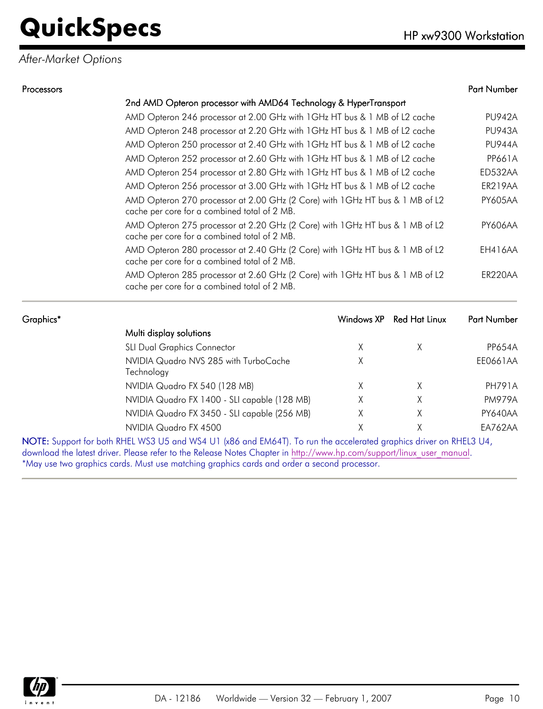#### *After-Market Options*

| Processors |                                                                                                                               |            |                      | Part Number    |
|------------|-------------------------------------------------------------------------------------------------------------------------------|------------|----------------------|----------------|
|            | 2nd AMD Opteron processor with AMD64 Technology & HyperTransport                                                              |            |                      |                |
|            | AMD Opteron 246 processor at 2.00 GHz with 1 GHz HT bus & 1 MB of L2 cache                                                    |            |                      | <b>PU942A</b>  |
|            | AMD Opteron 248 processor at 2.20 GHz with 1 GHz HT bus & 1 MB of L2 cache                                                    |            |                      | <b>PU943A</b>  |
|            | AMD Opteron 250 processor at 2.40 GHz with 1 GHz HT bus & 1 MB of L2 cache                                                    |            |                      | <b>PU944A</b>  |
|            | AMD Opteron 252 processor at 2.60 GHz with 1 GHz HT bus & 1 MB of L2 cache                                                    |            |                      | <b>PP661A</b>  |
|            | AMD Opteron 254 processor at 2.80 GHz with 1 GHz HT bus & 1 MB of L2 cache                                                    |            |                      | ED532AA        |
|            | AMD Opteron 256 processor at 3.00 GHz with 1 GHz HT bus & 1 MB of L2 cache                                                    |            |                      | ER219AA        |
|            | AMD Opteron 270 processor at 2.00 GHz (2 Core) with 1GHz HT bus & 1 MB of L2<br>cache per core for a combined total of 2 MB.  |            |                      | <b>PY605AA</b> |
|            | AMD Opteron 275 processor at 2.20 GHz (2 Core) with 1GHz HT bus & 1 MB of L2<br>cache per core for a combined total of 2 MB.  |            |                      | <b>PY606AA</b> |
|            | AMD Opteron 280 processor at 2.40 GHz (2 Core) with 1 GHz HT bus & 1 MB of L2<br>cache per core for a combined total of 2 MB. |            |                      | EH416AA        |
|            | AMD Opteron 285 processor at 2.60 GHz (2 Core) with 1GHz HT bus & 1 MB of L2<br>cache per core for a combined total of 2 MB.  |            |                      | ER220AA        |
| Graphics*  |                                                                                                                               | Windows XP | <b>Red Hat Linux</b> | Part Number    |
|            | Multi display solutions                                                                                                       |            |                      |                |
|            | <b>SLI Dual Graphics Connector</b>                                                                                            | X          | X                    | <b>PP654A</b>  |

| <b>SLI Dual Graphics Connector</b>                                                                                                                                                                                                    |  | <b>PP654A</b> |
|---------------------------------------------------------------------------------------------------------------------------------------------------------------------------------------------------------------------------------------|--|---------------|
| NVIDIA Quadro NVS 285 with TurboCache                                                                                                                                                                                                 |  | EE0661AA      |
| Technology                                                                                                                                                                                                                            |  |               |
| NVIDIA Quadro FX 540 (128 MB)                                                                                                                                                                                                         |  | PH791A        |
| NVIDIA Quadro FX 1400 - SLI capable (128 MB)                                                                                                                                                                                          |  | <b>PM979A</b> |
| NVIDIA Quadro FX 3450 - SLI capable (256 MB)                                                                                                                                                                                          |  | PY640AA       |
| NVIDIA Quadro FX 4500                                                                                                                                                                                                                 |  | EA762AA       |
| NOTE: Support for both RHEL WS3 U5 and WS4 U1 (x86 and EM64T). To run the accelerated graphics driver on RHEL3 U4,                                                                                                                    |  |               |
| $\mathbf{1}$ is the set of the set of the set of the set of $\mathbf{1}$ is the set of the set of the set of the set of the set of the set of the set of the set of the set of the set of the set of the set of the set of the set of |  |               |

download the latest driver. Please refer to the Release Notes Chapter in [http://www.hp.com/support/linux\\_user\\_manual.](http://www.hp.com/support/linux_user_manual) \*May use two graphics cards. Must use matching graphics cards and order a second processor.

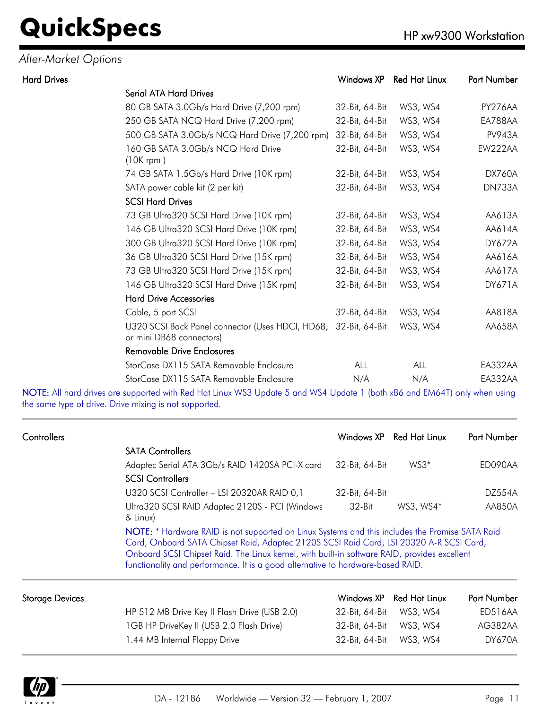#### *After-Market Options*

| <b>Hard Drives</b> |                                                                                             | Windows XP     | <b>Red Hat Linux</b> | Part Number   |
|--------------------|---------------------------------------------------------------------------------------------|----------------|----------------------|---------------|
|                    | <b>Serial ATA Hard Drives</b>                                                               |                |                      |               |
|                    | 80 GB SATA 3.0Gb/s Hard Drive (7,200 rpm)                                                   | 32-Bit, 64-Bit | WS3, WS4             | PY276AA       |
|                    | 250 GB SATA NCQ Hard Drive (7,200 rpm)                                                      | 32-Bit, 64-Bit | WS3, WS4             | EA788AA       |
|                    | 500 GB SATA 3.0Gb/s NCQ Hard Drive (7,200 rpm)                                              | 32-Bit, 64-Bit | WS3, WS4             | <b>PV943A</b> |
|                    | 160 GB SATA 3.0Gb/s NCQ Hard Drive<br>$(10K$ rpm)                                           | 32-Bit, 64-Bit | WS3, WS4             | EW222AA       |
|                    | 74 GB SATA 1.5Gb/s Hard Drive (10K rpm)                                                     | 32-Bit, 64-Bit | WS3, WS4             | <b>DX760A</b> |
|                    | SATA power cable kit (2 per kit)                                                            | 32-Bit, 64-Bit | WS3, WS4             | DN733A        |
|                    | <b>SCSI Hard Drives</b>                                                                     |                |                      |               |
|                    | 73 GB Ultra320 SCSI Hard Drive (10K rpm)                                                    | 32-Bit, 64-Bit | WS3, WS4             | AA613A        |
|                    | 146 GB Ultra320 SCSI Hard Drive (10K rpm)                                                   | 32-Bit, 64-Bit | WS3, WS4             | AA614A        |
|                    | 300 GB Ultra320 SCSI Hard Drive (10K rpm)                                                   | 32-Bit, 64-Bit | WS3, WS4             | <b>DY672A</b> |
|                    | 36 GB Ultra320 SCSI Hard Drive (15K rpm)                                                    | 32-Bit, 64-Bit | WS3, WS4             | AA616A        |
|                    | 73 GB Ultra320 SCSI Hard Drive (15K rpm)                                                    | 32-Bit, 64-Bit | WS3, WS4             | AA617A        |
|                    | 146 GB Ultra320 SCSI Hard Drive (15K rpm)                                                   | 32-Bit, 64-Bit | WS3, WS4             | DY671A        |
|                    | <b>Hard Drive Accessories</b>                                                               |                |                      |               |
|                    | Cable, 5 port SCSI                                                                          | 32-Bit, 64-Bit | WS3, WS4             | AA818A        |
|                    | U320 SCSI Back Panel connector (Uses HDCI, HD68, 32-Bit, 64-Bit<br>or mini DB68 connectors) |                | WS3, WS4             | AA658A        |
|                    | <b>Removable Drive Enclosures</b>                                                           |                |                      |               |
|                    | StorCase DX115 SATA Removable Enclosure                                                     | <b>ALL</b>     | ALL                  | EA332AA       |
|                    | StorCase DX115 SATA Removable Enclosure                                                     | N/A            | N/A                  | EA332AA       |
|                    |                                                                                             |                |                      |               |

NOTE: All hard drives are supported with Red Hat Linux WS3 Update 5 and WS4 Update 1 (both x86 and EM64T) only when using the same type of drive. Drive mixing is not supported.

| Controllers     |                                                                                                                                                                                                                                                                                                                                                                               |                | Windows XP Red Hat Linux | <b>Part Number</b> |
|-----------------|-------------------------------------------------------------------------------------------------------------------------------------------------------------------------------------------------------------------------------------------------------------------------------------------------------------------------------------------------------------------------------|----------------|--------------------------|--------------------|
|                 | <b>SATA Controllers</b>                                                                                                                                                                                                                                                                                                                                                       |                |                          |                    |
|                 | Adaptec Serial ATA 3Gb/s RAID 1420SA PCI-X card                                                                                                                                                                                                                                                                                                                               | 32-Bit, 64-Bit | $WS3*$                   | ED090AA            |
|                 | <b>SCSI Controllers</b>                                                                                                                                                                                                                                                                                                                                                       |                |                          |                    |
|                 | U320 SCSI Controller - LSI 20320AR RAID 0,1                                                                                                                                                                                                                                                                                                                                   | 32-Bit, 64-Bit |                          | DZ554A             |
|                 | Ultra320 SCSI RAID Adaptec 2120S - PCI (Windows<br>& Linux)                                                                                                                                                                                                                                                                                                                   | 32-Bit         | WS3, WS4*                | AA850A             |
|                 | NOTE: * Hardware RAID is not supported on Linux Systems and this includes the Promise SATA Raid<br>Card, Onboard SATA Chipset Raid, Adaptec 2120S SCSI Raid Card, LSI 20320 A-R SCSI Card,<br>Onboard SCSI Chipset Raid. The Linux kernel, with built-in software RAID, provides excellent<br>functionality and performance. It is a good alternative to hardware-based RAID. |                |                          |                    |
| Storage Devices |                                                                                                                                                                                                                                                                                                                                                                               |                | Windows XP Red Hat Linux | <b>Part Number</b> |

| le Devices. |                                              | Windows XP Red Hat Linux | Part Number |
|-------------|----------------------------------------------|--------------------------|-------------|
|             | HP 512 MB Drive Key II Flash Drive (USB 2.0) |                          | ED516AA     |
|             | 1GB HP DriveKey II (USB 2.0 Flash Drive)     |                          | AG382AA     |
|             | .44 MB Internal Floppy Drive                 |                          | DY670A      |
|             |                                              |                          |             |

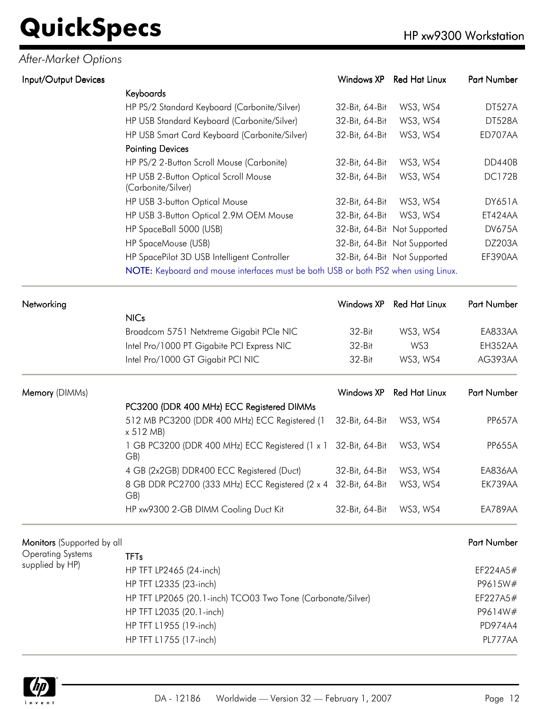#### *After-Market Options*

| Input/Output Devices       |                                                                                    | Windows XP        | <b>Red Hat Linux</b>         | Part Number   |  |
|----------------------------|------------------------------------------------------------------------------------|-------------------|------------------------------|---------------|--|
|                            | Keyboards                                                                          |                   |                              |               |  |
|                            | HP PS/2 Standard Keyboard (Carbonite/Silver)                                       | 32-Bit, 64-Bit    | WS3, WS4                     | <b>DT527A</b> |  |
|                            | HP USB Standard Keyboard (Carbonite/Silver)                                        | 32-Bit, 64-Bit    | WS3, WS4                     | <b>DT528A</b> |  |
|                            | HP USB Smart Card Keyboard (Carbonite/Silver)                                      | 32-Bit, 64-Bit    | WS3, WS4                     | ED707AA       |  |
|                            | <b>Pointing Devices</b>                                                            |                   |                              |               |  |
|                            | HP PS/2 2-Button Scroll Mouse (Carbonite)                                          | 32-Bit, 64-Bit    | WS3, WS4                     | <b>DD440B</b> |  |
|                            | HP USB 2-Button Optical Scroll Mouse<br>(Carbonite/Silver)                         | 32-Bit, 64-Bit    | WS3, WS4                     | <b>DC172B</b> |  |
|                            | HP USB 3-button Optical Mouse                                                      | 32-Bit, 64-Bit    | WS3, WS4                     | <b>DY651A</b> |  |
|                            | HP USB 3-Button Optical 2.9M OEM Mouse                                             | 32-Bit, 64-Bit    | WS3, WS4                     | ET424AA       |  |
|                            | HP SpaceBall 5000 (USB)                                                            |                   | 32-Bit, 64-Bit Not Supported | <b>DV675A</b> |  |
|                            | HP SpaceMouse (USB)                                                                |                   | 32-Bit, 64-Bit Not Supported | DZ203A        |  |
|                            | HP SpacePilot 3D USB Intelligent Controller                                        |                   | 32-Bit, 64-Bit Not Supported | EF390AA       |  |
|                            | NOTE: Keyboard and mouse interfaces must be both USB or both PS2 when using Linux. |                   |                              |               |  |
| Networking                 |                                                                                    | Windows XP        | <b>Red Hat Linux</b>         | Part Number   |  |
|                            | <b>NICs</b>                                                                        |                   |                              |               |  |
|                            | Broadcom 5751 Netxtreme Gigabit PCIe NIC                                           | 32-Bit            | WS3, WS4                     | EA833AA       |  |
|                            | Intel Pro/1000 PT Gigabite PCI Express NIC                                         | 32-Bit            | WS3                          | EH352AA       |  |
|                            | Intel Pro/1000 GT Gigabit PCI NIC                                                  | 32-Bit            | WS3, WS4                     | AG393AA       |  |
| Memory (DIMMs)             |                                                                                    | <b>Windows XP</b> | <b>Red Hat Linux</b>         | Part Number   |  |
|                            | PC3200 (DDR 400 MHz) ECC Registered DIMMs                                          |                   |                              |               |  |
|                            | 512 MB PC3200 (DDR 400 MHz) ECC Registered (1<br>x 512 MB                          | 32-Bit, 64-Bit    | WS3, WS4                     | <b>PP657A</b> |  |
|                            | 1 GB PC3200 (DDR 400 MHz) ECC Registered (1 x 1<br>GB)                             | 32-Bit, 64-Bit    | WS3, WS4                     | <b>PP655A</b> |  |
|                            | 4 GB (2x2GB) DDR400 ECC Registered (Duct)                                          | 32-Bit, 64-Bit    | WS3, WS4                     | EA836AA       |  |
|                            | 8 GB DDR PC2700 (333 MHz) ECC Registered (2 x 4 32-Bit, 64-Bit<br>GB)              |                   | WS3, WS4                     | EK739AA       |  |
|                            | HP xw9300 2-GB DIMM Cooling Duct Kit                                               | 32-Bit, 64-Bit    | WS3, WS4                     | EA789AA       |  |
| Monitors (Supported by all |                                                                                    |                   |                              | Part Number   |  |
| <b>Operating Systems</b>   | <b>TFTs</b>                                                                        |                   |                              |               |  |
| supplied by HP)            | HP TFT LP2465 (24-inch)                                                            |                   |                              | EF224A5#      |  |
|                            | HP TFT L2335 (23-inch)                                                             |                   |                              |               |  |
|                            | HP TFT LP2065 (20.1-inch) TCO03 Two Tone (Carbonate/Silver)                        |                   |                              | EF227A5#      |  |
|                            | HP TFT L2035 (20.1-inch)                                                           |                   |                              | P9614W#       |  |
|                            | HP TFT L1955 (19-inch)                                                             |                   |                              | PD974A4       |  |



HP TFT L1755 (17-inch) PL777AA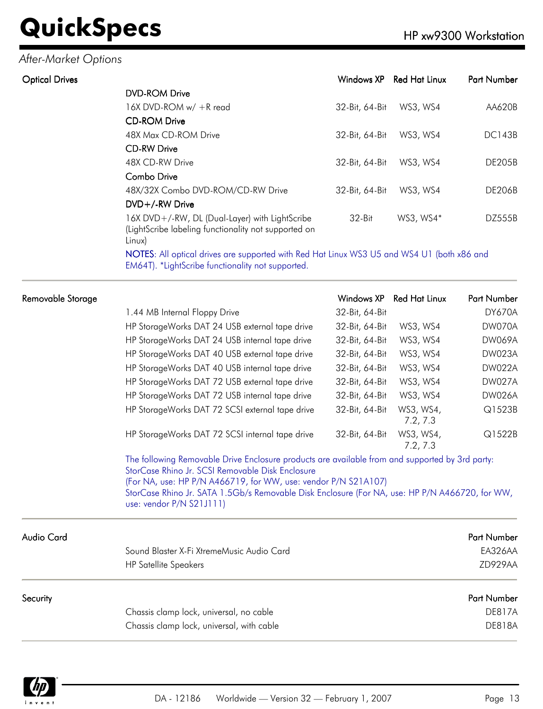#### *After-Market Options*

| <b>Optical Drives</b> |                                                                                                                  | Windows XP     | <b>Red Hat Linux</b> | Part Number   |
|-----------------------|------------------------------------------------------------------------------------------------------------------|----------------|----------------------|---------------|
|                       | <b>DVD-ROM Drive</b>                                                                                             |                |                      |               |
|                       | 16X DVD-ROM w/ +R read                                                                                           | 32-Bit, 64-Bit | WS3, WS4             | AA620B        |
|                       | <b>CD-ROM Drive</b>                                                                                              |                |                      |               |
|                       | 48X Max CD-ROM Drive                                                                                             | 32-Bit, 64-Bit | WS3, WS4             | <b>DC143B</b> |
|                       | <b>CD-RW Drive</b>                                                                                               |                |                      |               |
|                       | 48X CD-RW Drive                                                                                                  | 32-Bit, 64-Bit | WS3, WS4             | DE205B        |
|                       | Combo Drive                                                                                                      |                |                      |               |
|                       | 48X/32X Combo DVD-ROM/CD-RW Drive                                                                                | 32-Bit, 64-Bit | WS3, WS4             | <b>DE206B</b> |
|                       | DVD+/-RW Drive                                                                                                   |                |                      |               |
|                       | 16X DVD+/-RW, DL (Dual-Layer) with LightScribe<br>(LightScribe labeling functionality not supported on<br>Linux) | $32-Hit$       | WS3, WS4*            | DZ555B        |

NOTES: All optical drives are supported with Red Hat Linux WS3 U5 and WS4 U1 (both x86 and EM64T). \*LightScribe functionality not supported.

|                                                 | Windows XP                                       | <b>Red Hat Linux</b>                                           | <b>Part Number</b>                                                                                                                                                                                |
|-------------------------------------------------|--------------------------------------------------|----------------------------------------------------------------|---------------------------------------------------------------------------------------------------------------------------------------------------------------------------------------------------|
| 1.44 MB Internal Floppy Drive                   | 32-Bit, 64-Bit                                   |                                                                | DY670A                                                                                                                                                                                            |
| HP StorageWorks DAT 24 USB external tape drive  | 32-Bit, 64-Bit                                   | WS3, WS4                                                       | DW070A                                                                                                                                                                                            |
| HP StorageWorks DAT 24 USB internal tape drive  | 32-Bit, 64-Bit                                   | WS3, WS4                                                       | <b>DW069A</b>                                                                                                                                                                                     |
| HP StorageWorks DAT 40 USB external tape drive  | 32-Bit, 64-Bit                                   | WS3, WS4                                                       | DW023A                                                                                                                                                                                            |
| HP StorageWorks DAT 40 USB internal tape drive  | 32-Bit, 64-Bit                                   | WS3, WS4                                                       | <b>DW022A</b>                                                                                                                                                                                     |
| HP StorageWorks DAT 72 USB external tape drive  | 32-Bit, 64-Bit                                   | WS3, WS4                                                       | <b>DW027A</b>                                                                                                                                                                                     |
| HP StorageWorks DAT 72 USB internal tape drive  | 32-Bit, 64-Bit                                   | WS3, WS4                                                       | <b>DW026A</b>                                                                                                                                                                                     |
| HP StorageWorks DAT 72 SCSI external tape drive | 32-Bit, 64-Bit                                   | WS3, WS4,<br>7.2, 7.3                                          | Q1523B                                                                                                                                                                                            |
| HP StorageWorks DAT 72 SCSI internal tape drive | 32-Bit, 64-Bit                                   | WS3, WS4,<br>7.2, 7.3                                          | Q1522B                                                                                                                                                                                            |
| use: vendor P/N S21J111)                        |                                                  |                                                                |                                                                                                                                                                                                   |
|                                                 |                                                  |                                                                | Part Number                                                                                                                                                                                       |
| Sound Blaster X-Fi XtremeMusic Audio Card       |                                                  |                                                                | EA326AA                                                                                                                                                                                           |
| <b>HP Satellite Speakers</b>                    |                                                  |                                                                | ZD929AA                                                                                                                                                                                           |
|                                                 |                                                  |                                                                | Part Number                                                                                                                                                                                       |
| Chassis clamp lock, universal, no cable         |                                                  |                                                                | <b>DE817A</b>                                                                                                                                                                                     |
|                                                 |                                                  |                                                                |                                                                                                                                                                                                   |
|                                                 | StorCase Rhino Jr. SCSI Removable Disk Enclosure | (For NA, use: HP P/N A466719, for WW, use: vendor P/N S21A107) | The following Removable Drive Enclosure products are available from and supported by 3rd party:<br>StorCase Rhino Jr. SATA 1.5Gb/s Removable Disk Enclosure (For NA, use: HP P/N A466720, for WW, |

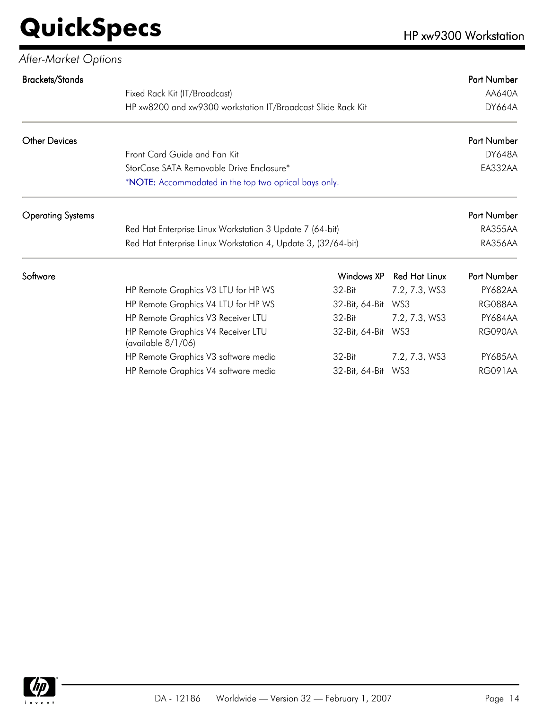| After-Market Options     |                                                               |                    |                      |                    |
|--------------------------|---------------------------------------------------------------|--------------------|----------------------|--------------------|
| <b>Brackets/Stands</b>   |                                                               |                    |                      | <b>Part Number</b> |
|                          | Fixed Rack Kit (IT/Broadcast)                                 |                    |                      | AA640A             |
|                          | HP xw8200 and xw9300 workstation IT/Broadcast Slide Rack Kit  |                    |                      | <b>DY664A</b>      |
| <b>Other Devices</b>     |                                                               |                    |                      | Part Number        |
|                          | Front Card Guide and Fan Kit                                  |                    |                      | <b>DY648A</b>      |
|                          | StorCase SATA Removable Drive Enclosure*                      |                    |                      | EA332AA            |
|                          | *NOTE: Accommodated in the top two optical bays only.         |                    |                      |                    |
| <b>Operating Systems</b> |                                                               |                    |                      | Part Number        |
|                          | Red Hat Enterprise Linux Workstation 3 Update 7 (64-bit)      |                    |                      | RA355AA            |
|                          | Red Hat Enterprise Linux Workstation 4, Update 3, (32/64-bit) |                    |                      | RA356AA            |
| Software                 |                                                               | Windows XP         | <b>Red Hat Linux</b> | Part Number        |
|                          | HP Remote Graphics V3 LTU for HP WS                           | $32-Hit$           | 7.2, 7.3, WS3        | <b>PY682AA</b>     |
|                          | HP Remote Graphics V4 LTU for HP WS                           | 32-Bit, 64-Bit     | WS3                  | RG088AA            |
|                          | HP Remote Graphics V3 Receiver LTU                            | 32-Bit             | 7.2, 7.3, WS3        | <b>PY684AA</b>     |
|                          | HP Remote Graphics V4 Receiver LTU<br>(available 8/1/06)      | 32-Bit, 64-Bit WS3 |                      | RG090AA            |
|                          | HP Remote Graphics V3 software media                          | 32-Bit             | 7.2, 7.3, WS3        | <b>PY685AA</b>     |
|                          | HP Remote Graphics V4 software media                          | 32-Bit, 64-Bit WS3 |                      | <b>RG091AA</b>     |

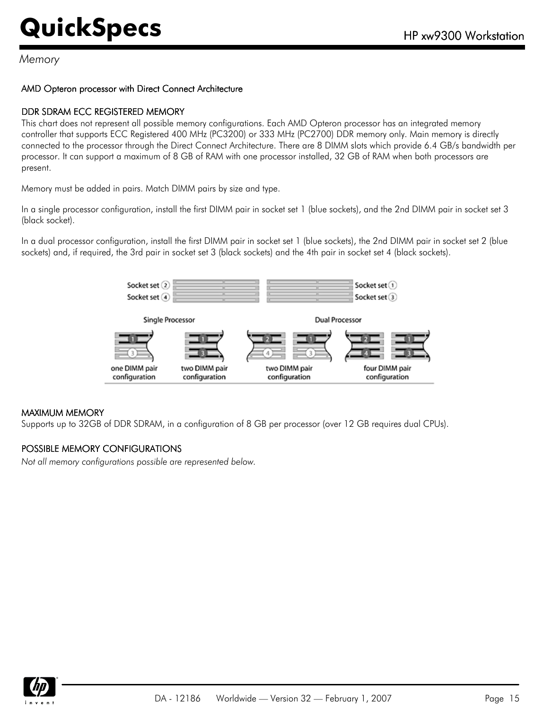#### *Memory*

#### AMD Opteron processor with Direct Connect Architecture

#### DDR SDRAM ECC REGISTERED MEMORY

This chart does not represent all possible memory configurations. Each AMD Opteron processor has an integrated memory controller that supports ECC Registered 400 MHz (PC3200) or 333 MHz (PC2700) DDR memory only. Main memory is directly connected to the processor through the Direct Connect Architecture. There are 8 DIMM slots which provide 6.4 GB/s bandwidth per processor. It can support a maximum of 8 GB of RAM with one processor installed, 32 GB of RAM when both processors are present.

Memory must be added in pairs. Match DIMM pairs by size and type.

In a single processor configuration, install the first DIMM pair in socket set 1 (blue sockets), and the 2nd DIMM pair in socket set 3 (black socket).

In a dual processor configuration, install the first DIMM pair in socket set 1 (blue sockets), the 2nd DIMM pair in socket set 2 (blue sockets) and, if required, the 3rd pair in socket set 3 (black sockets) and the 4th pair in socket set 4 (black sockets).



#### MAXIMUM MEMORY

Supports up to 32GB of DDR SDRAM, in a configuration of 8 GB per processor (over 12 GB requires dual CPUs).

#### POSSIBLE MEMORY CONFIGURATIONS

*Not all memory configurations possible are represented below.*

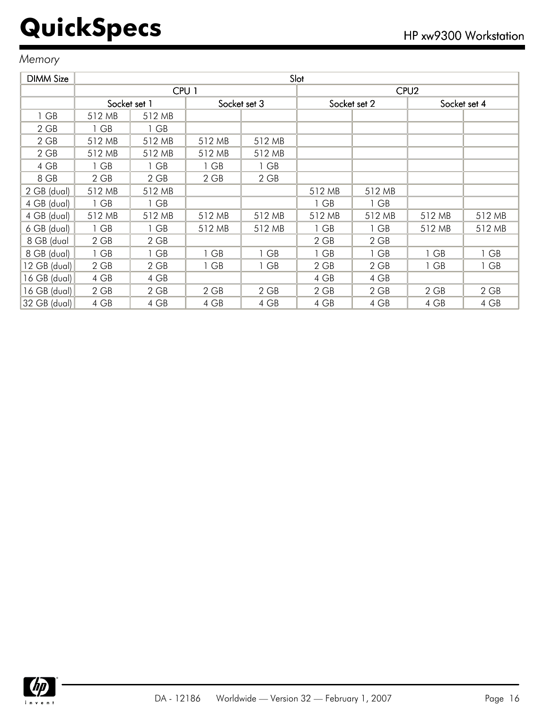#### *Memory*

| <b>DIMM Size</b> | Slot         |                  |        |              |        |              |                  |              |
|------------------|--------------|------------------|--------|--------------|--------|--------------|------------------|--------------|
|                  |              | CPU <sub>1</sub> |        |              |        |              | CPU <sub>2</sub> |              |
|                  | Socket set 1 |                  |        | Socket set 3 |        | Socket set 2 |                  | Socket set 4 |
| 1 GB             | 512 MB       | 512 MB           |        |              |        |              |                  |              |
| 2 GB             | 1 GB         | 1 GB             |        |              |        |              |                  |              |
| $2$ GB           | 512 MB       | 512 MB           | 512 MB | 512 MB       |        |              |                  |              |
| $2$ GB           | 512 MB       | 512 MB           | 512 MB | 512 MB       |        |              |                  |              |
| 4 GB             | 1 GB         | 1 GB             | 1 GB   | 1 GB         |        |              |                  |              |
| 8 GB             | $2$ GB       | $2$ GB           | $2$ GB | $2$ GB       |        |              |                  |              |
| 2 GB (dual)      | 512 MB       | 512 MB           |        |              | 512 MB | 512 MB       |                  |              |
| 4 GB (dual)      | 1 GB         | $1$ GB           |        |              | 1 GB   | 1 GB         |                  |              |
| 4 GB (dual)      | 512 MB       | 512 MB           | 512 MB | 512 MB       | 512 MB | 512 MB       | 512 MB           | 512 MB       |
| 6 GB (dual)      | 1 GB         | 1 GB             | 512 MB | 512 MB       | 1 GB   | 1 GB         | 512 MB           | 512 MB       |
| 8 GB (dual       | 2 GB         | 2 GB             |        |              | $2$ GB | 2 GB         |                  |              |
| 8 GB (dual)      | 1 GB         | 1 GB             | 1 GB   | 1 GB         | 1 GB   | 1 GB         | 1 GB             | 1 GB         |
| 12 GB (dual)     | 2 GB         | 2 GB             | $1$ GB | 1 GB         | $2$ GB | $2$ GB       | 1 GB             | 1 GB         |
| 16 GB (dual)     | 4 GB         | 4 GB             |        |              | 4 GB   | 4 GB         |                  |              |
| $16$ GB (dual)   | 2 GB         | $2$ GB           | $2$ GB | 2 GB         | $2$ GB | 2 GB         | $2$ GB           | $2$ GB       |
| 32 GB (dual)     | 4 GB         | 4 GB             | 4 GB   | 4 GB         | 4 GB   | 4 GB         | 4 GB             | 4 GB         |

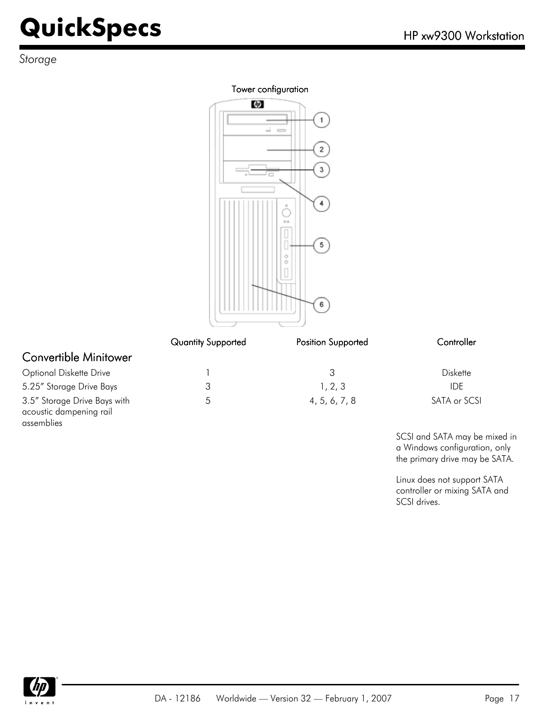*Storage*

#### Tower configuration



|                                                                       | <b>Quantity Supported</b> | <b>Position Supported</b> | Controller   |
|-----------------------------------------------------------------------|---------------------------|---------------------------|--------------|
| <b>Convertible Minitower</b>                                          |                           |                           |              |
| <b>Optional Diskette Drive</b>                                        |                           | 3                         | Diskette     |
| 5.25" Storage Drive Bays                                              | 3                         | 1, 2, 3                   | <b>IDE</b>   |
| 3.5" Storage Drive Bays with<br>acoustic dampening rail<br>assemblies | 5                         | 4, 5, 6, 7, 8             | SATA or SCSI |

SCSI and SATA may be mixed in a Windows configuration, only the primary drive may be SATA.

Linux does not support SATA controller or mixing SATA and SCSI drives.

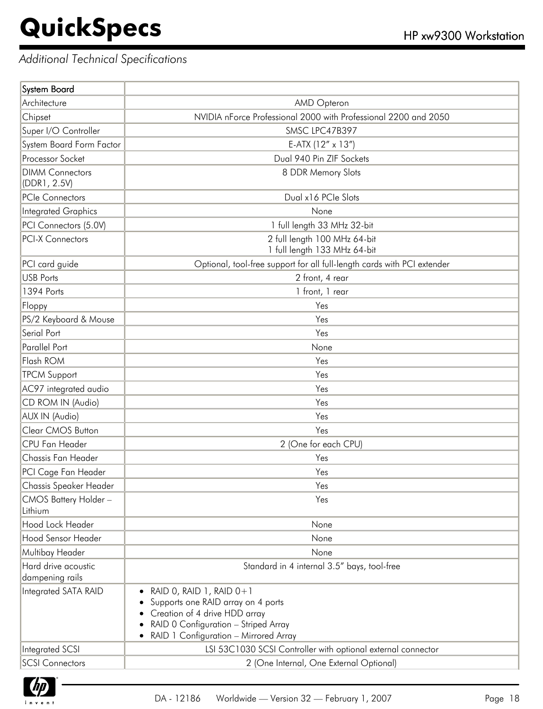#### *Additional Technical Specifications*

| <b>System Board</b>                    |                                                                                                                                                                                    |
|----------------------------------------|------------------------------------------------------------------------------------------------------------------------------------------------------------------------------------|
| Architecture                           | AMD Opteron                                                                                                                                                                        |
| Chipset                                | NVIDIA nForce Professional 2000 with Professional 2200 and 2050                                                                                                                    |
| Super I/O Controller                   | SMSC LPC47B397                                                                                                                                                                     |
| System Board Form Factor               | E-ATX (12" x 13")                                                                                                                                                                  |
| Processor Socket                       | Dual 940 Pin ZIF Sockets                                                                                                                                                           |
| <b>DIMM Connectors</b><br>(DDR1, 2.5V) | 8 DDR Memory Slots                                                                                                                                                                 |
| <b>PCIe Connectors</b>                 | Dual x16 PCIe Slots                                                                                                                                                                |
| Integrated Graphics                    | None                                                                                                                                                                               |
| PCI Connectors (5.0V)                  | 1 full length 33 MHz 32-bit                                                                                                                                                        |
| <b>PCI-X Connectors</b>                | 2 full length 100 MHz 64-bit<br>1 full length 133 MHz 64-bit                                                                                                                       |
| PCI card guide                         | Optional, tool-free support for all full-length cards with PCI extender                                                                                                            |
| <b>USB Ports</b>                       | 2 front, 4 rear                                                                                                                                                                    |
| 1394 Ports                             | 1 front, 1 rear                                                                                                                                                                    |
| Floppy                                 | Yes                                                                                                                                                                                |
| PS/2 Keyboard & Mouse                  | Yes                                                                                                                                                                                |
| Serial Port                            | Yes                                                                                                                                                                                |
| Parallel Port                          | None                                                                                                                                                                               |
| Flash ROM                              | Yes                                                                                                                                                                                |
| <b>TPCM Support</b>                    | Yes                                                                                                                                                                                |
| AC97 integrated audio                  | Yes                                                                                                                                                                                |
| CD ROM IN (Audio)                      | Yes                                                                                                                                                                                |
| <b>AUX IN (Audio)</b>                  | Yes                                                                                                                                                                                |
| Clear CMOS Button                      | Yes                                                                                                                                                                                |
| CPU Fan Header                         | 2 (One for each CPU)                                                                                                                                                               |
| Chassis Fan Header                     | Yes                                                                                                                                                                                |
| PCI Cage Fan Header                    | Yes                                                                                                                                                                                |
| Chassis Speaker Header                 | Yes                                                                                                                                                                                |
| CMOS Battery Holder-<br>Lithium        | Yes                                                                                                                                                                                |
| Hood Lock Header                       | None                                                                                                                                                                               |
| Hood Sensor Header                     | None                                                                                                                                                                               |
| Multibay Header                        | None                                                                                                                                                                               |
| Hard drive acoustic<br>dampening rails | Standard in 4 internal 3.5" bays, tool-free                                                                                                                                        |
| Integrated SATA RAID                   | RAID 0, RAID 1, RAID $0+1$<br>Supports one RAID array on 4 ports<br>Creation of 4 drive HDD array<br>RAID 0 Configuration - Striped Array<br>RAID 1 Configuration - Mirrored Array |
| Integrated SCSI                        | LSI 53C1030 SCSI Controller with optional external connector                                                                                                                       |
| <b>SCSI Connectors</b>                 | 2 (One Internal, One External Optional)                                                                                                                                            |

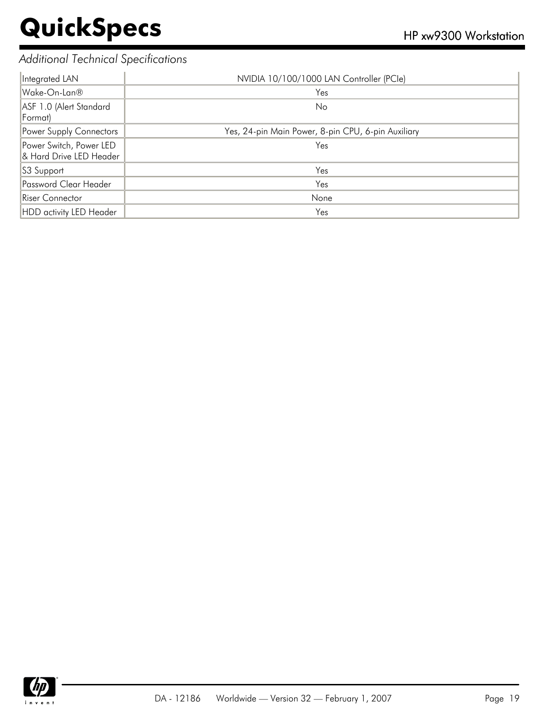#### *Additional Technical Specifications*

| Integrated LAN                                     | NVIDIA 10/100/1000 LAN Controller (PCle)           |
|----------------------------------------------------|----------------------------------------------------|
| Wake-On-Lan®                                       | Yes                                                |
| ASF 1.0 (Alert Standard<br>Format)                 | N <sub>o</sub>                                     |
| Power Supply Connectors                            | Yes, 24-pin Main Power, 8-pin CPU, 6-pin Auxiliary |
| Power Switch, Power LED<br>& Hard Drive LED Header | Yes                                                |
| S3 Support                                         | Yes                                                |
| Password Clear Header                              | Yes                                                |
| Riser Connector                                    | None                                               |
| HDD activity LED Header                            | Yes                                                |

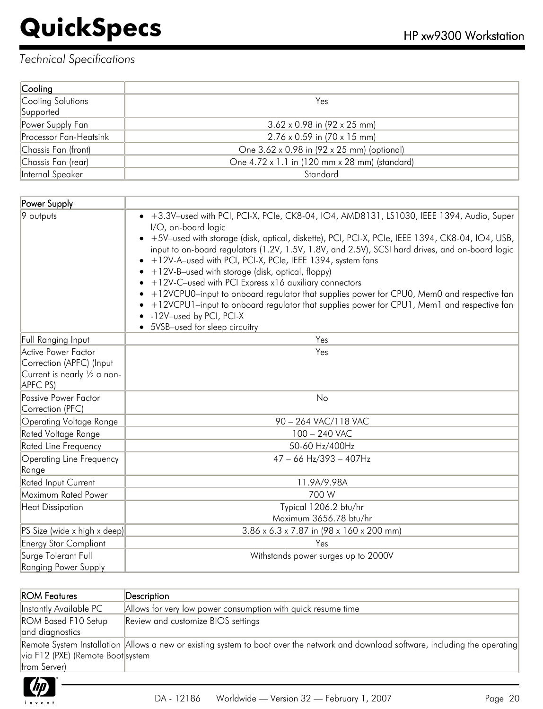| Cooling                |                                               |
|------------------------|-----------------------------------------------|
| Cooling Solutions      | Yes                                           |
| Supported              |                                               |
| Power Supply Fan       | $3.62 \times 0.98$ in (92 x 25 mm)            |
| Processor Fan-Heatsink | $2.76 \times 0.59$ in (70 x 15 mm)            |
| Chassis Fan (front)    | One 3.62 x 0.98 in (92 x 25 mm) (optional)    |
| Chassis Fan (rear)     | One 4.72 x 1.1 in (120 mm x 28 mm) (standard) |
| Internal Speaker       | Standard                                      |

| Power Supply                                                                                |                                                                                                                                                                                                                                                                                                                                                                                                                                                                                                                                                                                                                                                                                                                                                                                        |
|---------------------------------------------------------------------------------------------|----------------------------------------------------------------------------------------------------------------------------------------------------------------------------------------------------------------------------------------------------------------------------------------------------------------------------------------------------------------------------------------------------------------------------------------------------------------------------------------------------------------------------------------------------------------------------------------------------------------------------------------------------------------------------------------------------------------------------------------------------------------------------------------|
| 9 outputs                                                                                   | • +3.3V-used with PCI, PCI-X, PCIe, CK8-04, IO4, AMD8131, LS1030, IEEE 1394, Audio, Super<br>I/O, on-board logic<br>• +5V-used with storage (disk, optical, diskette), PCI, PCI-X, PCIe, IEEE 1394, CK8-04, IO4, USB,<br>input to on-board regulators (1.2V, 1.5V, 1.8V, and 2.5V), SCSI hard drives, and on-board logic<br>• +12V-A-used with PCI, PCI-X, PCIe, IEEE 1394, system fans<br>$\bullet$ +12V-B-used with storage (disk, optical, floppy)<br>$\bullet$ +12V-C-used with PCI Express x16 auxiliary connectors<br>• +12VCPU0-input to onboard regulator that supplies power for CPU0, Mem0 and respective fan<br>• +12VCPU1-input to onboard regulator that supplies power for CPU1, Mem1 and respective fan<br>• -12V-used by PCI, PCI-X<br>• 5VSB-used for sleep circuitry |
| Full Ranging Input                                                                          | Yes                                                                                                                                                                                                                                                                                                                                                                                                                                                                                                                                                                                                                                                                                                                                                                                    |
| Active Power Factor<br>Correction (APFC) (Input<br>Current is nearly 1/2 a non-<br>APFC PS) | Yes                                                                                                                                                                                                                                                                                                                                                                                                                                                                                                                                                                                                                                                                                                                                                                                    |
| Passive Power Factor<br>Correction (PFC)                                                    | No                                                                                                                                                                                                                                                                                                                                                                                                                                                                                                                                                                                                                                                                                                                                                                                     |
| Operating Voltage Range                                                                     | 90 - 264 VAC/118 VAC                                                                                                                                                                                                                                                                                                                                                                                                                                                                                                                                                                                                                                                                                                                                                                   |
| Rated Voltage Range                                                                         | $100 - 240$ VAC                                                                                                                                                                                                                                                                                                                                                                                                                                                                                                                                                                                                                                                                                                                                                                        |
| Rated Line Frequency                                                                        | 50-60 Hz/400Hz                                                                                                                                                                                                                                                                                                                                                                                                                                                                                                                                                                                                                                                                                                                                                                         |
| Operating Line Frequency<br>Range                                                           | $47 - 66$ Hz/393 - 407Hz                                                                                                                                                                                                                                                                                                                                                                                                                                                                                                                                                                                                                                                                                                                                                               |
| <b>Rated Input Current</b>                                                                  | 11.9A/9.98A                                                                                                                                                                                                                                                                                                                                                                                                                                                                                                                                                                                                                                                                                                                                                                            |
| Maximum Rated Power                                                                         | 700 W                                                                                                                                                                                                                                                                                                                                                                                                                                                                                                                                                                                                                                                                                                                                                                                  |
| <b>Heat Dissipation</b>                                                                     | Typical 1206.2 btu/hr<br>Maximum 3656.78 btu/hr                                                                                                                                                                                                                                                                                                                                                                                                                                                                                                                                                                                                                                                                                                                                        |
| PS Size (wide x high x deep)                                                                | 3.86 x 6.3 x 7.87 in (98 x 160 x 200 mm)                                                                                                                                                                                                                                                                                                                                                                                                                                                                                                                                                                                                                                                                                                                                               |
| Energy Star Compliant                                                                       | Yes                                                                                                                                                                                                                                                                                                                                                                                                                                                                                                                                                                                                                                                                                                                                                                                    |
| Surge Tolerant Full<br>Ranging Power Supply                                                 | Withstands power surges up to 2000V                                                                                                                                                                                                                                                                                                                                                                                                                                                                                                                                                                                                                                                                                                                                                    |

| <b>ROM Features</b>               | $\mathsf{Description}$                                                                                                             |
|-----------------------------------|------------------------------------------------------------------------------------------------------------------------------------|
| Instantly Available PC            | Allows for very low power consumption with quick resume time                                                                       |
| <b>ROM Based F10 Setup</b>        | Review and customize BIOS settings                                                                                                 |
| and diagnostics                   |                                                                                                                                    |
|                                   | Remote System Installation Allows a new or existing system to boot over the network and download software, including the operating |
| via F12 (PXE) (Remote Boot system |                                                                                                                                    |
| from Server)                      |                                                                                                                                    |
|                                   |                                                                                                                                    |

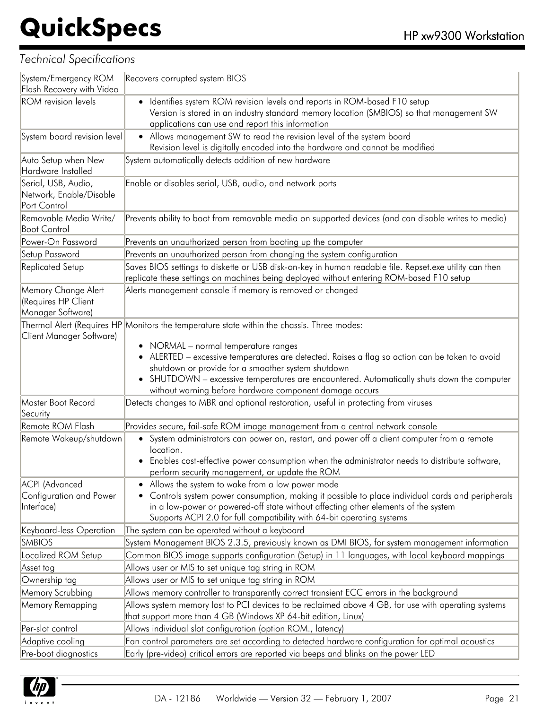| System/Emergency ROM<br>Flash Recovery with Video               | Recovers corrupted system BIOS                                                                                                                                                                                                                                                                                                                                                                                                                  |
|-----------------------------------------------------------------|-------------------------------------------------------------------------------------------------------------------------------------------------------------------------------------------------------------------------------------------------------------------------------------------------------------------------------------------------------------------------------------------------------------------------------------------------|
| <b>ROM</b> revision levels                                      | Identifies system ROM revision levels and reports in ROM-based F10 setup<br>Version is stored in an industry standard memory location (SMBIOS) so that management SW<br>applications can use and report this information                                                                                                                                                                                                                        |
| System board revision level                                     | • Allows management SW to read the revision level of the system board<br>Revision level is digitally encoded into the hardware and cannot be modified                                                                                                                                                                                                                                                                                           |
| Auto Setup when New<br>Hardware Installed                       | System automatically detects addition of new hardware                                                                                                                                                                                                                                                                                                                                                                                           |
| Serial, USB, Audio,<br>Network, Enable/Disable<br>Port Control  | Enable or disables serial, USB, audio, and network ports                                                                                                                                                                                                                                                                                                                                                                                        |
| Removable Media Write/<br><b>Boot Control</b>                   | Prevents ability to boot from removable media on supported devices (and can disable writes to media)                                                                                                                                                                                                                                                                                                                                            |
| Power-On Password                                               | Prevents an unauthorized person from booting up the computer                                                                                                                                                                                                                                                                                                                                                                                    |
| Setup Password                                                  | Prevents an unauthorized person from changing the system configuration                                                                                                                                                                                                                                                                                                                                                                          |
| Replicated Setup                                                | Saves BIOS settings to diskette or USB disk-on-key in human readable file. Repset.exe utility can then<br>replicate these settings on machines being deployed without entering ROM-based F10 setup                                                                                                                                                                                                                                              |
| Memory Change Alert<br>(Requires HP Client<br>Manager Software) | Alerts management console if memory is removed or changed                                                                                                                                                                                                                                                                                                                                                                                       |
| Client Manager Software)                                        | Thermal Alert (Requires HP Monitors the temperature state within the chassis. Three modes:<br>• NORMAL - normal temperature ranges<br>ALERTED - excessive temperatures are detected. Raises a flag so action can be taken to avoid<br>shutdown or provide for a smoother system shutdown<br>SHUTDOWN - excessive temperatures are encountered. Automatically shuts down the computer<br>without warning before hardware component damage occurs |
| Master Boot Record<br>Security                                  | Detects changes to MBR and optional restoration, useful in protecting from viruses                                                                                                                                                                                                                                                                                                                                                              |
| Remote ROM Flash                                                | Provides secure, fail-safe ROM image management from a central network console                                                                                                                                                                                                                                                                                                                                                                  |
| Remote Wakeup/shutdown                                          | System administrators can power on, restart, and power off a client computer from a remote<br>$\bullet$<br>location.<br>Enables cost-effective power consumption when the administrator needs to distribute software,<br>$\bullet$<br>perform security management, or update the ROM                                                                                                                                                            |
| <b>ACPI</b> (Advanced<br>Configuration and Power<br>Interface)  | • Allows the system to wake from a low power mode<br>• Controls system power consumption, making it possible to place individual cards and peripherals<br>in a low-power or powered-off state without affecting other elements of the system<br>Supports ACPI 2.0 for full compatibility with 64-bit operating systems                                                                                                                          |
| Keyboard-less Operation                                         | The system can be operated without a keyboard                                                                                                                                                                                                                                                                                                                                                                                                   |
| <b>SMBIOS</b>                                                   | System Management BIOS 2.3.5, previously known as DMI BIOS, for system management information                                                                                                                                                                                                                                                                                                                                                   |
| Localized ROM Setup                                             | Common BIOS image supports configuration (Setup) in 11 languages, with local keyboard mappings                                                                                                                                                                                                                                                                                                                                                  |
| Asset tag                                                       | Allows user or MIS to set unique tag string in ROM                                                                                                                                                                                                                                                                                                                                                                                              |
| Ownership tag                                                   | Allows user or MIS to set unique tag string in ROM                                                                                                                                                                                                                                                                                                                                                                                              |
| Memory Scrubbing                                                | Allows memory controller to transparently correct transient ECC errors in the background                                                                                                                                                                                                                                                                                                                                                        |
| Memory Remapping                                                | Allows system memory lost to PCI devices to be reclaimed above 4 GB, for use with operating systems<br>that support more than 4 GB (Windows XP 64-bit edition, Linux)                                                                                                                                                                                                                                                                           |
| Per-slot control                                                | Allows individual slot configuration (option ROM., latency)                                                                                                                                                                                                                                                                                                                                                                                     |
| Adaptive cooling                                                | Fan control parameters are set according to detected hardware configuration for optimal acoustics                                                                                                                                                                                                                                                                                                                                               |
| Pre-boot diagnostics                                            | Early (pre-video) critical errors are reported via beeps and blinks on the power LED                                                                                                                                                                                                                                                                                                                                                            |

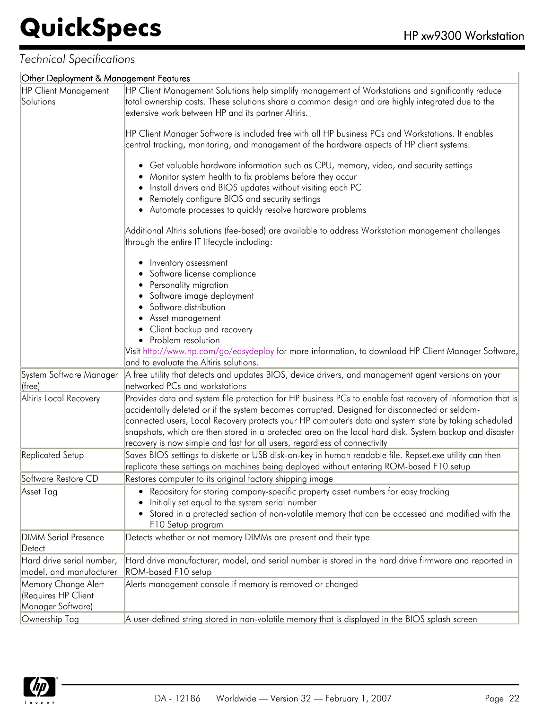#### *Technical Specifications*

#### Other Deployment & Management Features

| <b>HP Client Management</b> | HP Client Management Solutions help simplify management of Workstations and significantly reduce                                                                                                                                                                                                                            |
|-----------------------------|-----------------------------------------------------------------------------------------------------------------------------------------------------------------------------------------------------------------------------------------------------------------------------------------------------------------------------|
| Solutions                   | total ownership costs. These solutions share a common design and are highly integrated due to the                                                                                                                                                                                                                           |
|                             | extensive work between HP and its partner Altiris.                                                                                                                                                                                                                                                                          |
|                             |                                                                                                                                                                                                                                                                                                                             |
|                             | HP Client Manager Software is included free with all HP business PCs and Workstations. It enables<br>central tracking, monitoring, and management of the hardware aspects of HP client systems:                                                                                                                             |
|                             | • Get valuable hardware information such as CPU, memory, video, and security settings<br>Monitor system health to fix problems before they occur<br>Install drivers and BIOS updates without visiting each PC<br>Remotely configure BIOS and security settings<br>• Automate processes to quickly resolve hardware problems |
|                             | Additional Altiris solutions (fee-based) are available to address Workstation management challenges<br>through the entire IT lifecycle including:                                                                                                                                                                           |
|                             | Inventory assessment                                                                                                                                                                                                                                                                                                        |
|                             | Software license compliance                                                                                                                                                                                                                                                                                                 |
|                             | Personality migration                                                                                                                                                                                                                                                                                                       |
|                             | Software image deployment                                                                                                                                                                                                                                                                                                   |
|                             | Software distribution                                                                                                                                                                                                                                                                                                       |
|                             | Asset management                                                                                                                                                                                                                                                                                                            |
|                             | Client backup and recovery                                                                                                                                                                                                                                                                                                  |
|                             | • Problem resolution                                                                                                                                                                                                                                                                                                        |
|                             | Visit http://www.hp.com/go/easydeploy for more information, to download HP Client Manager Software,<br>and to evaluate the Altiris solutions.                                                                                                                                                                               |
|                             |                                                                                                                                                                                                                                                                                                                             |
| System Software Manager     | A free utility that detects and updates BIOS, device drivers, and management agent versions on your                                                                                                                                                                                                                         |
| (free)                      | networked PCs and workstations                                                                                                                                                                                                                                                                                              |
| Altiris Local Recovery      | Provides data and system file protection for HP business PCs to enable fast recovery of information that is<br>accidentally deleted or if the system becomes corrupted. Designed for disconnected or seldom-                                                                                                                |
|                             | connected users, Local Recovery protects your HP computer's data and system state by taking scheduled                                                                                                                                                                                                                       |
|                             | snapshots, which are then stored in a protected area on the local hard disk. System backup and disaster                                                                                                                                                                                                                     |
|                             | recovery is now simple and fast for all users, regardless of connectivity                                                                                                                                                                                                                                                   |
| Replicated Setup            | Saves BIOS settings to diskette or USB disk-on-key in human readable file. Repset.exe utility can then<br>replicate these settings on machines being deployed without entering ROM-based F10 setup                                                                                                                          |
| Software Restore CD         | Restores computer to its original factory shipping image                                                                                                                                                                                                                                                                    |
| Asset Tag                   | • Repository for storing company-specific property asset numbers for easy tracking<br>Initially set equal to the system serial number                                                                                                                                                                                       |
|                             | Stored in a protected section of non-volatile memory that can be accessed and modified with the<br>F10 Setup program                                                                                                                                                                                                        |
| <b>DIMM Serial Presence</b> | Detects whether or not memory DIMMs are present and their type                                                                                                                                                                                                                                                              |
| Detect                      |                                                                                                                                                                                                                                                                                                                             |
| Hard drive serial number,   | Hard drive manufacturer, model, and serial number is stored in the hard drive firmware and reported in                                                                                                                                                                                                                      |
| model, and manufacturer     | ROM-based F10 setup                                                                                                                                                                                                                                                                                                         |
| Memory Change Alert         | Alerts management console if memory is removed or changed                                                                                                                                                                                                                                                                   |
| (Requires HP Client         |                                                                                                                                                                                                                                                                                                                             |
| Manager Software)           |                                                                                                                                                                                                                                                                                                                             |
| Ownership Tag               | A user-defined string stored in non-volatile memory that is displayed in the BIOS splash screen                                                                                                                                                                                                                             |

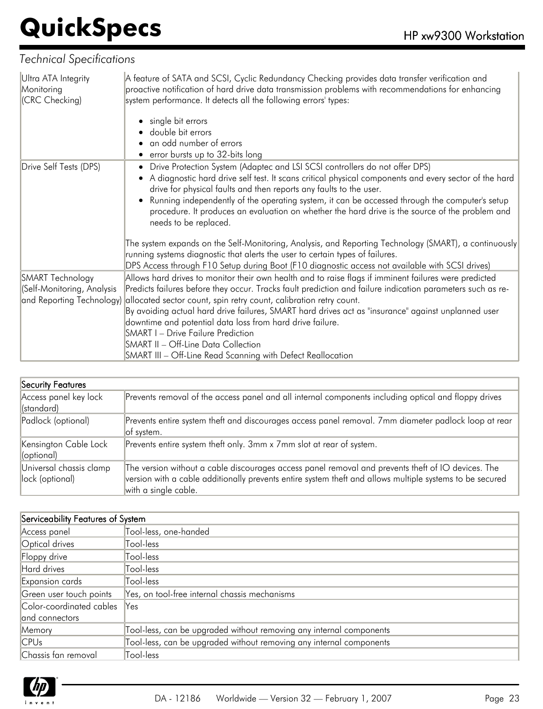| Ultra ATA Integrity<br>Monitoring<br>(CRC Checking) | A feature of SATA and SCSI, Cyclic Redundancy Checking provides data transfer verification and<br>proactive notification of hard drive data transmission problems with recommendations for enhancing<br>system performance. It detects all the following errors' types: |
|-----------------------------------------------------|-------------------------------------------------------------------------------------------------------------------------------------------------------------------------------------------------------------------------------------------------------------------------|
|                                                     | single bit errors                                                                                                                                                                                                                                                       |
|                                                     | double bit errors                                                                                                                                                                                                                                                       |
|                                                     | an odd number of errors                                                                                                                                                                                                                                                 |
|                                                     | • error bursts up to 32-bits long                                                                                                                                                                                                                                       |
| Drive Self Tests (DPS)                              | • Drive Protection System (Adaptec and LSI SCSI controllers do not offer DPS)<br>A diagnostic hard drive self test. It scans critical physical components and every sector of the hard<br>drive for physical faults and then reports any faults to the user.            |
|                                                     | Running independently of the operating system, it can be accessed through the computer's setup<br>procedure. It produces an evaluation on whether the hard drive is the source of the problem and<br>needs to be replaced.                                              |
|                                                     | The system expands on the Self-Monitoring, Analysis, and Reporting Technology (SMART), a continuously<br>running systems diagnostic that alerts the user to certain types of failures.                                                                                  |
|                                                     | DPS Access through F10 Setup during Boot (F10 diagnostic access not available with SCSI drives)                                                                                                                                                                         |
| SMART Technology                                    | Allows hard drives to monitor their own health and to raise flags if imminent failures were predicted                                                                                                                                                                   |
| (Self-Monitoring, Analysis                          | Predicts failures before they occur. Tracks fault prediction and failure indication parameters such as re-                                                                                                                                                              |
|                                                     | and Reporting Technology) allocated sector count, spin retry count, calibration retry count.                                                                                                                                                                            |
|                                                     | By avoiding actual hard drive failures, SMART hard drives act as "insurance" against unplanned user                                                                                                                                                                     |
|                                                     | downtime and potential data loss from hard drive failure.                                                                                                                                                                                                               |
|                                                     | <b>SMART I - Drive Failure Prediction</b>                                                                                                                                                                                                                               |
|                                                     | <b>SMART II - Off-Line Data Collection</b><br>SMART III - Off-Line Read Scanning with Defect Reallocation                                                                                                                                                               |
|                                                     |                                                                                                                                                                                                                                                                         |

| Security Features                          |                                                                                                                                                                                                                                        |
|--------------------------------------------|----------------------------------------------------------------------------------------------------------------------------------------------------------------------------------------------------------------------------------------|
| Access panel key lock<br>(standard)        | Prevents removal of the access panel and all internal components including optical and floppy drives                                                                                                                                   |
| Padlock (optional)                         | Prevents entire system theft and discourages access panel removal. 7mm diameter padlock loop at rear<br>of system.                                                                                                                     |
| Kensington Cable Lock<br>(optional)        | Prevents entire system theft only. 3mm x 7mm slot at rear of system.                                                                                                                                                                   |
| Universal chassis clamp<br>lock (optional) | The version without a cable discourages access panel removal and prevents theft of IO devices. The<br>version with a cable additionally prevents entire system theft and allows multiple systems to be secured<br>with a single cable. |

| Serviceability Features of System |                                                                     |
|-----------------------------------|---------------------------------------------------------------------|
| Access panel                      | Tool-less, one-handed                                               |
| Optical drives                    | Tool-less                                                           |
| Floppy drive                      | Tool-less                                                           |
| Hard drives                       | Tool-less                                                           |
| Expansion cards                   | Tool-less                                                           |
| Green user touch points           | Yes, on tool-free internal chassis mechanisms                       |
| Color-coordinated cables          | Yes                                                                 |
| and connectors                    |                                                                     |
| Memory                            | Tool-less, can be upgraded without removing any internal components |
| CPUs                              | Tool-less, can be upgraded without removing any internal components |
| Chassis fan removal               | Tool-less                                                           |

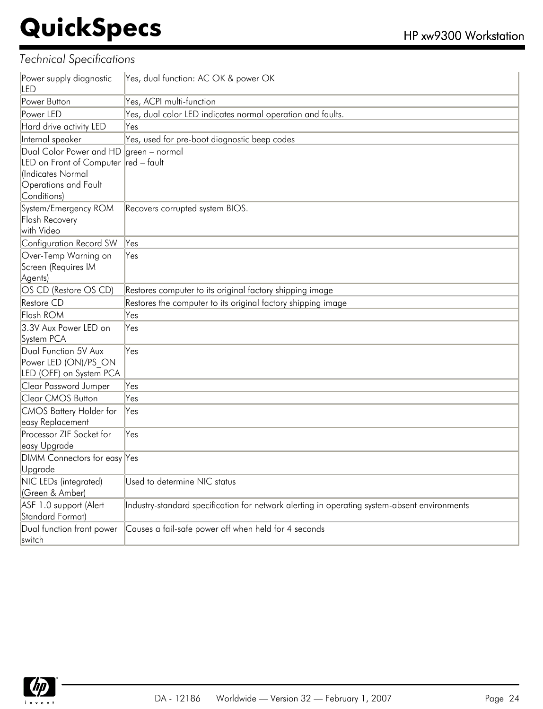| Power supply diagnostic<br>LED                                                                                              | Yes, dual function: AC OK & power OK                                                         |
|-----------------------------------------------------------------------------------------------------------------------------|----------------------------------------------------------------------------------------------|
| Power Button                                                                                                                | Yes, ACPI multi-function                                                                     |
| Power LED                                                                                                                   | Yes, dual color LED indicates normal operation and faults.                                   |
| Hard drive activity LED                                                                                                     | Yes                                                                                          |
| Internal speaker                                                                                                            | Yes, used for pre-boot diagnostic beep codes                                                 |
| Dual Color Power and HD<br>LED on Front of Computer red - fault<br>(Indicates Normal<br>Operations and Fault<br>Conditions) | green - normal                                                                               |
| System/Emergency ROM<br><b>Flash Recovery</b><br>with Video                                                                 | Recovers corrupted system BIOS.                                                              |
| Configuration Record SW                                                                                                     | Yes                                                                                          |
| Over-Temp Warning on<br>Screen (Requires IM<br>Agents)                                                                      | Yes                                                                                          |
| OS CD (Restore OS CD)                                                                                                       | Restores computer to its original factory shipping image                                     |
| <b>Restore CD</b>                                                                                                           | Restores the computer to its original factory shipping image                                 |
| Flash ROM                                                                                                                   | Yes                                                                                          |
| 3.3V Aux Power LED on<br>System PCA                                                                                         | Yes                                                                                          |
| Dual Function 5V Aux<br>Power LED (ON)/PS ON<br>LED (OFF) on System PCA                                                     | Yes                                                                                          |
| Clear Password Jumper                                                                                                       | Yes                                                                                          |
| <b>Clear CMOS Button</b>                                                                                                    | Yes                                                                                          |
| <b>CMOS Battery Holder for</b><br>easy Replacement                                                                          | Yes                                                                                          |
| Processor ZIF Socket for<br>easy Upgrade                                                                                    | Yes                                                                                          |
| DIMM Connectors for easy Yes<br>Upgrade                                                                                     |                                                                                              |
| NIC LEDs (integrated)<br>(Green & Amber)                                                                                    | Used to determine NIC status                                                                 |
| ASF 1.0 support (Alert<br>Standard Format)                                                                                  | Industry-standard specification for network alerting in operating system-absent environments |
| Dual function front power<br>switch                                                                                         | Causes a fail-safe power off when held for 4 seconds                                         |

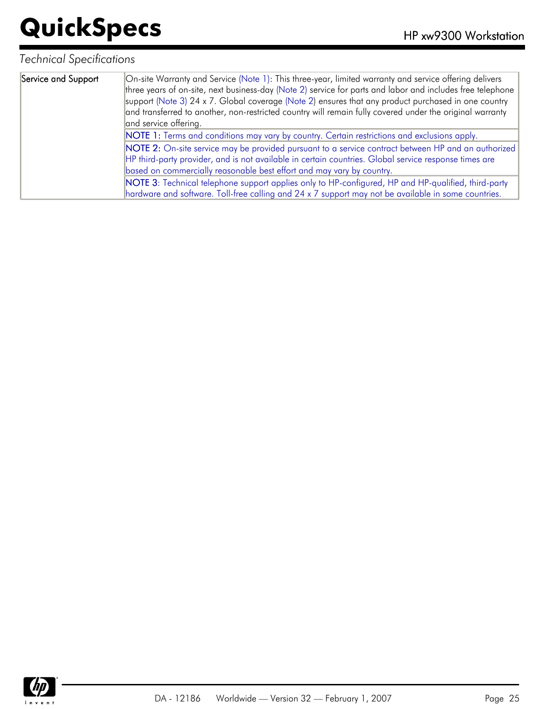| Service and Support | On-site Warranty and Service (Note 1): This three-year, limited warranty and service offering delivers<br>three years of on-site, next business-day (Note 2) service for parts and labor and includes free telephone<br>support (Note 3) 24 x 7. Global coverage (Note 2) ensures that any product purchased in one country<br>and transferred to another, non-restricted country will remain fully covered under the original warranty<br>and service offering. |
|---------------------|------------------------------------------------------------------------------------------------------------------------------------------------------------------------------------------------------------------------------------------------------------------------------------------------------------------------------------------------------------------------------------------------------------------------------------------------------------------|
|                     | NOTE 1: Terms and conditions may vary by country. Certain restrictions and exclusions apply.                                                                                                                                                                                                                                                                                                                                                                     |
|                     | NOTE 2: On-site service may be provided pursuant to a service contract between HP and an authorized                                                                                                                                                                                                                                                                                                                                                              |
|                     | HP third-party provider, and is not available in certain countries. Global service response times are                                                                                                                                                                                                                                                                                                                                                            |
|                     | based on commercially reasonable best effort and may vary by country.                                                                                                                                                                                                                                                                                                                                                                                            |
|                     | NOTE 3: Technical telephone support applies only to HP-configured, HP and HP-qualified, third-party                                                                                                                                                                                                                                                                                                                                                              |
|                     | hardware and software. Toll-free calling and 24 x 7 support may not be available in some countries.                                                                                                                                                                                                                                                                                                                                                              |

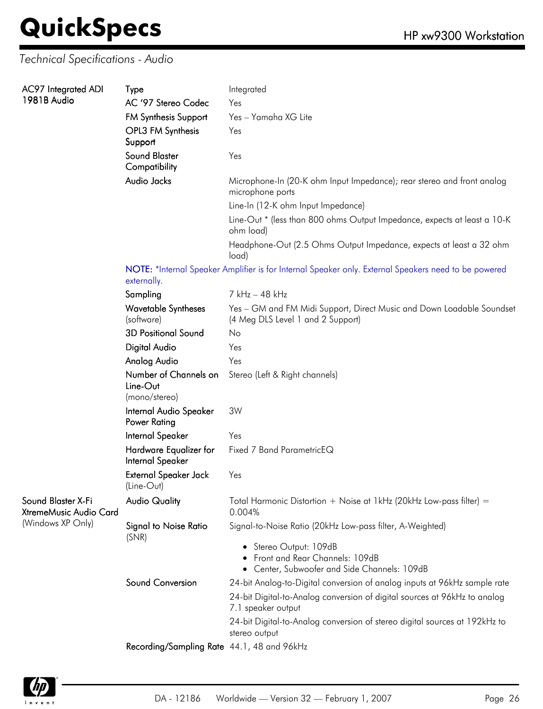#### *Technical Specifications - Audio*

| AC97 Integrated ADI                          | Type                                                                                                                | Integrated                                                                                                 |  |  |  |
|----------------------------------------------|---------------------------------------------------------------------------------------------------------------------|------------------------------------------------------------------------------------------------------------|--|--|--|
| 1981B Audio                                  | AC '97 Stereo Codec                                                                                                 | Yes                                                                                                        |  |  |  |
|                                              | <b>FM Synthesis Support</b>                                                                                         | Yes - Yamaha XG Lite                                                                                       |  |  |  |
|                                              | OPL3 FM Synthesis<br>Support                                                                                        | Yes                                                                                                        |  |  |  |
|                                              | Sound Blaster<br>Compatibility                                                                                      | Yes                                                                                                        |  |  |  |
|                                              | Audio Jacks                                                                                                         | Microphone-In (20-K ohm Input Impedance); rear stereo and front analog<br>microphone ports                 |  |  |  |
|                                              |                                                                                                                     | Line-In (12-K ohm Input Impedance)                                                                         |  |  |  |
|                                              |                                                                                                                     | Line-Out * (less than 800 ohms Output Impedance, expects at least a 10-K<br>ohm load)                      |  |  |  |
|                                              |                                                                                                                     | Headphone-Out (2.5 Ohms Output Impedance, expects at least a 32 ohm<br>load)                               |  |  |  |
|                                              | NOTE: *Internal Speaker Amplifier is for Internal Speaker only. External Speakers need to be powered<br>externally. |                                                                                                            |  |  |  |
|                                              | Sampling                                                                                                            | 7 kHz - 48 kHz                                                                                             |  |  |  |
|                                              | <b>Wavetable Syntheses</b><br>(software)                                                                            | Yes - GM and FM Midi Support, Direct Music and Down Loadable Soundset<br>(4 Meg DLS Level 1 and 2 Support) |  |  |  |
|                                              | <b>3D Positional Sound</b>                                                                                          | No                                                                                                         |  |  |  |
|                                              | <b>Digital Audio</b>                                                                                                | Yes                                                                                                        |  |  |  |
|                                              | Analog Audio                                                                                                        | Yes                                                                                                        |  |  |  |
|                                              | Number of Channels on<br>Line-Out<br>(mono/stereo)                                                                  | Stereo (Left & Right channels)                                                                             |  |  |  |
|                                              | Internal Audio Speaker<br>Power Rating                                                                              | 3W                                                                                                         |  |  |  |
|                                              | Internal Speaker                                                                                                    | Yes                                                                                                        |  |  |  |
|                                              | Hardware Equalizer for<br>Internal Speaker                                                                          | Fixed 7 Band ParametricEQ                                                                                  |  |  |  |
|                                              | External Speaker Jack<br>(Line-Out)                                                                                 | Yes                                                                                                        |  |  |  |
| Sound Blaster X-Fi<br>XtremeMusic Audio Card | <b>Audio Quality</b>                                                                                                | Total Harmonic Distortion + Noise at 1kHz (20kHz Low-pass filter) =<br>0.004%                              |  |  |  |
| (Windows XP Only)                            | <b>Signal to Noise Ratio</b><br>(SNR)                                                                               | Signal-to-Noise Ratio (20kHz Low-pass filter, A-Weighted)                                                  |  |  |  |
|                                              |                                                                                                                     | • Stereo Output: 109dB<br>Front and Rear Channels: 109dB<br>• Center, Subwoofer and Side Channels: 109dB   |  |  |  |
|                                              | Sound Conversion                                                                                                    | 24-bit Analog-to-Digital conversion of analog inputs at 96kHz sample rate                                  |  |  |  |
|                                              |                                                                                                                     | 24-bit Digital-to-Analog conversion of digital sources at 96kHz to analog<br>7.1 speaker output            |  |  |  |
|                                              |                                                                                                                     | 24-bit Digital-to-Analog conversion of stereo digital sources at 192kHz to<br>stereo output                |  |  |  |
|                                              | Recording/Sampling Rate 44.1, 48 and 96kHz                                                                          |                                                                                                            |  |  |  |

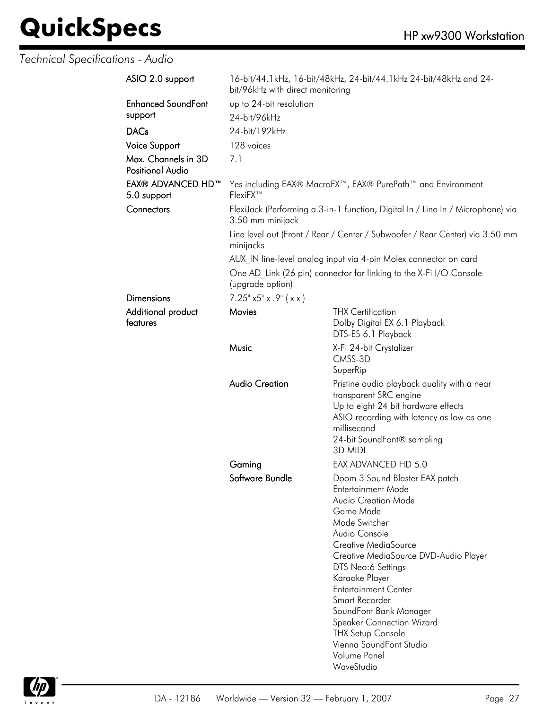*Technical Specifications - Audio*

| ASIO 2.0 support                               | 16-bit/44.1kHz, 16-bit/48kHz, 24-bit/44.1kHz 24-bit/48kHz and 24-<br>bit/96kHz with direct monitoring |                                                                                                                                                                                                                                                                                                                                                                                                                                  |  |  |
|------------------------------------------------|-------------------------------------------------------------------------------------------------------|----------------------------------------------------------------------------------------------------------------------------------------------------------------------------------------------------------------------------------------------------------------------------------------------------------------------------------------------------------------------------------------------------------------------------------|--|--|
| <b>Enhanced SoundFont</b>                      | up to 24-bit resolution                                                                               |                                                                                                                                                                                                                                                                                                                                                                                                                                  |  |  |
| support                                        | 24-bit/96kHz                                                                                          |                                                                                                                                                                                                                                                                                                                                                                                                                                  |  |  |
| <b>DACs</b>                                    | 24-bit/192kHz                                                                                         |                                                                                                                                                                                                                                                                                                                                                                                                                                  |  |  |
| <b>Voice Support</b>                           | 128 voices                                                                                            |                                                                                                                                                                                                                                                                                                                                                                                                                                  |  |  |
| Max. Channels in 3D<br><b>Positional Audio</b> | 7.1                                                                                                   |                                                                                                                                                                                                                                                                                                                                                                                                                                  |  |  |
| EAX® ADVANCED HD™<br>5.0 support               | Yes including EAX® MacroFX <sup>™</sup> , EAX® PurePath <sup>™</sup> and Environment<br>FlexiFX™      |                                                                                                                                                                                                                                                                                                                                                                                                                                  |  |  |
| Connectors                                     | FlexiJack (Performing a 3-in-1 function, Digital In / Line In / Microphone) via<br>3.50 mm minijack   |                                                                                                                                                                                                                                                                                                                                                                                                                                  |  |  |
|                                                | Line level out (Front / Rear / Center / Subwoofer / Rear Center) via 3.50 mm<br>minijacks             |                                                                                                                                                                                                                                                                                                                                                                                                                                  |  |  |
|                                                |                                                                                                       | AUX IN line-level analog input via 4-pin Molex connector on card                                                                                                                                                                                                                                                                                                                                                                 |  |  |
|                                                | One AD Link (26 pin) connector for linking to the X-Fi I/O Console<br>(upgrade option)                |                                                                                                                                                                                                                                                                                                                                                                                                                                  |  |  |
| Dimensions                                     | $7.25^{\circ}$ x5" x .9" ( x x )                                                                      |                                                                                                                                                                                                                                                                                                                                                                                                                                  |  |  |
| Additional product<br>features                 | Movies                                                                                                | <b>THX Certification</b><br>Dolby Digital EX 6.1 Playback<br>DTS-ES 6.1 Playback                                                                                                                                                                                                                                                                                                                                                 |  |  |
|                                                | Music                                                                                                 | X-Fi 24-bit Crystalizer<br>CMSS-3D<br>SuperRip                                                                                                                                                                                                                                                                                                                                                                                   |  |  |
|                                                | <b>Audio Creation</b>                                                                                 | Pristine audio playback quality with a near<br>transparent SRC engine<br>Up to eight 24 bit hardware effects<br>ASIO recording with latency as low as one<br>millisecond<br>24-bit SoundFont® sampling<br>3D MIDI                                                                                                                                                                                                                |  |  |
|                                                | Gaming                                                                                                | EAX ADVANCED HD 5.0                                                                                                                                                                                                                                                                                                                                                                                                              |  |  |
|                                                | Software Bundle                                                                                       | Doom 3 Sound Blaster EAX patch<br>Entertainment Mode<br><b>Audio Creation Mode</b><br>Game Mode<br>Mode Switcher<br>Audio Console<br>Creative MediaSource<br>Creative MediaSource DVD-Audio Player<br>DTS Neo:6 Settings<br>Karaoke Player<br><b>Entertainment Center</b><br>Smart Recorder<br>SoundFont Bank Manager<br><b>Speaker Connection Wizard</b><br><b>THX Setup Console</b><br>Vienna SoundFont Studio<br>Volume Panel |  |  |

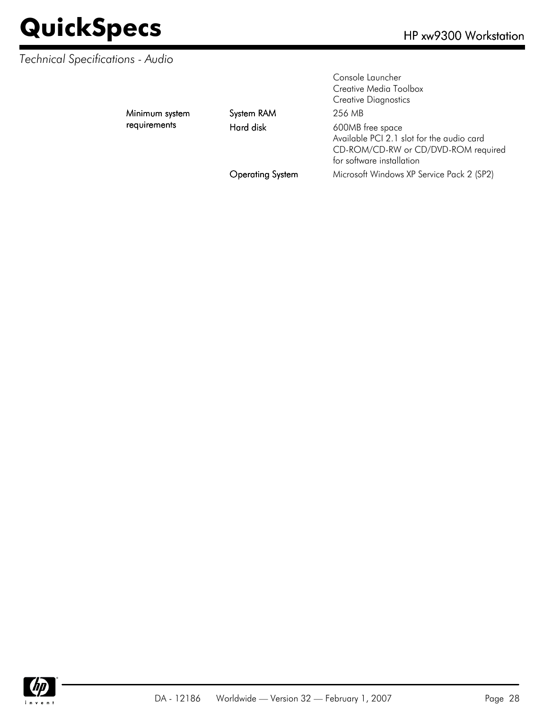#### *Technical Specifications - Audio*

Minimum system requirements

System RAM 256 MB

Console Launcher Creative Media Toolbox Creative Diagnostics Hard disk 600MB free space Available PCI 2.1 slot for the audio card CD-ROM/CD-RW or CD/DVD-ROM required for software installation Operating System Microsoft Windows XP Service Pack 2 (SP2)

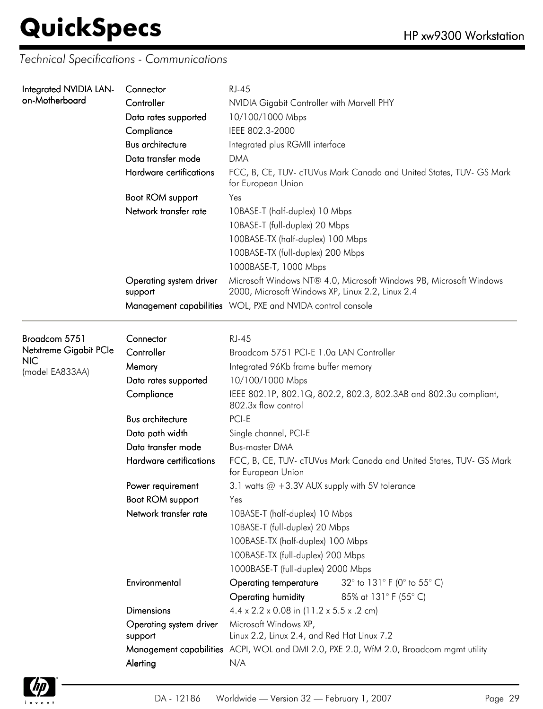*Technical Specifications - Communications*

| Integrated NVIDIA LAN-                   | Connector                          | <b>RJ-45</b>                                                                                                           |                                                                     |  |  |
|------------------------------------------|------------------------------------|------------------------------------------------------------------------------------------------------------------------|---------------------------------------------------------------------|--|--|
| on-Motherboard                           | Controller                         | NVIDIA Gigabit Controller with Marvell PHY                                                                             |                                                                     |  |  |
|                                          | Data rates supported               | 10/100/1000 Mbps                                                                                                       |                                                                     |  |  |
|                                          | Compliance                         | IEEE 802.3-2000                                                                                                        |                                                                     |  |  |
|                                          | <b>Bus architecture</b>            | Integrated plus RGMII interface                                                                                        |                                                                     |  |  |
|                                          | Data transfer mode                 | <b>DMA</b>                                                                                                             | FCC, B, CE, TUV- cTUVus Mark Canada and United States, TUV- GS Mark |  |  |
|                                          | Hardware certifications            | for European Union                                                                                                     |                                                                     |  |  |
|                                          | Boot ROM support                   | Yes                                                                                                                    |                                                                     |  |  |
|                                          | Network transfer rate              | 10BASE-T (half-duplex) 10 Mbps                                                                                         |                                                                     |  |  |
|                                          |                                    | 10BASE-T (full-duplex) 20 Mbps                                                                                         |                                                                     |  |  |
|                                          |                                    | 100BASE-TX (half-duplex) 100 Mbps                                                                                      |                                                                     |  |  |
|                                          |                                    | 100BASE-TX (full-duplex) 200 Mbps                                                                                      |                                                                     |  |  |
|                                          |                                    | 1000BASE-T, 1000 Mbps                                                                                                  |                                                                     |  |  |
|                                          | Operating system driver<br>support | Microsoft Windows NT® 4.0, Microsoft Windows 98, Microsoft Windows<br>2000, Microsoft Windows XP, Linux 2.2, Linux 2.4 |                                                                     |  |  |
|                                          |                                    | Management capabilities WOL, PXE and NVIDA control console                                                             |                                                                     |  |  |
|                                          |                                    |                                                                                                                        |                                                                     |  |  |
| Broadcom 5751                            | Connector                          | <b>RJ-45</b>                                                                                                           |                                                                     |  |  |
| Netxtreme Gigabit PCle<br><b>NIC</b>     | Controller                         | Broadcom 5751 PCI-E 1.0a LAN Controller                                                                                |                                                                     |  |  |
| (model EA833AA)                          | Memory                             | Integrated 96Kb frame buffer memory                                                                                    |                                                                     |  |  |
| Data rates supported<br>10/100/1000 Mbps |                                    |                                                                                                                        |                                                                     |  |  |
|                                          | Compliance                         | 802.3x flow control                                                                                                    | IEEE 802.1P, 802.1Q, 802.2, 802.3, 802.3AB and 802.3u compliant,    |  |  |
|                                          | <b>Bus architecture</b>            | PCI-E                                                                                                                  |                                                                     |  |  |
|                                          | Data path width                    | Single channel, PCI-E                                                                                                  |                                                                     |  |  |
|                                          | Data transfer mode                 | <b>Bus-master DMA</b>                                                                                                  |                                                                     |  |  |
|                                          | Hardware certifications            | FCC, B, CE, TUV- cTUVus Mark Canada and United States, TUV- GS Mark<br>for European Union                              |                                                                     |  |  |
|                                          | Power requirement                  | 3.1 watts @ +3.3V AUX supply with 5V tolerance                                                                         |                                                                     |  |  |
|                                          | Boot ROM support                   | Yes                                                                                                                    |                                                                     |  |  |
|                                          | Network transfer rate              | 10BASE-T (half-duplex) 10 Mbps                                                                                         |                                                                     |  |  |
|                                          |                                    | 10BASE-T (full-duplex) 20 Mbps                                                                                         |                                                                     |  |  |
|                                          |                                    | 100BASE-TX (half-duplex) 100 Mbps                                                                                      |                                                                     |  |  |
|                                          |                                    | 100BASE-TX (full-duplex) 200 Mbps                                                                                      |                                                                     |  |  |
|                                          |                                    | 1000BASE-T (full-duplex) 2000 Mbps                                                                                     |                                                                     |  |  |
|                                          | Environmental                      | <b>Operating temperature</b>                                                                                           | 32° to 131° F (0° to 55° C)                                         |  |  |
|                                          |                                    | Operating humidity                                                                                                     | 85% at 131° F (55° C)                                               |  |  |

Microsoft Windows XP,

Linux 2.2, Linux 2.4, and Red Hat Linux 7.2 Management capabilities ACPI, WOL and DMI 2.0, PXE 2.0, WfM 2.0, Broadcom mgmt utility

Dimensions 4.4 x 2.2 x 0.08 in (11.2 x 5.5 x .2 cm)

Operating system driver

Alerting N/A

support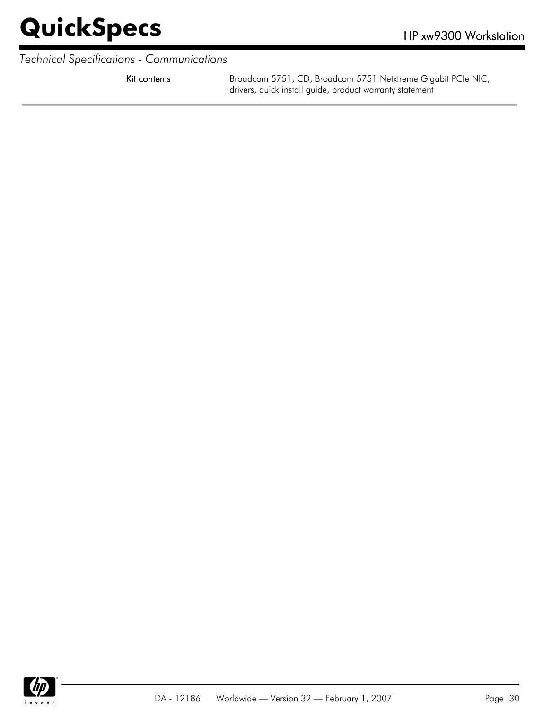*Technical Specifications - Communications*

Kit contents **Broadcom 5751, CD, Broadcom 5751 Netxtreme Gigabit PCIe NIC,** drivers, quick install guide, product warranty statement

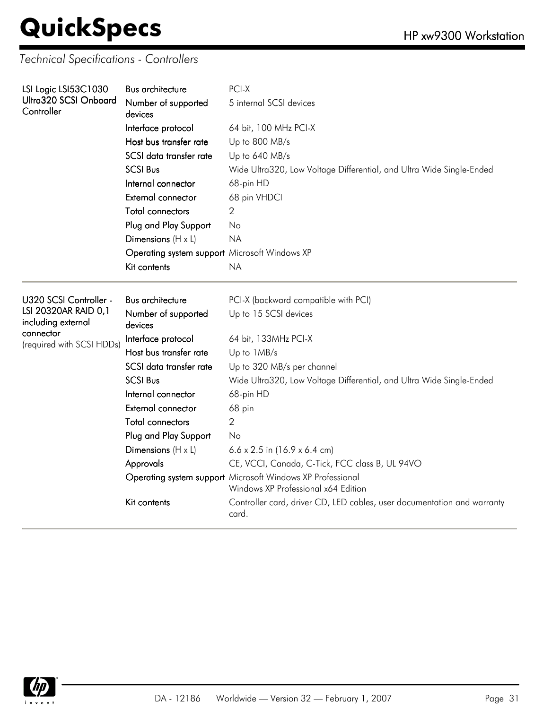*Technical Specifications - Controllers*

| LSI Logic LSI53C1030                       | Bus architecture                              | PCI-X                                                                                             |  |  |
|--------------------------------------------|-----------------------------------------------|---------------------------------------------------------------------------------------------------|--|--|
| Ultra320 SCSI Onboard<br>Controller        | Number of supported<br>devices                | 5 internal SCSI devices<br>64 bit, 100 MHz PCI-X                                                  |  |  |
|                                            | Interface protocol                            |                                                                                                   |  |  |
|                                            | Host bus transfer rate                        | Up to 800 MB/s                                                                                    |  |  |
|                                            | SCSI data transfer rate                       | Up to 640 MB/s                                                                                    |  |  |
|                                            | <b>SCSI Bus</b>                               | Wide Ultra320, Low Voltage Differential, and Ultra Wide Single-Ended                              |  |  |
|                                            | Internal connector                            | 68-pin HD                                                                                         |  |  |
|                                            | <b>External connector</b>                     | 68 pin VHDCI                                                                                      |  |  |
|                                            | <b>Total connectors</b>                       | 2                                                                                                 |  |  |
|                                            | Plug and Play Support                         | No                                                                                                |  |  |
|                                            | Dimensions $(H \times L)$                     | <b>NA</b>                                                                                         |  |  |
|                                            | Operating system support Microsoft Windows XP |                                                                                                   |  |  |
|                                            | Kit contents                                  | <b>NA</b>                                                                                         |  |  |
|                                            |                                               |                                                                                                   |  |  |
| U320 SCSI Controller -                     | <b>Bus architecture</b>                       | PCI-X (backward compatible with PCI)                                                              |  |  |
| LSI 20320AR RAID 0,1<br>including external | Number of supported<br>devices                | Up to 15 SCSI devices                                                                             |  |  |
| connector                                  | Interface protocol                            | 64 bit, 133MHz PCI-X                                                                              |  |  |
| (required with SCSI HDDs)                  | Host bus transfer rate                        | Up to 1MB/s                                                                                       |  |  |
|                                            | SCSI data transfer rate                       | Up to 320 MB/s per channel                                                                        |  |  |
|                                            | <b>SCSI Bus</b>                               | Wide Ultra320, Low Voltage Differential, and Ultra Wide Single-Ended                              |  |  |
|                                            | Internal connector                            | 68-pin HD                                                                                         |  |  |
|                                            | External connector                            | 68 pin                                                                                            |  |  |
|                                            | Total connectors                              | 2                                                                                                 |  |  |
|                                            | Plug and Play Support                         | No                                                                                                |  |  |
|                                            | Dimensions $(H \times L)$                     | $6.6 \times 2.5$ in (16.9 x 6.4 cm)                                                               |  |  |
|                                            | Approvals                                     | CE, VCCI, Canada, C-Tick, FCC class B, UL 94VO                                                    |  |  |
|                                            |                                               | Operating system support Microsoft Windows XP Professional<br>Windows XP Professional x64 Edition |  |  |
|                                            | Kit contents                                  | Controller card, driver CD, LED cables, user documentation and warranty<br>card.                  |  |  |

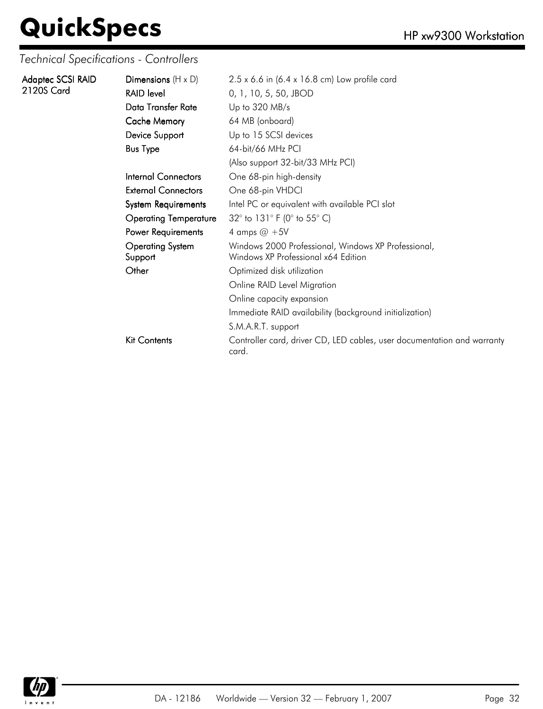*Technical Specifications - Controllers*

| Adaptec SCSI RAID | Dimensions $(H \times D)$          | $2.5 \times 6.6$ in (6.4 x 16.8 cm) Low profile card                                       |
|-------------------|------------------------------------|--------------------------------------------------------------------------------------------|
| 2120S Card        | <b>RAID level</b>                  | 0, 1, 10, 5, 50, JBOD                                                                      |
|                   | Data Transfer Rate                 | Up to $320$ MB/s                                                                           |
|                   | <b>Cache Memory</b>                | 64 MB (onboard)                                                                            |
|                   | Device Support                     | Up to 15 SCSI devices                                                                      |
|                   | <b>Bus Type</b>                    | 64-bit/66 MHz PCI                                                                          |
|                   |                                    | (Also support 32-bit/33 MHz PCI)                                                           |
|                   | Internal Connectors                | One 68-pin high-density                                                                    |
|                   | <b>External Connectors</b>         | One 68-pin VHDCI                                                                           |
|                   | <b>System Requirements</b>         | Intel PC or equivalent with available PCI slot                                             |
|                   | <b>Operating Temperature</b>       | 32° to 131° F (0° to 55° C)                                                                |
|                   | Power Requirements                 | 4 amps $@ + 5V$                                                                            |
|                   | <b>Operating System</b><br>Support | Windows 2000 Professional, Windows XP Professional,<br>Windows XP Professional x64 Edition |
|                   | Other                              | Optimized disk utilization                                                                 |
|                   |                                    | Online RAID Level Migration                                                                |
|                   |                                    | Online capacity expansion                                                                  |
|                   |                                    | Immediate RAID availability (background initialization)                                    |
|                   |                                    | S.M.A.R.T. support                                                                         |
|                   | <b>Kit Contents</b>                | Controller card, driver CD, LED cables, user documentation and warranty<br>card.           |

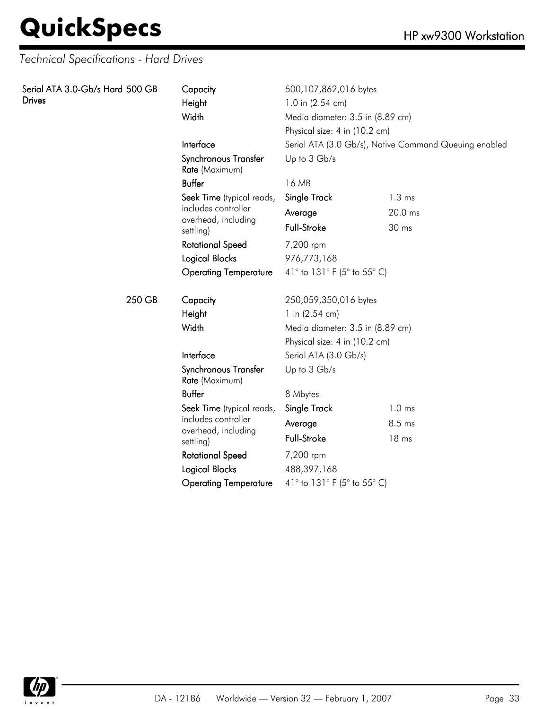| Serial ATA 3.0-Gb/s Hard 500 GB<br><b>Drives</b> | Capacity<br>Height<br>Width                         | 500,107,862,016 bytes<br>1.0 in (2.54 cm)<br>Media diameter: 3.5 in (8.89 cm)<br>Physical size: 4 in (10.2 cm)<br>Serial ATA (3.0 Gb/s), Native Command Queuing enabled |                   |
|--------------------------------------------------|-----------------------------------------------------|-------------------------------------------------------------------------------------------------------------------------------------------------------------------------|-------------------|
|                                                  | Interface<br>Synchronous Transfer<br>Rate (Maximum) | Up to 3 Gb/s                                                                                                                                                            |                   |
|                                                  | <b>Buffer</b>                                       | 16 MB                                                                                                                                                                   |                   |
|                                                  | Seek Time (typical reads,                           | Single Track                                                                                                                                                            | $1.3 \text{ ms}$  |
|                                                  | includes controller                                 | Average                                                                                                                                                                 | 20.0 ms           |
|                                                  | overhead, including<br>settling)                    | Full-Stroke                                                                                                                                                             | 30 ms             |
|                                                  | <b>Rotational Speed</b>                             | 7,200 rpm                                                                                                                                                               |                   |
|                                                  | <b>Logical Blocks</b>                               | 976,773,168                                                                                                                                                             |                   |
|                                                  | <b>Operating Temperature</b>                        | 41° to 131° F (5° to 55° C)                                                                                                                                             |                   |
| 250 GB                                           | Capacity                                            | 250,059,350,016 bytes                                                                                                                                                   |                   |
|                                                  | Height                                              | 1 in (2.54 cm)                                                                                                                                                          |                   |
|                                                  | Width                                               | Media diameter: 3.5 in (8.89 cm)                                                                                                                                        |                   |
|                                                  |                                                     | Physical size: 4 in (10.2 cm)                                                                                                                                           |                   |
|                                                  | Interface                                           | Serial ATA (3.0 Gb/s)                                                                                                                                                   |                   |
|                                                  | Synchronous Transfer<br>Rate (Maximum)              | Up to 3 Gb/s                                                                                                                                                            |                   |
|                                                  | <b>Buffer</b>                                       | 8 Mbytes                                                                                                                                                                |                   |
|                                                  | Seek Time (typical reads,                           | Single Track                                                                                                                                                            | 1.0 <sub>ms</sub> |
|                                                  | includes controller                                 | Average                                                                                                                                                                 | 8.5 ms            |
|                                                  | overhead, including<br>settling)                    | Full-Stroke                                                                                                                                                             | 18 ms             |
|                                                  | <b>Rotational Speed</b>                             | 7,200 rpm                                                                                                                                                               |                   |
|                                                  | <b>Logical Blocks</b>                               | 488,397,168                                                                                                                                                             |                   |
|                                                  | <b>Operating Temperature</b>                        | 41° to 131° F (5° to 55° C)                                                                                                                                             |                   |

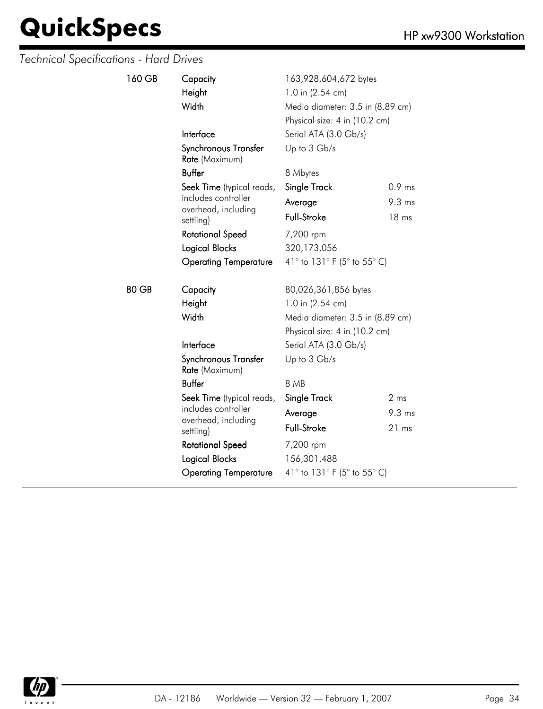| 160 GB | Capacity<br>Height<br>Width                      | 163,928,604,672 bytes<br>1.0 in (2.54 cm)<br>Media diameter: 3.5 in (8.89 cm)<br>Physical size: 4 in (10.2 cm) |                  |  |
|--------|--------------------------------------------------|----------------------------------------------------------------------------------------------------------------|------------------|--|
|        | Interface                                        | Serial ATA (3.0 Gb/s)                                                                                          |                  |  |
|        | Synchronous Transfer<br>Rate (Maximum)           | Up to 3 Gb/s                                                                                                   |                  |  |
|        | <b>Buffer</b>                                    | 8 Mbytes                                                                                                       |                  |  |
|        | Seek Time (typical reads,                        | Single Track                                                                                                   | $0.9$ ms         |  |
|        | includes controller                              | Average                                                                                                        | $9.3 \text{ ms}$ |  |
|        | overhead, including<br>settling)                 | Full-Stroke                                                                                                    | 18 ms            |  |
|        | <b>Rotational Speed</b>                          | 7,200 rpm                                                                                                      |                  |  |
|        | Logical Blocks                                   | 320,173,056                                                                                                    |                  |  |
|        | <b>Operating Temperature</b>                     | 41° to 131° F (5° to 55° C)                                                                                    |                  |  |
| 80 GB  | Capacity                                         | 80,026,361,856 bytes                                                                                           |                  |  |
|        | Height                                           | 1.0 in (2.54 cm)                                                                                               |                  |  |
|        | Width                                            | Media diameter: 3.5 in (8.89 cm)                                                                               |                  |  |
|        |                                                  | Physical size: 4 in (10.2 cm)                                                                                  |                  |  |
|        | Interface                                        | Serial ATA (3.0 Gb/s)                                                                                          |                  |  |
|        | Synchronous Transfer<br>Rate (Maximum)           | Up to 3 Gb/s                                                                                                   |                  |  |
|        | <b>Buffer</b>                                    | 8 MB                                                                                                           |                  |  |
|        | Seek Time (typical reads,<br>includes controller | Single Track                                                                                                   | 2 <sub>ms</sub>  |  |
|        |                                                  | Average                                                                                                        | $9.3 \text{ ms}$ |  |
|        | overhead, including<br>settling)                 | <b>Full-Stroke</b>                                                                                             | 21 ms            |  |
|        | <b>Rotational Speed</b>                          | 7,200 rpm                                                                                                      |                  |  |
|        | <b>Logical Blocks</b>                            | 156,301,488                                                                                                    |                  |  |
|        | <b>Operating Temperature</b>                     | 41° to 131° F (5° to 55° C)                                                                                    |                  |  |

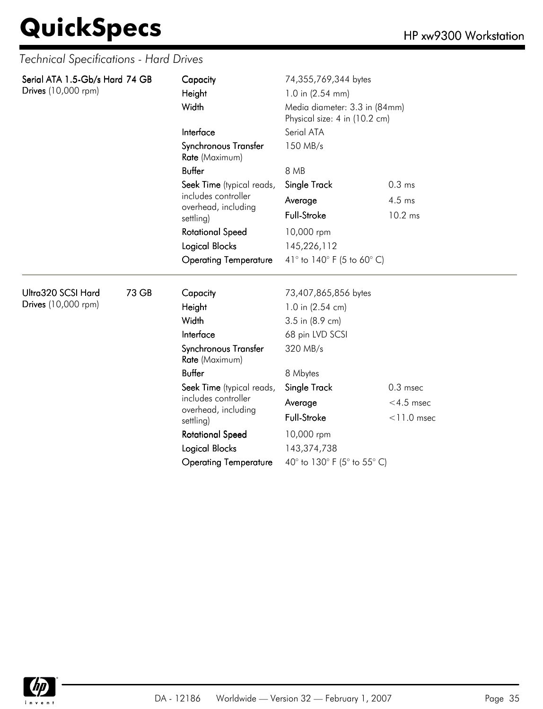| Serial ATA 1.5-Gb/s Hard 74 GB<br>Drives (10,000 rpm) |       | Capacity<br>Height<br>Width            | 74,355,769,344 bytes<br>1.0 in $(2.54$ mm)<br>Media diameter: 3.3 in (84mm)<br>Physical size: 4 in (10.2 cm)<br>Serial ATA |                   |  |
|-------------------------------------------------------|-------|----------------------------------------|----------------------------------------------------------------------------------------------------------------------------|-------------------|--|
|                                                       |       |                                        |                                                                                                                            |                   |  |
|                                                       |       | Interface                              |                                                                                                                            |                   |  |
|                                                       |       | Synchronous Transfer<br>Rate (Maximum) | 150 MB/s<br>8 MB                                                                                                           |                   |  |
|                                                       |       | <b>Buffer</b>                          |                                                                                                                            |                   |  |
|                                                       |       | Seek Time (typical reads,              | Single Track                                                                                                               | 0.3 <sub>ms</sub> |  |
|                                                       |       | includes controller                    | Average                                                                                                                    | 4.5 ms            |  |
|                                                       |       | overhead, including<br>settling)       | <b>Full-Stroke</b>                                                                                                         | 10.2 ms           |  |
|                                                       |       | <b>Rotational Speed</b>                | 10,000 rpm                                                                                                                 |                   |  |
|                                                       |       | Logical Blocks                         | 145,226,112<br>41° to 140° F (5 to 60° C)                                                                                  |                   |  |
|                                                       |       | <b>Operating Temperature</b>           |                                                                                                                            |                   |  |
| Ultra320 SCSI Hard                                    | 73 GB | Capacity                               | 73,407,865,856 bytes                                                                                                       |                   |  |
| Drives (10,000 rpm)                                   |       | Height                                 | 1.0 in (2.54 cm)                                                                                                           |                   |  |
|                                                       |       | Width                                  | 3.5 in (8.9 cm)                                                                                                            |                   |  |
|                                                       |       | Interface                              | 68 pin LVD SCSI                                                                                                            |                   |  |
|                                                       |       | Synchronous Transfer<br>Rate (Maximum) | 320 MB/s                                                                                                                   |                   |  |
|                                                       |       | <b>Buffer</b>                          | 8 Mbytes                                                                                                                   |                   |  |
|                                                       |       | Seek Time (typical reads,              | Single Track                                                                                                               | $0.3$ msec        |  |
|                                                       |       | includes controller                    | Average                                                                                                                    | $<$ 4.5 msec      |  |
|                                                       |       | overhead, including<br>settling)       | <b>Full-Stroke</b>                                                                                                         | $<$ 11.0 msec     |  |
|                                                       |       | <b>Rotational Speed</b>                | 10,000 rpm                                                                                                                 |                   |  |
|                                                       |       | Logical Blocks                         | 143,374,738                                                                                                                |                   |  |
|                                                       |       | <b>Operating Temperature</b>           | 40° to 130° F (5° to 55° C)                                                                                                |                   |  |

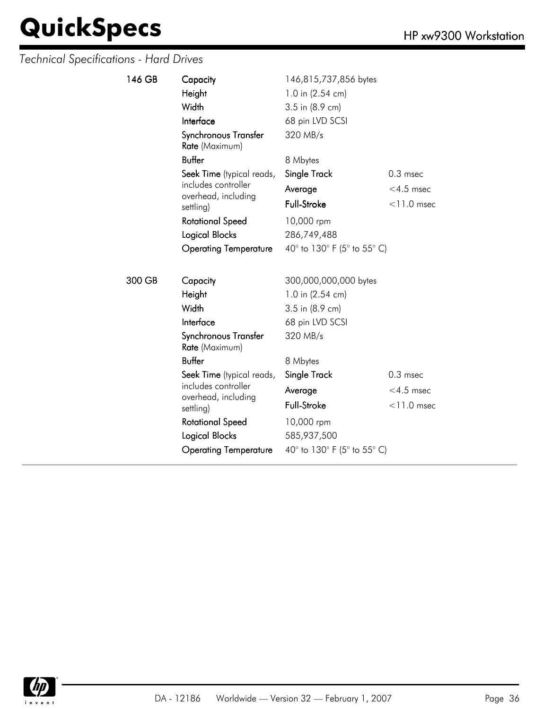| 146 GB | Capacity                               | 146,815,737,856 bytes       |               |
|--------|----------------------------------------|-----------------------------|---------------|
|        | Height                                 | 1.0 in (2.54 cm)            |               |
|        | Width                                  | 3.5 in (8.9 cm)             |               |
|        | Interface                              | 68 pin LVD SCSI             |               |
|        | Synchronous Transfer<br>Rate (Maximum) | 320 MB/s                    |               |
|        | <b>Buffer</b>                          | 8 Mbytes                    |               |
|        | Seek Time (typical reads,              | Single Track                | $0.3$ msec    |
|        | includes controller                    | Average                     | $<$ 4.5 msec  |
|        | overhead, including<br>settling)       | <b>Full-Stroke</b>          | $<$ 11.0 msec |
|        | <b>Rotational Speed</b>                | 10,000 rpm                  |               |
|        | Logical Blocks                         | 286,749,488                 |               |
|        | <b>Operating Temperature</b>           | 40° to 130° F (5° to 55° C) |               |
|        |                                        |                             |               |
| 300 GB | Capacity                               | 300,000,000,000 bytes       |               |
|        | Height                                 | 1.0 in (2.54 cm)            |               |
|        | Width                                  | 3.5 in (8.9 cm)             |               |
|        | Interface                              | 68 pin LVD SCSI             |               |
|        | Synchronous Transfer<br>Rate (Maximum) | 320 MB/s                    |               |
|        | <b>Buffer</b>                          | 8 Mbytes                    |               |
|        | Seek Time (typical reads,              | Single Track                | $0.3$ msec    |
|        | includes controller                    | Average                     | $<$ 4.5 msec  |
|        | overhead, including<br>settling)       | Full-Stroke                 | $<$ 11.0 msec |
|        | <b>Rotational Speed</b>                | 10,000 rpm                  |               |
|        | Logical Blocks                         | 585,937,500                 |               |
|        | <b>Operating Temperature</b>           | 40° to 130° F (5° to 55° C) |               |

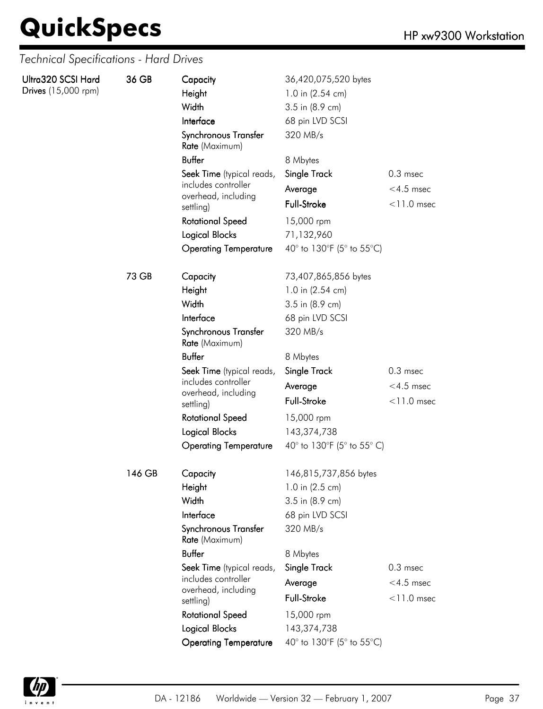*Technical Specifications - Hard Drives*

| Ultra320 SCSI Hard<br>Drives (15,000 rpm) | 36 GB  | Capacity<br>36,420,075,520 bytes<br>Height<br>1.0 in (2.54 cm)<br>Width<br>3.5 in (8.9 cm)<br>Interface<br>68 pin LVD SCSI<br>Synchronous Transfer<br>320 MB/s<br>Rate (Maximum) |                            |               |
|-------------------------------------------|--------|----------------------------------------------------------------------------------------------------------------------------------------------------------------------------------|----------------------------|---------------|
|                                           |        | <b>Buffer</b>                                                                                                                                                                    | 8 Mbytes                   |               |
|                                           |        | Seek Time (typical reads,                                                                                                                                                        | <b>Single Track</b>        | $0.3$ msec    |
|                                           |        | includes controller                                                                                                                                                              | Average                    | $<$ 4.5 msec  |
|                                           |        | overhead, including<br>settling)                                                                                                                                                 | <b>Full-Stroke</b>         | $<$ 11.0 msec |
|                                           |        | <b>Rotational Speed</b>                                                                                                                                                          | 15,000 rpm                 |               |
|                                           |        | <b>Logical Blocks</b>                                                                                                                                                            | 71,132,960                 |               |
|                                           |        | <b>Operating Temperature</b>                                                                                                                                                     | 40° to 130°F (5° to 55°C)  |               |
|                                           | 73 GB  | Capacity                                                                                                                                                                         | 73,407,865,856 bytes       |               |
|                                           |        | Height                                                                                                                                                                           | 1.0 in (2.54 cm)           |               |
|                                           |        | Width                                                                                                                                                                            | 3.5 in (8.9 cm)            |               |
|                                           |        | Interface                                                                                                                                                                        | 68 pin LVD SCSI            |               |
|                                           |        | Synchronous Transfer<br>Rate (Maximum)                                                                                                                                           | 320 MB/s                   |               |
|                                           |        | <b>Buffer</b>                                                                                                                                                                    | 8 Mbytes                   |               |
|                                           |        | Seek Time (typical reads,                                                                                                                                                        | Single Track               | $0.3$ msec    |
|                                           |        | includes controller<br>overhead, including                                                                                                                                       | Average                    | $<$ 4.5 msec  |
|                                           |        | settling)                                                                                                                                                                        | Full-Stroke                | $<$ 11.0 msec |
|                                           |        | <b>Rotational Speed</b>                                                                                                                                                          | 15,000 rpm                 |               |
|                                           |        | <b>Logical Blocks</b>                                                                                                                                                            | 143,374,738                |               |
|                                           |        | <b>Operating Temperature</b>                                                                                                                                                     | 40° to 130°F (5° to 55° C) |               |
|                                           | 146 GB | Capacity                                                                                                                                                                         | 146,815,737,856 bytes      |               |
|                                           |        | Height                                                                                                                                                                           | 1.0 in (2.5 cm)            |               |
|                                           |        | Width                                                                                                                                                                            | 3.5 in (8.9 cm)            |               |
|                                           |        | Interface                                                                                                                                                                        | 68 pin LVD SCSI            |               |
|                                           |        | Synchronous Transfer<br>Rate (Maximum)                                                                                                                                           | 320 MB/s                   |               |
|                                           |        | <b>Buffer</b>                                                                                                                                                                    | 8 Mbytes                   |               |
|                                           |        | Seek Time (typical reads,                                                                                                                                                        | <b>Single Track</b>        | $0.3$ msec    |
|                                           |        | includes controller<br>overhead, including                                                                                                                                       | Average                    | $<$ 4.5 msec  |
|                                           |        | settling)                                                                                                                                                                        | Full-Stroke                | $<$ 11.0 msec |
|                                           |        | <b>Rotational Speed</b>                                                                                                                                                          | 15,000 rpm                 |               |
|                                           |        | <b>Logical Blocks</b>                                                                                                                                                            | 143,374,738                |               |
|                                           |        | <b>Operating Temperature</b>                                                                                                                                                     | 40° to 130°F (5° to 55°C)  |               |

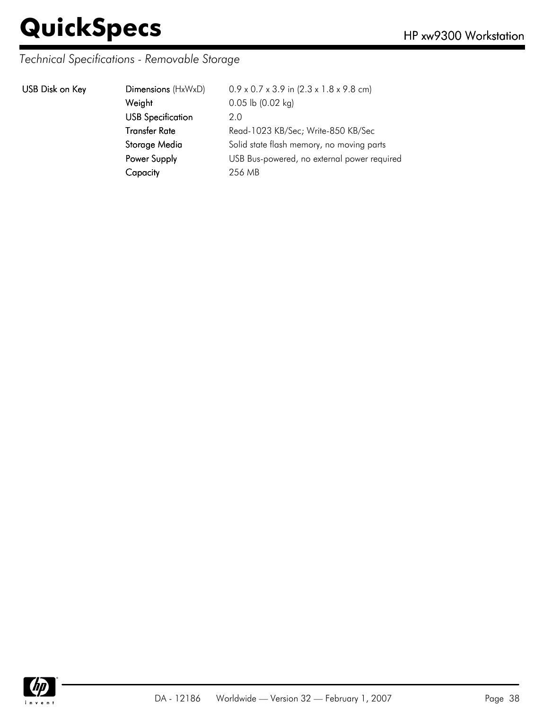### *Technical Specifications - Removable Storage*

|  | USB Disk on Key |  |  |
|--|-----------------|--|--|
|--|-----------------|--|--|

| USB Disk on Key | Dimensions (HxWxD)       | $0.9 \times 0.7 \times 3.9$ in $(2.3 \times 1.8 \times 9.8$ cm) |
|-----------------|--------------------------|-----------------------------------------------------------------|
|                 | Weight                   | $0.05$ lb $(0.02$ kg)                                           |
|                 | <b>USB Specification</b> | 2.0                                                             |
|                 | <b>Transfer Rate</b>     | Read-1023 KB/Sec; Write-850 KB/Sec                              |
|                 | Storage Media            | Solid state flash memory, no moving parts                       |
|                 | Power Supply             | USB Bus-powered, no external power required                     |
|                 | Capacity                 | 256 MB                                                          |
|                 |                          |                                                                 |

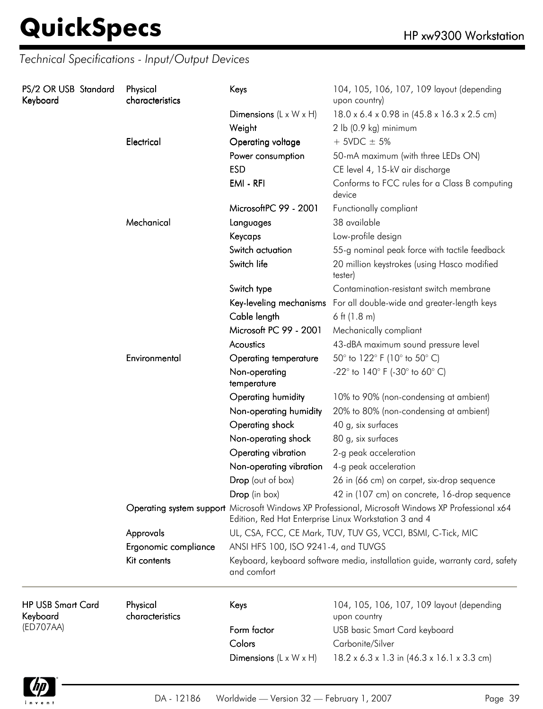| PS/2 OR USB Standard<br>Keyboard     | Physical<br>Keys | characteristics             |                                                                                                                                                            | 104, 105, 106, 107, 109 layout (depending<br>upon country)             |
|--------------------------------------|------------------|-----------------------------|------------------------------------------------------------------------------------------------------------------------------------------------------------|------------------------------------------------------------------------|
|                                      |                  |                             | Dimensions $(L \times W \times H)$                                                                                                                         | 18.0 x 6.4 x 0.98 in (45.8 x 16.3 x 2.5 cm)                            |
|                                      |                  |                             | Weight                                                                                                                                                     | 2 lb (0.9 kg) minimum                                                  |
|                                      |                  | Electrical                  | Operating voltage                                                                                                                                          | $+$ 5VDC $\pm$ 5%                                                      |
|                                      |                  |                             | Power consumption                                                                                                                                          | 50-mA maximum (with three LEDs ON)                                     |
|                                      |                  |                             | <b>ESD</b>                                                                                                                                                 | CE level 4, 15-kV air discharge                                        |
|                                      |                  | EMI - RFI                   | Conforms to FCC rules for a Class B computing<br>device                                                                                                    |                                                                        |
|                                      |                  |                             | MicrosoftPC 99 - 2001                                                                                                                                      | Functionally compliant                                                 |
|                                      |                  | Mechanical                  | Languages                                                                                                                                                  | 38 available                                                           |
|                                      |                  |                             | Keycaps                                                                                                                                                    | Low-profile design                                                     |
|                                      |                  |                             | Switch actuation                                                                                                                                           | 55-g nominal peak force with tactile feedback                          |
|                                      |                  |                             | Switch life                                                                                                                                                | 20 million keystrokes (using Hasco modified<br>tester)                 |
|                                      |                  |                             | Switch type                                                                                                                                                | Contamination-resistant switch membrane                                |
|                                      |                  |                             |                                                                                                                                                            | Key-leveling mechanisms For all double-wide and greater-length keys    |
|                                      |                  |                             | Cable length                                                                                                                                               | 6 ft $(1.8 \text{ m})$                                                 |
|                                      |                  |                             | Microsoft PC 99 - 2001                                                                                                                                     | Mechanically compliant                                                 |
|                                      |                  |                             | Acoustics                                                                                                                                                  | 43-dBA maximum sound pressure level                                    |
|                                      |                  | Environmental               | <b>Operating temperature</b>                                                                                                                               | 50° to 122° F (10° to 50° C)                                           |
|                                      |                  |                             | Non-operating<br>temperature                                                                                                                               | -22 $^{\circ}$ to 140 $^{\circ}$ F (-30 $^{\circ}$ to 60 $^{\circ}$ C) |
|                                      |                  |                             | Operating humidity                                                                                                                                         | 10% to 90% (non-condensing at ambient)                                 |
|                                      |                  |                             | Non-operating humidity                                                                                                                                     | 20% to 80% (non-condensing at ambient)                                 |
|                                      |                  |                             | Operating shock                                                                                                                                            | 40 g, six surfaces                                                     |
|                                      |                  |                             | Non-operating shock                                                                                                                                        | 80 g, six surfaces                                                     |
|                                      |                  |                             | Operating vibration                                                                                                                                        | 2-g peak acceleration                                                  |
|                                      |                  |                             | Non-operating vibration                                                                                                                                    | 4-g peak acceleration                                                  |
|                                      |                  |                             | Drop (out of box)                                                                                                                                          | 26 in (66 cm) on carpet, six-drop sequence                             |
|                                      |                  |                             | Dron (in box)                                                                                                                                              | 42 in (107 cm) on concrete, 16-drop sequence                           |
|                                      |                  |                             | Operating system support Microsoft Windows XP Professional, Microsoft Windows XP Professional x64<br>Edition, Red Hat Enterprise Linux Workstation 3 and 4 |                                                                        |
|                                      |                  | Approvals                   |                                                                                                                                                            | UL, CSA, FCC, CE Mark, TUV, TUV GS, VCCI, BSMI, C-Tick, MIC            |
|                                      |                  | Ergonomic compliance        | ANSI HFS 100, ISO 9241-4, and TUVGS                                                                                                                        |                                                                        |
|                                      | Kit contents     | and comfort                 | Keyboard, keyboard software media, installation guide, warranty card, safety                                                                               |                                                                        |
| <b>HP USB Smart Card</b><br>Keyboard |                  | Physical<br>characteristics | Keys                                                                                                                                                       | 104, 105, 106, 107, 109 layout (depending<br>upon country              |
| (ED707AA)                            |                  |                             | Form factor                                                                                                                                                | <b>USB</b> basic Smart Card keyboard                                   |
|                                      |                  |                             | Colors                                                                                                                                                     | Carbonite/Silver                                                       |
|                                      |                  |                             | Dimensions $(L \times W \times H)$                                                                                                                         | $18.2 \times 6.3 \times 1.3$ in $(46.3 \times 16.1 \times 3.3$ cm)     |

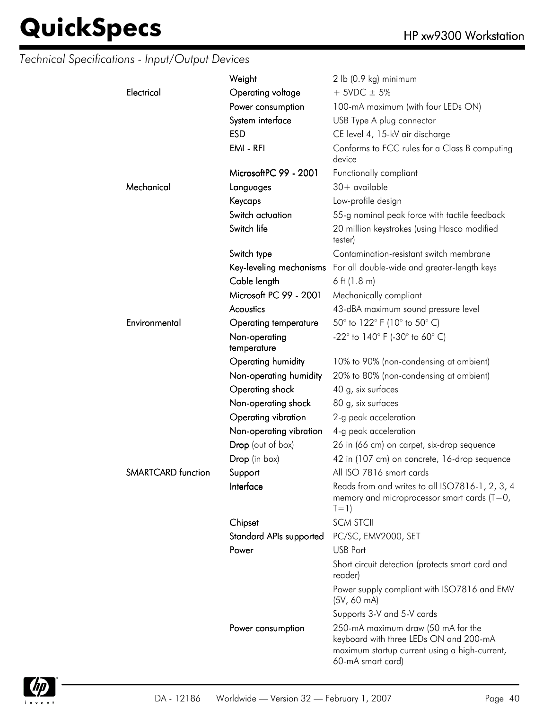|                    | Weight                       | 2 lb (0.9 kg) minimum                                                                                                                              |
|--------------------|------------------------------|----------------------------------------------------------------------------------------------------------------------------------------------------|
| Electrical         | Operating voltage            | $+$ 5VDC $\pm$ 5%                                                                                                                                  |
|                    | Power consumption            | 100-mA maximum (with four LEDs ON)                                                                                                                 |
|                    | System interface             | USB Type A plug connector                                                                                                                          |
|                    | <b>ESD</b>                   | CE level 4, 15-kV air discharge                                                                                                                    |
|                    | EMI - RFI                    | Conforms to FCC rules for a Class B computing<br>device                                                                                            |
|                    | MicrosoftPC 99 - 2001        | Functionally compliant                                                                                                                             |
| Mechanical         | Languages                    | $30+$ available                                                                                                                                    |
|                    | Keycaps                      | Low-profile design                                                                                                                                 |
|                    | Switch actuation             | 55-g nominal peak force with tactile feedback                                                                                                      |
|                    | Switch life                  | 20 million keystrokes (using Hasco modified<br>tester)                                                                                             |
|                    | Switch type                  | Contamination-resistant switch membrane                                                                                                            |
|                    |                              | Key-leveling mechanisms For all double-wide and greater-length keys                                                                                |
|                    | Cable length                 | 6 ft $(1.8 m)$                                                                                                                                     |
|                    | Microsoft PC 99 - 2001       | Mechanically compliant                                                                                                                             |
|                    | Acoustics                    | 43-dBA maximum sound pressure level                                                                                                                |
| Environmental      | Operating temperature        | 50° to 122° F (10° to 50° C)                                                                                                                       |
|                    | Non-operating<br>temperature | $-22^{\circ}$ to 140° F (-30° to 60° C)                                                                                                            |
|                    | Operating humidity           | 10% to 90% (non-condensing at ambient)                                                                                                             |
|                    | Non-operating humidity       | 20% to 80% (non-condensing at ambient)                                                                                                             |
|                    | Operating shock              | 40 g, six surfaces                                                                                                                                 |
|                    | Non-operating shock          | 80 g, six surfaces                                                                                                                                 |
|                    | Operating vibration          | 2-g peak acceleration                                                                                                                              |
|                    | Non-operating vibration      | 4-g peak acceleration                                                                                                                              |
|                    | Drop (out of box)            | 26 in (66 cm) on carpet, six-drop sequence                                                                                                         |
|                    | Drop (in box)                | 42 in (107 cm) on concrete, 16-drop sequence                                                                                                       |
| SMARTCARD function | Support                      | All ISO 7816 smart cards                                                                                                                           |
|                    | Interface                    | Reads from and writes to all ISO7816-1, 2, 3, 4<br>memory and microprocessor smart cards $(T=0,$<br>$T=1)$                                         |
|                    | Chipset                      | <b>SCM STCII</b>                                                                                                                                   |
|                    | Standard APIs supported      | PC/SC, EMV2000, SET                                                                                                                                |
|                    | Power                        | USB Port                                                                                                                                           |
|                    |                              | Short circuit detection (protects smart card and<br>reader)                                                                                        |
|                    |                              | Power supply compliant with ISO7816 and EMV<br>$(5V, 60 \text{ mA})$                                                                               |
|                    |                              | Supports 3-V and 5-V cards                                                                                                                         |
|                    | Power consumption            | 250-mA maximum draw (50 mA for the<br>keyboard with three LEDs ON and 200-mA<br>maximum startup current using a high-current,<br>60-mA smart card) |

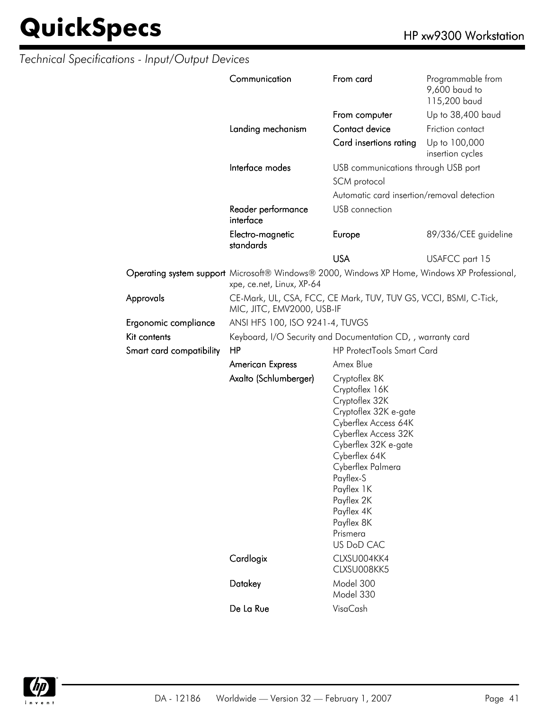|                          | Communication                                                                                                             | From card                                                                                                                                                                                                                                                                               | Programmable from<br>9,600 baud to<br>115,200 baud |  |
|--------------------------|---------------------------------------------------------------------------------------------------------------------------|-----------------------------------------------------------------------------------------------------------------------------------------------------------------------------------------------------------------------------------------------------------------------------------------|----------------------------------------------------|--|
|                          |                                                                                                                           | From computer                                                                                                                                                                                                                                                                           | Up to 38,400 baud                                  |  |
|                          | Landing mechanism                                                                                                         | Contact device                                                                                                                                                                                                                                                                          | Friction contact                                   |  |
|                          |                                                                                                                           | Card insertions rating                                                                                                                                                                                                                                                                  | Up to 100,000<br>insertion cycles                  |  |
|                          | Interface modes                                                                                                           | USB communications through USB port                                                                                                                                                                                                                                                     |                                                    |  |
|                          |                                                                                                                           | SCM protocol                                                                                                                                                                                                                                                                            |                                                    |  |
|                          |                                                                                                                           | Automatic card insertion/removal detection                                                                                                                                                                                                                                              |                                                    |  |
|                          | Reader performance<br>interface                                                                                           | USB connection                                                                                                                                                                                                                                                                          |                                                    |  |
|                          | Electro-magnetic<br>standards                                                                                             | Europe                                                                                                                                                                                                                                                                                  | 89/336/CEE guideline                               |  |
|                          |                                                                                                                           | <b>USA</b>                                                                                                                                                                                                                                                                              | USAFCC part 15                                     |  |
|                          | Operating system support Microsoft® Windows® 2000, Windows XP Home, Windows XP Professional,<br>xpe, ce.net, Linux, XP-64 |                                                                                                                                                                                                                                                                                         |                                                    |  |
| Approvals                | CE-Mark, UL, CSA, FCC, CE Mark, TUV, TUV GS, VCCI, BSMI, C-Tick,<br>MIC, JITC, EMV2000, USB-IF                            |                                                                                                                                                                                                                                                                                         |                                                    |  |
| Ergonomic compliance     | ANSI HFS 100, ISO 9241-4, TUVGS                                                                                           |                                                                                                                                                                                                                                                                                         |                                                    |  |
| Kit contents             | Keyboard, I/O Security and Documentation CD, , warranty card                                                              |                                                                                                                                                                                                                                                                                         |                                                    |  |
| Smart card compatibility | HP                                                                                                                        | <b>HP ProtectTools Smart Card</b>                                                                                                                                                                                                                                                       |                                                    |  |
|                          | <b>American Express</b>                                                                                                   | Amex Blue                                                                                                                                                                                                                                                                               |                                                    |  |
|                          | Axalto (Schlumberger)                                                                                                     | Cryptoflex 8K<br>Cryptoflex 16K<br>Cryptoflex 32K<br>Cryptoflex 32K e-gate<br>Cyberflex Access 64K<br>Cyberflex Access 32K<br>Cyberflex 32K e-gate<br>Cyberflex 64K<br>Cyberflex Palmera<br>Payflex-S<br>Payflex 1K<br>Payflex 2K<br>Payflex 4K<br>Payflex 8K<br>Prismera<br>US DoD CAC |                                                    |  |
|                          | Cardlogix                                                                                                                 | CLXSU004KK4<br>CLXSU008KK5                                                                                                                                                                                                                                                              |                                                    |  |
|                          | Datakey                                                                                                                   | Model 300<br>Model 330                                                                                                                                                                                                                                                                  |                                                    |  |
|                          | De La Rue                                                                                                                 | VisaCash                                                                                                                                                                                                                                                                                |                                                    |  |

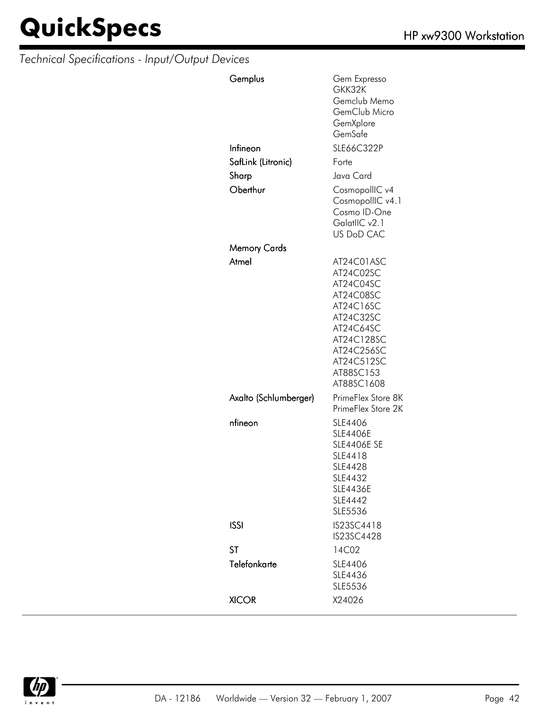| Gemplus               | Gem Expresso<br>GKK32K<br>Gemclub Memo<br>GemClub Micro<br>GemXplore<br>GemSafe                                                                               |
|-----------------------|---------------------------------------------------------------------------------------------------------------------------------------------------------------|
| Infineon              | SLE66C322P                                                                                                                                                    |
| SafLink (Litronic)    | Forte                                                                                                                                                         |
| Sharp                 | Java Card                                                                                                                                                     |
| Oberthur              | CosmopollIC v4<br>CosmopollIC v4.1<br>Cosmo ID-One<br>GalatlIC v2.1<br>US DoD CAC                                                                             |
| Memory Cards          |                                                                                                                                                               |
| Atmel                 | AT24C01ASC<br>AT24C02SC<br>AT24C04SC<br>AT24C08SC<br>AT24C16SC<br>AT24C32SC<br>AT24C64SC<br>AT24C128SC<br>AT24C256SC<br>AT24C512SC<br>AT88SC153<br>AT88SC1608 |
| Axalto (Schlumberger) | PrimeFlex Store 8K<br>PrimeFlex Store 2K                                                                                                                      |
| nfineon               | SLE4406<br><b>SLE4406E</b><br><b>SLE4406E SE</b><br>SLE4418<br>SLE4428<br>SLE4432<br><b>SLE4436E</b><br>SLE4442<br>SLE5536                                    |
| <b>ISSI</b>           | IS23SC4418<br>IS23SC4428                                                                                                                                      |
| <b>ST</b>             | 14C02                                                                                                                                                         |
| Telefonkarte          | SLE4406<br>SLE4436<br>SLE5536                                                                                                                                 |
| <b>XICOR</b>          | X24026                                                                                                                                                        |

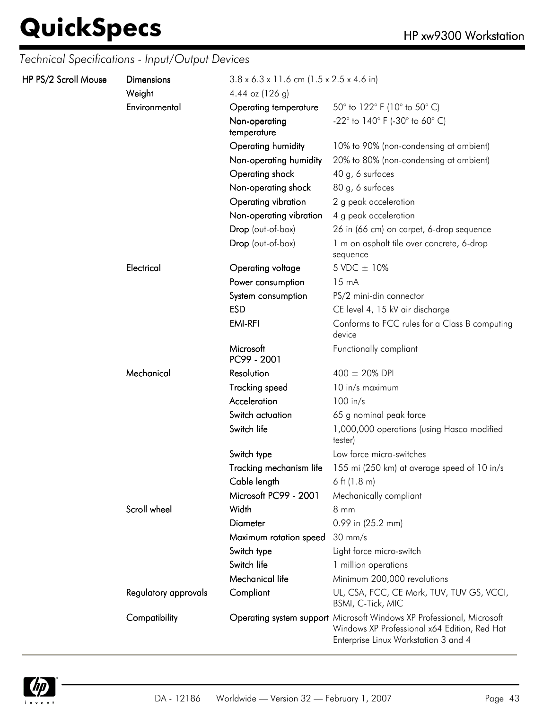| HP PS/2 Scroll Mouse | Dimensions              | $3.8 \times 6.3 \times 11.6$ cm (1.5 x 2.5 x 4.6 in)  |                                                                                                                                                               |
|----------------------|-------------------------|-------------------------------------------------------|---------------------------------------------------------------------------------------------------------------------------------------------------------------|
|                      | Weight<br>Environmental | 4.44 oz $(126 g)$                                     |                                                                                                                                                               |
|                      |                         | Operating temperature<br>Non-operating<br>temperature | 50 $^{\circ}$ to 122 $^{\circ}$ F (10 $^{\circ}$ to 50 $^{\circ}$ C)<br>-22° to 140° F (-30° to 60° C)                                                        |
|                      |                         | Operating humidity                                    | 10% to 90% (non-condensing at ambient)                                                                                                                        |
|                      |                         | Non-operating humidity                                | 20% to 80% (non-condensing at ambient)                                                                                                                        |
|                      |                         | Operating shock                                       | 40 g, 6 surfaces                                                                                                                                              |
|                      |                         | Non-operating shock                                   | 80 g, 6 surfaces                                                                                                                                              |
|                      |                         | Operating vibration                                   | 2 g peak acceleration                                                                                                                                         |
|                      |                         | Non-operating vibration                               | 4 g peak acceleration                                                                                                                                         |
|                      |                         | Drop (out-of-box)                                     | 26 in (66 cm) on carpet, 6-drop sequence                                                                                                                      |
|                      |                         | Drop (out-of-box)                                     | 1 m on asphalt tile over concrete, 6-drop<br>sequence                                                                                                         |
|                      | Electrical              | Operating voltage                                     | 5 VDC ± 10%                                                                                                                                                   |
|                      |                         | Power consumption                                     | $15 \text{ mA}$                                                                                                                                               |
|                      |                         | System consumption                                    | PS/2 mini-din connector                                                                                                                                       |
|                      |                         | <b>ESD</b>                                            | CE level 4, 15 kV air discharge                                                                                                                               |
|                      |                         | <b>EMI-RFI</b>                                        | Conforms to FCC rules for a Class B computing<br>device                                                                                                       |
|                      |                         | Microsoft<br>PC99 - 2001                              | Functionally compliant                                                                                                                                        |
|                      | Mechanical              | Resolution                                            | $400 \pm 20\%$ DPI                                                                                                                                            |
|                      |                         | <b>Tracking speed</b>                                 | 10 in/s maximum                                                                                                                                               |
|                      |                         | Acceleration                                          | $100$ in/s                                                                                                                                                    |
|                      |                         | Switch actuation                                      | 65 g nominal peak force                                                                                                                                       |
|                      |                         | Switch life                                           | 1,000,000 operations (using Hasco modified<br>tester)                                                                                                         |
|                      |                         | Switch type                                           | Low force micro-switches                                                                                                                                      |
|                      |                         | Tracking mechanism life                               | 155 mi (250 km) at average speed of 10 in/s                                                                                                                   |
|                      |                         | Cable length                                          | 6 ft $(1.8 \text{ m})$                                                                                                                                        |
|                      |                         | Microsoft PC99 - 2001                                 | Mechanically compliant                                                                                                                                        |
|                      | Scroll wheel            | Width                                                 | 8 mm                                                                                                                                                          |
|                      |                         | <b>Diameter</b>                                       | 0.99 in (25.2 mm)                                                                                                                                             |
|                      |                         | Maximum rotation speed                                | $30 \text{ mm/s}$                                                                                                                                             |
|                      |                         | Switch type                                           | Light force micro-switch                                                                                                                                      |
|                      |                         | Switch life                                           | 1 million operations                                                                                                                                          |
|                      |                         | Mechanical life                                       | Minimum 200,000 revolutions                                                                                                                                   |
|                      | Regulatory approvals    | Compliant                                             | UL, CSA, FCC, CE Mark, TUV, TUV GS, VCCI,<br><b>BSMI, C-Tick, MIC</b>                                                                                         |
|                      | Compatibility           |                                                       | Operating system support Microsoft Windows XP Professional, Microsoft<br>Windows XP Professional x64 Edition, Red Hat<br>Enterprise Linux Workstation 3 and 4 |

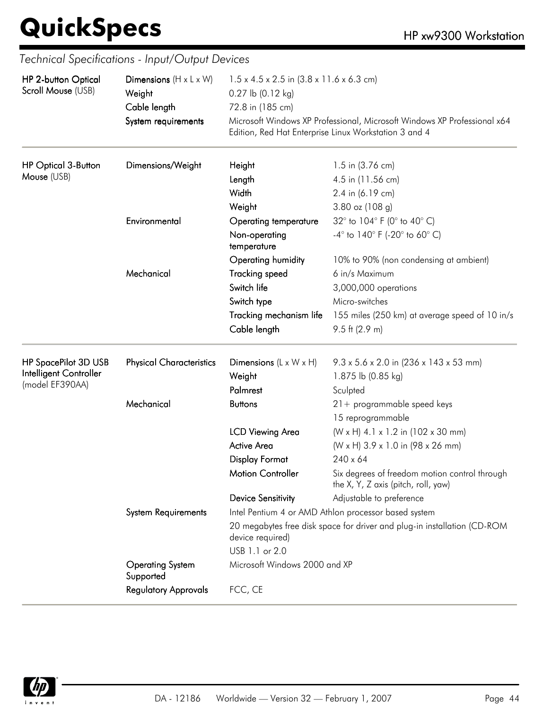| HP 2-button Optical        | Dimensions $(H \times L \times W)$   | $1.5 \times 4.5 \times 2.5$ in $(3.8 \times 11.6 \times 6.3$ cm)<br>$0.27$ lb $(0.12$ kg)<br>72.8 in (185 cm) |                                                                                                                                   |  |
|----------------------------|--------------------------------------|---------------------------------------------------------------------------------------------------------------|-----------------------------------------------------------------------------------------------------------------------------------|--|
| Scroll Mouse (USB)         | Weight                               |                                                                                                               |                                                                                                                                   |  |
|                            | Cable length                         |                                                                                                               |                                                                                                                                   |  |
|                            | System requirements                  |                                                                                                               | Microsoft Windows XP Professional, Microsoft Windows XP Professional x64<br>Edition, Red Hat Enterprise Linux Workstation 3 and 4 |  |
| <b>HP Optical 3-Button</b> | Dimensions/Weight                    | Height                                                                                                        | 1.5 in (3.76 cm)                                                                                                                  |  |
| Mouse (USB)                |                                      | Length                                                                                                        | 4.5 in (11.56 cm)                                                                                                                 |  |
|                            |                                      | Width                                                                                                         | 2.4 in (6.19 cm)                                                                                                                  |  |
|                            |                                      | Weight                                                                                                        | 3.80 oz (108 g)                                                                                                                   |  |
|                            | Environmental                        | <b>Operating temperature</b>                                                                                  | 32° to 104° F (0° to 40° C)                                                                                                       |  |
|                            |                                      | Non-operating<br>temperature                                                                                  | $-4^{\circ}$ to $140^{\circ}$ F (-20 $^{\circ}$ to 60 $^{\circ}$ C)                                                               |  |
|                            |                                      | Operating humidity                                                                                            | 10% to 90% (non condensing at ambient)                                                                                            |  |
|                            | Mechanical                           | <b>Tracking speed</b>                                                                                         | 6 in/s Maximum                                                                                                                    |  |
|                            |                                      | Switch life                                                                                                   | 3,000,000 operations                                                                                                              |  |
|                            |                                      | Switch type                                                                                                   | Micro-switches                                                                                                                    |  |
|                            |                                      | Tracking mechanism life                                                                                       | 155 miles (250 km) at average speed of 10 in/s                                                                                    |  |
|                            |                                      | Cable length                                                                                                  | $9.5$ ft (2.9 m)                                                                                                                  |  |
| HP SpacePilot 3D USB       | <b>Physical Characteristics</b>      | Dimensions $(L \times W \times H)$                                                                            | $9.3 \times 5.6 \times 2.0$ in (236 x 143 x 53 mm)                                                                                |  |
| Intelligent Controller     |                                      | Weight                                                                                                        | 1.875 lb (0.85 kg)                                                                                                                |  |
| (model EF390AA)            |                                      | Palmrest                                                                                                      | Sculpted                                                                                                                          |  |
|                            | Mechanical                           | <b>Buttons</b>                                                                                                | 21+ programmable speed keys                                                                                                       |  |
|                            |                                      |                                                                                                               | 15 reprogrammable                                                                                                                 |  |
|                            |                                      | <b>LCD Viewing Area</b>                                                                                       | (W x H) 4.1 x 1.2 in (102 x 30 mm)                                                                                                |  |
|                            |                                      | <b>Active Area</b>                                                                                            | (W x H) 3.9 x 1.0 in (98 x 26 mm)                                                                                                 |  |
|                            |                                      | <b>Display Format</b>                                                                                         | $240 \times 64$                                                                                                                   |  |
|                            |                                      | <b>Motion Controller</b>                                                                                      | Six degrees of freedom motion control through<br>the X, Y, Z axis (pitch, roll, yaw)                                              |  |
|                            |                                      | <b>Device Sensitivity</b>                                                                                     | Adjustable to preference                                                                                                          |  |
|                            | <b>System Requirements</b>           |                                                                                                               | Intel Pentium 4 or AMD Athlon processor based system                                                                              |  |
|                            |                                      | device required)                                                                                              | 20 megabytes free disk space for driver and plug-in installation (CD-ROM                                                          |  |
|                            |                                      | USB 1.1 or 2.0                                                                                                |                                                                                                                                   |  |
|                            | <b>Operating System</b><br>Supported | Microsoft Windows 2000 and XP                                                                                 |                                                                                                                                   |  |
|                            | <b>Regulatory Approvals</b>          | FCC, CE                                                                                                       |                                                                                                                                   |  |
|                            |                                      |                                                                                                               |                                                                                                                                   |  |

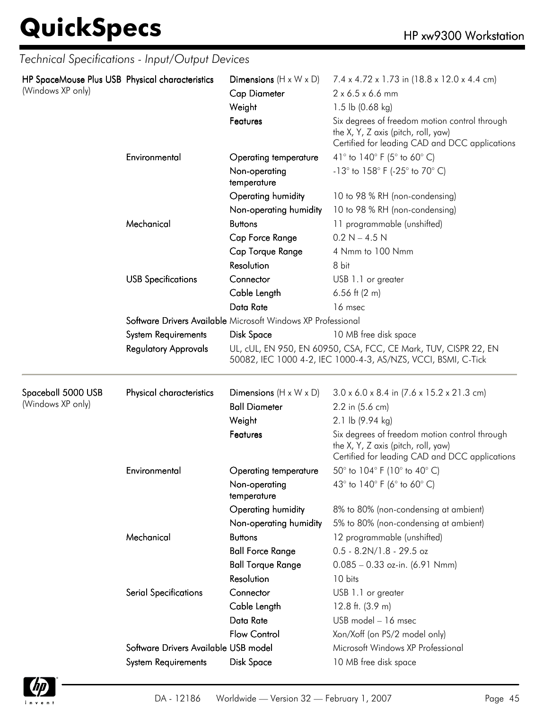|                                                                      | Technical Specifications - Input/Output Devices              |                                    |                                                                                                                                        |  |  |
|----------------------------------------------------------------------|--------------------------------------------------------------|------------------------------------|----------------------------------------------------------------------------------------------------------------------------------------|--|--|
| HP SpaceMouse Plus USB Physical characteristics<br>(Windows XP only) |                                                              | Dimensions $(H \times W \times D)$ | 7.4 x 4.72 x 1.73 in (18.8 x 12.0 x 4.4 cm)                                                                                            |  |  |
|                                                                      |                                                              | <b>Cap Diameter</b>                | $2 \times 6.5 \times 6.6$ mm                                                                                                           |  |  |
|                                                                      |                                                              | Weight                             | 1.5 lb $(0.68 \text{ kg})$                                                                                                             |  |  |
|                                                                      |                                                              | Features                           | Six degrees of freedom motion control through<br>the X, Y, Z axis (pitch, roll, yaw)<br>Certified for leading CAD and DCC applications |  |  |
|                                                                      | Environmental                                                | Operating temperature              | 41° to 140° F (5° to 60° C)                                                                                                            |  |  |
|                                                                      |                                                              | Non-operating<br>temperature       | $-13^{\circ}$ to $158^{\circ}$ F (-25 $^{\circ}$ to 70 $^{\circ}$ C)                                                                   |  |  |
|                                                                      |                                                              | Operating humidity                 | 10 to 98 % RH (non-condensing)                                                                                                         |  |  |
|                                                                      |                                                              | Non-operating humidity             | 10 to 98 % RH (non-condensing)                                                                                                         |  |  |
|                                                                      | Mechanical                                                   | <b>Buttons</b>                     | 11 programmable (unshifted)                                                                                                            |  |  |
|                                                                      |                                                              | Cap Force Range                    | $0.2 N - 4.5 N$                                                                                                                        |  |  |
|                                                                      |                                                              | Cap Torque Range                   | 4 Nmm to 100 Nmm                                                                                                                       |  |  |
|                                                                      |                                                              | Resolution                         | 8 bit                                                                                                                                  |  |  |
|                                                                      | <b>USB Specifications</b>                                    | Connector                          | USB 1.1 or greater                                                                                                                     |  |  |
|                                                                      |                                                              | Cable Length                       | $6.56$ ft (2 m)                                                                                                                        |  |  |
|                                                                      |                                                              | Data Rate                          | 16 msec                                                                                                                                |  |  |
|                                                                      | Software Drivers Available Microsoft Windows XP Professional |                                    |                                                                                                                                        |  |  |
|                                                                      | System Requirements                                          | <b>Disk Space</b>                  | 10 MB free disk space                                                                                                                  |  |  |
|                                                                      | <b>Regulatory Approvals</b>                                  |                                    | UL, cUL, EN 950, EN 60950, CSA, FCC, CE Mark, TUV, CISPR 22, EN<br>50082, IEC 1000 4-2, IEC 1000-4-3, AS/NZS, VCCI, BSMI, C-Tick       |  |  |
| Spaceball 5000 USB                                                   | Physical characteristics                                     | Dimensions $(H \times W \times D)$ | $3.0 \times 6.0 \times 8.4$ in $(7.6 \times 15.2 \times 21.3$ cm)                                                                      |  |  |
| (Windows XP only)                                                    |                                                              | <b>Ball Diameter</b>               | 2.2 in (5.6 cm)                                                                                                                        |  |  |
|                                                                      |                                                              | Weight                             | 2.1 lb (9.94 kg)                                                                                                                       |  |  |
|                                                                      |                                                              | Features                           | Six degrees of freedom motion control through<br>the X, Y, Z axis (pitch, roll, yaw)<br>Certified for leading CAD and DCC applications |  |  |
|                                                                      | Environmental                                                | <b>Operating temperature</b>       | 50 $^{\circ}$ to 104 $^{\circ}$ F (10 $^{\circ}$ to 40 $^{\circ}$ C)                                                                   |  |  |
|                                                                      |                                                              | Non-operating<br>temperature       | 43° to 140° F (6° to 60° C)                                                                                                            |  |  |
|                                                                      |                                                              | Operating humidity                 | 8% to 80% (non-condensing at ambient)                                                                                                  |  |  |
|                                                                      |                                                              | Non-operating humidity             | 5% to 80% (non-condensing at ambient)                                                                                                  |  |  |
|                                                                      | Mechanical                                                   | <b>Buttons</b>                     | 12 programmable (unshifted)                                                                                                            |  |  |
|                                                                      |                                                              | <b>Ball Force Range</b>            | $0.5 - 8.2N/1.8 - 29.5$ oz                                                                                                             |  |  |
|                                                                      |                                                              | <b>Ball Torque Range</b>           | $0.085 - 0.33$ oz-in. (6.91 Nmm)                                                                                                       |  |  |
|                                                                      |                                                              | <b>Resolution</b>                  | 10 bits                                                                                                                                |  |  |
|                                                                      | <b>Serial Specifications</b>                                 | Connector                          | USB 1.1 or greater                                                                                                                     |  |  |
|                                                                      |                                                              | Cable Length                       | 12.8 ft. $(3.9 m)$                                                                                                                     |  |  |
|                                                                      |                                                              | Data Rate                          | USB model - 16 msec                                                                                                                    |  |  |
|                                                                      |                                                              | <b>Flow Control</b>                | Xon/Xoff (on PS/2 model only)                                                                                                          |  |  |
|                                                                      | Software Drivers Available USB model                         |                                    | Microsoft Windows XP Professional                                                                                                      |  |  |
|                                                                      | System Requirements                                          | <b>Disk Space</b>                  | 10 MB free disk space                                                                                                                  |  |  |

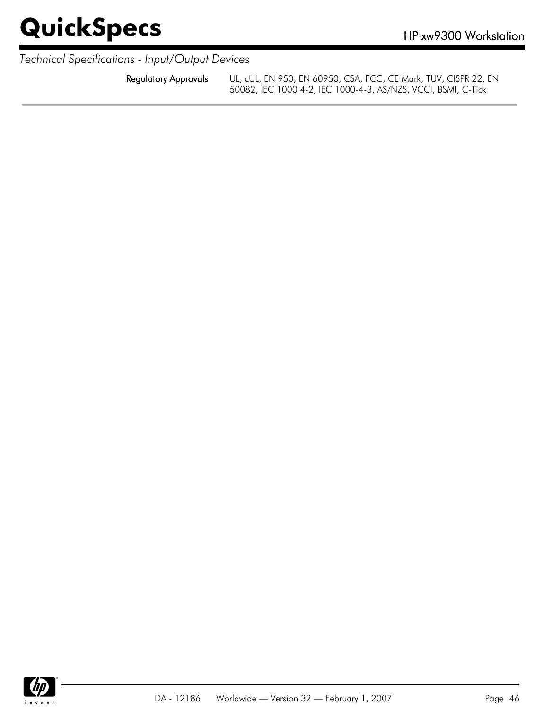*Technical Specifications - Input/Output Devices*

Regulatory Approvals UL, cUL, EN 950, EN 60950, CSA, FCC, CE Mark, TUV, CISPR 22, EN 50082, IEC 1000 4-2, IEC 1000-4-3, AS/NZS, VCCI, BSMI, C-Tick

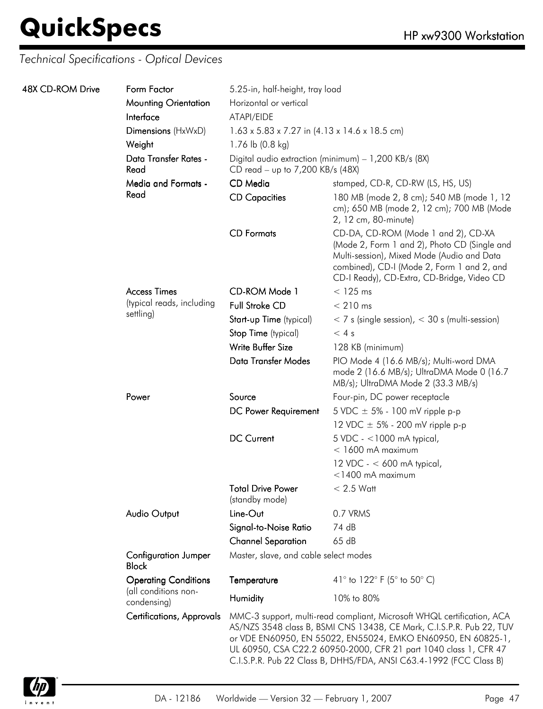| 48X CD-ROM Drive | Form Factor                                         | 5.25-in, half-height, tray load                                       |                                                                                                                                                                                                                                                                                                                                                          |  |
|------------------|-----------------------------------------------------|-----------------------------------------------------------------------|----------------------------------------------------------------------------------------------------------------------------------------------------------------------------------------------------------------------------------------------------------------------------------------------------------------------------------------------------------|--|
|                  | <b>Mounting Orientation</b>                         | Horizontal or vertical                                                |                                                                                                                                                                                                                                                                                                                                                          |  |
|                  | Interface                                           | ATAPI/EIDE                                                            |                                                                                                                                                                                                                                                                                                                                                          |  |
|                  | Dimensions (HxWxD)                                  | $1.63 \times 5.83 \times 7.27$ in $(4.13 \times 14.6 \times 18.5$ cm) |                                                                                                                                                                                                                                                                                                                                                          |  |
|                  | Weight                                              | 1.76 lb (0.8 kg)                                                      |                                                                                                                                                                                                                                                                                                                                                          |  |
|                  | Data Transfer Rates -<br>Read                       | CD read - up to 7,200 KB/s (48X)                                      | Digital audio extraction (minimum) - 1,200 KB/s (8X)                                                                                                                                                                                                                                                                                                     |  |
|                  | <b>Media and Formats -</b>                          | CD Media                                                              | stamped, CD-R, CD-RW (LS, HS, US)                                                                                                                                                                                                                                                                                                                        |  |
|                  | Read                                                | <b>CD Capacities</b>                                                  | 180 MB (mode 2, 8 cm); 540 MB (mode 1, 12<br>cm); 650 MB (mode 2, 12 cm); 700 MB (Mode<br>2, 12 cm, 80-minute)                                                                                                                                                                                                                                           |  |
|                  |                                                     | <b>CD</b> Formats                                                     | CD-DA, CD-ROM (Mode 1 and 2), CD-XA<br>(Mode 2, Form 1 and 2), Photo CD (Single and<br>Multi-session), Mixed Mode (Audio and Data<br>combined), CD-I (Mode 2, Form 1 and 2, and<br>CD-I Ready), CD-Extra, CD-Bridge, Video CD                                                                                                                            |  |
|                  | <b>Access Times</b>                                 | CD-ROM Mode 1                                                         | $<$ 125 ms                                                                                                                                                                                                                                                                                                                                               |  |
|                  | (typical reads, including                           | <b>Full Stroke CD</b>                                                 | $< 210$ ms                                                                                                                                                                                                                                                                                                                                               |  |
|                  | settling)                                           | Start-up Time (typical)                                               | $<$ 7 s (single session), $<$ 30 s (multi-session)                                                                                                                                                                                                                                                                                                       |  |
|                  |                                                     | Stop Time (typical)                                                   | < 4s                                                                                                                                                                                                                                                                                                                                                     |  |
|                  |                                                     | Write Buffer Size                                                     | 128 KB (minimum)                                                                                                                                                                                                                                                                                                                                         |  |
|                  |                                                     | Data Transfer Modes                                                   | PIO Mode 4 (16.6 MB/s); Multi-word DMA<br>mode 2 (16.6 MB/s); UltraDMA Mode 0 (16.7<br>MB/s); UltraDMA Mode 2 (33.3 MB/s)                                                                                                                                                                                                                                |  |
|                  | Power                                               | Source                                                                | Four-pin, DC power receptacle                                                                                                                                                                                                                                                                                                                            |  |
|                  |                                                     | DC Power Requirement                                                  | 5 VDC $\pm$ 5% - 100 mV ripple p-p                                                                                                                                                                                                                                                                                                                       |  |
|                  |                                                     |                                                                       | 12 VDC $\pm$ 5% - 200 mV ripple p-p                                                                                                                                                                                                                                                                                                                      |  |
|                  |                                                     | <b>DC Current</b>                                                     | $5$ VDC - <1000 mA typical,<br>$<$ 1600 mA maximum                                                                                                                                                                                                                                                                                                       |  |
|                  |                                                     |                                                                       | 12 VDC - $<$ 600 mA typical,<br>$<$ 1400 mA maximum                                                                                                                                                                                                                                                                                                      |  |
|                  |                                                     | <b>Total Drive Power</b><br>(standby mode)                            | $< 2.5$ Watt                                                                                                                                                                                                                                                                                                                                             |  |
|                  | <b>Audio Output</b>                                 | Line-Out                                                              | 0.7 VRMS                                                                                                                                                                                                                                                                                                                                                 |  |
|                  |                                                     | Signal-to-Noise Ratio                                                 | 74 dB                                                                                                                                                                                                                                                                                                                                                    |  |
|                  |                                                     | <b>Channel Separation</b>                                             | 65dB                                                                                                                                                                                                                                                                                                                                                     |  |
|                  | <b>Configuration Jumper</b><br><b>Block</b>         | Master, slave, and cable select modes                                 |                                                                                                                                                                                                                                                                                                                                                          |  |
|                  | <b>Operating Conditions</b><br>(all conditions non- | Temperature                                                           | 41° to 122° F (5° to 50° C)                                                                                                                                                                                                                                                                                                                              |  |
|                  | condensing)                                         | Humidity                                                              | 10% to 80%                                                                                                                                                                                                                                                                                                                                               |  |
|                  | <b>Certifications, Approvals</b>                    |                                                                       | MMC-3 support, multi-read compliant, Microsoft WHQL certification, ACA<br>AS/NZS 3548 class B, BSMI CNS 13438, CE Mark, C.I.S.P.R. Pub 22, TUV<br>or VDE EN60950, EN 55022, EN55024, EMKO EN60950, EN 60825-1,<br>UL 60950, CSA C22.2 60950-2000, CFR 21 part 1040 class 1, CFR 47<br>C.I.S.P.R. Pub 22 Class B, DHHS/FDA, ANSI C63.4-1992 (FCC Class B) |  |

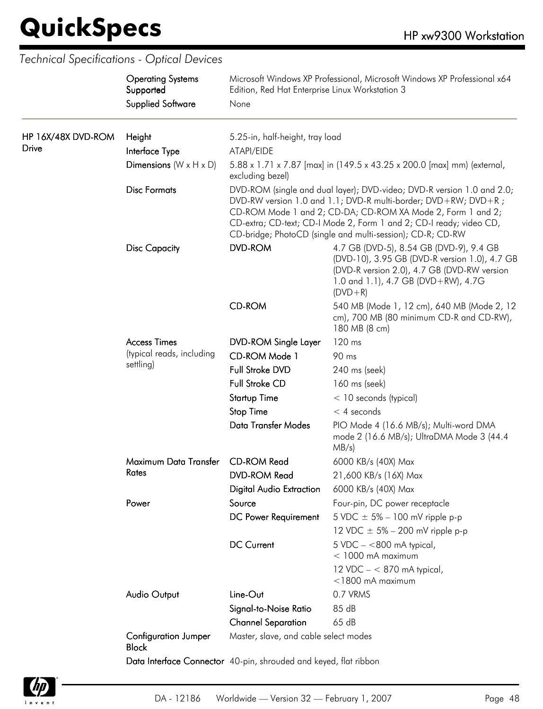|                                    | <b>Operating Systems</b><br>Supported<br><b>Supplied Software</b> | Edition, Red Hat Enterprise Linux Workstation 3<br>None                                                                                      | Microsoft Windows XP Professional, Microsoft Windows XP Professional x64                                                                                                                                                                                                                                                                     |  |
|------------------------------------|-------------------------------------------------------------------|----------------------------------------------------------------------------------------------------------------------------------------------|----------------------------------------------------------------------------------------------------------------------------------------------------------------------------------------------------------------------------------------------------------------------------------------------------------------------------------------------|--|
| HP 16X/48X DVD-ROM<br><b>Drive</b> | Height<br>Interface Type<br>Dimensions $(W \times H \times D)$    | 5.25-in, half-height, tray load<br>ATAPI/EIDE<br>5.88 x 1.71 x 7.87 [max] in (149.5 x 43.25 x 200.0 [max] mm) (external,<br>excluding bezel) |                                                                                                                                                                                                                                                                                                                                              |  |
|                                    | <b>Disc Formats</b>                                               |                                                                                                                                              | DVD-ROM (single and dual layer); DVD-video; DVD-R version 1.0 and 2.0;<br>DVD-RW version 1.0 and 1.1; DVD-R multi-border; DVD+RW; DVD+R;<br>CD-ROM Mode 1 and 2; CD-DA; CD-ROM XA Mode 2, Form 1 and 2;<br>CD-extra; CD-text; CD-I Mode 2, Form 1 and 2; CD-I ready; video CD,<br>CD-bridge; PhotoCD (single and multi-session); CD-R; CD-RW |  |
|                                    | <b>Disc Capacity</b>                                              | <b>DVD-ROM</b>                                                                                                                               | 4.7 GB (DVD-5), 8.54 GB (DVD-9), 9.4 GB<br>(DVD-10), 3.95 GB (DVD-R version 1.0), 4.7 GB<br>(DVD-R version 2.0), 4.7 GB (DVD-RW version<br>1.0 and 1.1), 4.7 GB (DVD+RW), 4.7G<br>$(DVD + R)$                                                                                                                                                |  |
|                                    |                                                                   | <b>CD-ROM</b>                                                                                                                                | 540 MB (Mode 1, 12 cm), 640 MB (Mode 2, 12<br>cm), 700 MB (80 minimum CD-R and CD-RW),<br>180 MB (8 cm)                                                                                                                                                                                                                                      |  |
|                                    | <b>Access Times</b><br>(typical reads, including                  | <b>DVD-ROM Single Layer</b>                                                                                                                  | 120 ms                                                                                                                                                                                                                                                                                                                                       |  |
|                                    |                                                                   | CD-ROM Mode 1                                                                                                                                | 90 ms                                                                                                                                                                                                                                                                                                                                        |  |
|                                    | settling)                                                         | Full Stroke DVD                                                                                                                              | 240 ms (seek)                                                                                                                                                                                                                                                                                                                                |  |
|                                    |                                                                   | Full Stroke CD                                                                                                                               | 160 ms (seek)                                                                                                                                                                                                                                                                                                                                |  |
|                                    |                                                                   | <b>Startup Time</b>                                                                                                                          | < 10 seconds (typical)                                                                                                                                                                                                                                                                                                                       |  |
|                                    |                                                                   | <b>Stop Time</b>                                                                                                                             | $<$ 4 seconds                                                                                                                                                                                                                                                                                                                                |  |
|                                    |                                                                   | Data Transfer Modes                                                                                                                          | PIO Mode 4 (16.6 MB/s); Multi-word DMA<br>mode 2 (16.6 MB/s); UltraDMA Mode 3 (44.4)<br>$MB/s$ )                                                                                                                                                                                                                                             |  |
|                                    | Maximum Data Transfer                                             | <b>CD-ROM Read</b>                                                                                                                           | 6000 KB/s (40X) Max                                                                                                                                                                                                                                                                                                                          |  |
|                                    | Rates                                                             | <b>DVD-ROM Read</b>                                                                                                                          | 21,600 KB/s (16X) Max                                                                                                                                                                                                                                                                                                                        |  |
|                                    |                                                                   | <b>Digital Audio Extraction</b>                                                                                                              | 6000 KB/s (40X) Max                                                                                                                                                                                                                                                                                                                          |  |
|                                    | Power                                                             | Source                                                                                                                                       | Four-pin, DC power receptacle                                                                                                                                                                                                                                                                                                                |  |
|                                    |                                                                   | DC Power Requirement                                                                                                                         | 5 VDC $\pm$ 5% – 100 mV ripple p-p                                                                                                                                                                                                                                                                                                           |  |
|                                    |                                                                   |                                                                                                                                              | 12 VDC $\pm$ 5% – 200 mV ripple p-p                                                                                                                                                                                                                                                                                                          |  |
|                                    |                                                                   | <b>DC Current</b>                                                                                                                            | $5 \text{ VDC} - < 800 \text{ mA}$ typical,<br>$<$ 1000 mA maximum                                                                                                                                                                                                                                                                           |  |
|                                    |                                                                   |                                                                                                                                              | 12 VDC $- < 870$ mA typical,<br>$<$ 1800 mA maximum                                                                                                                                                                                                                                                                                          |  |
|                                    | <b>Audio Output</b>                                               | Line-Out                                                                                                                                     | 0.7 VRMS                                                                                                                                                                                                                                                                                                                                     |  |
|                                    |                                                                   | Signal-to-Noise Ratio                                                                                                                        | 85 dB                                                                                                                                                                                                                                                                                                                                        |  |
|                                    |                                                                   | <b>Channel Separation</b>                                                                                                                    | 65 dB                                                                                                                                                                                                                                                                                                                                        |  |
|                                    | <b>Configuration Jumper</b><br><b>Block</b>                       | Master, slave, and cable select modes                                                                                                        |                                                                                                                                                                                                                                                                                                                                              |  |
|                                    |                                                                   | Data Interface Connector 40-pin, shrouded and keyed, flat ribbon                                                                             |                                                                                                                                                                                                                                                                                                                                              |  |

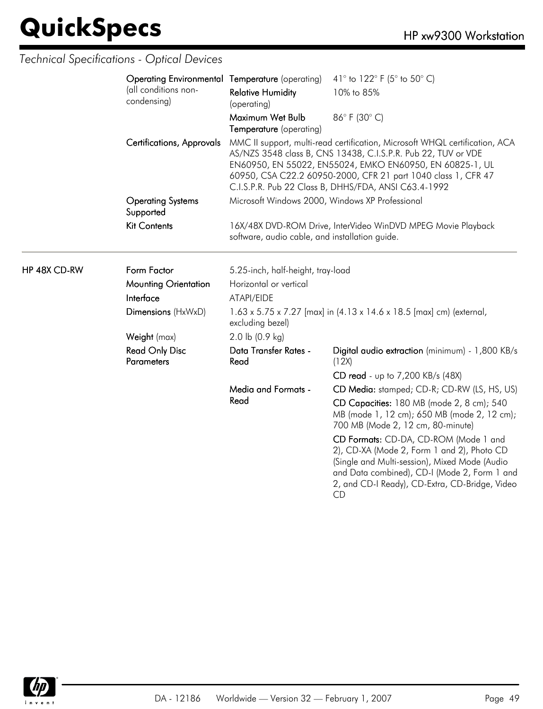|              | Operating Environmental Temperature (operating)              |                                                 | 41° to 122° F (5° to 50° C)                                                                                                                                                                                                                                                                                                       |  |
|--------------|--------------------------------------------------------------|-------------------------------------------------|-----------------------------------------------------------------------------------------------------------------------------------------------------------------------------------------------------------------------------------------------------------------------------------------------------------------------------------|--|
|              | (all conditions non-<br>condensing)                          | <b>Relative Humidity</b><br>(operating)         | 10% to 85%                                                                                                                                                                                                                                                                                                                        |  |
|              |                                                              | Maximum Wet Bulb<br>Temperature (operating)     | 86°F (30°C)                                                                                                                                                                                                                                                                                                                       |  |
|              | Certifications, Approvals                                    |                                                 | MMC II support, multi-read certification, Microsoft WHQL certification, ACA<br>AS/NZS 3548 class B, CNS 13438, C.I.S.P.R. Pub 22, TUV or VDE<br>EN60950, EN 55022, EN55024, EMKO EN60950, EN 60825-1, UL<br>60950, CSA C22.2 60950-2000, CFR 21 part 1040 class 1, CFR 47<br>C.I.S.P.R. Pub 22 Class B, DHHS/FDA, ANSI C63.4-1992 |  |
|              | <b>Operating Systems</b><br>Supported<br><b>Kit Contents</b> | Microsoft Windows 2000, Windows XP Professional |                                                                                                                                                                                                                                                                                                                                   |  |
|              |                                                              | software, audio cable, and installation guide.  | 16X/48X DVD-ROM Drive, InterVideo WinDVD MPEG Movie Playback                                                                                                                                                                                                                                                                      |  |
| HP 48X CD-RW | Form Factor                                                  | 5.25-inch, half-height, tray-load               |                                                                                                                                                                                                                                                                                                                                   |  |
|              | <b>Mounting Orientation</b>                                  | Horizontal or vertical                          |                                                                                                                                                                                                                                                                                                                                   |  |
|              | Interface                                                    | ATAPI/EIDE                                      |                                                                                                                                                                                                                                                                                                                                   |  |
|              | Dimensions (HxWxD)                                           | excluding bezel)                                | 1.63 x 5.75 x 7.27 [max] in (4.13 x 14.6 x 18.5 [max] cm) (external,                                                                                                                                                                                                                                                              |  |
|              | Weight (max)                                                 | 2.0 lb (0.9 kg)                                 |                                                                                                                                                                                                                                                                                                                                   |  |
|              | <b>Read Only Disc</b><br><b>Parameters</b>                   | Data Transfer Rates -<br>Read                   | Digital audio extraction (minimum) - 1,800 KB/s<br>(12X)                                                                                                                                                                                                                                                                          |  |
|              |                                                              |                                                 | CD read - up to 7,200 KB/s (48X)                                                                                                                                                                                                                                                                                                  |  |
|              |                                                              | <b>Media and Formats -</b>                      | CD Media: stamped; CD-R; CD-RW (LS, HS, US)                                                                                                                                                                                                                                                                                       |  |
|              |                                                              | Read                                            | CD Capacities: 180 MB (mode 2, 8 cm); 540<br>MB (mode 1, 12 cm); 650 MB (mode 2, 12 cm);<br>700 MB (Mode 2, 12 cm, 80-minute)                                                                                                                                                                                                     |  |
|              |                                                              |                                                 | CD Formats: CD-DA, CD-ROM (Mode 1 and<br>2), CD-XA (Mode 2, Form 1 and 2), Photo CD<br>(Single and Multi-session), Mixed Mode (Audio<br>and Data combined), CD-I (Mode 2, Form 1 and<br>2, and CD-I Ready), CD-Extra, CD-Bridge, Video<br><b>CD</b>                                                                               |  |

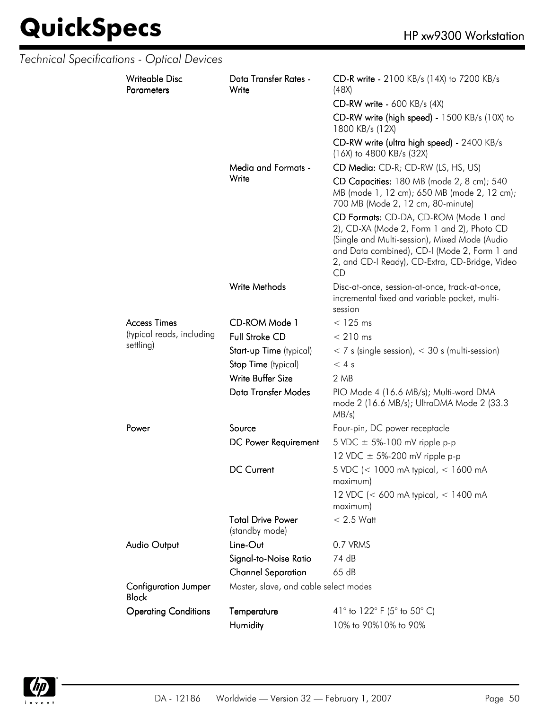|  | Technical Specifications - Optical Devices  |                                            |                                                                                                                                                                                                                                              |
|--|---------------------------------------------|--------------------------------------------|----------------------------------------------------------------------------------------------------------------------------------------------------------------------------------------------------------------------------------------------|
|  | <b>Writeable Disc</b><br><b>Parameters</b>  | Data Transfer Rates -<br>Write             | CD-R write - 2100 KB/s (14X) to 7200 KB/s<br>(48X)                                                                                                                                                                                           |
|  |                                             |                                            | <b>CD-RW write - 600 KB/s (4X)</b>                                                                                                                                                                                                           |
|  |                                             |                                            | CD-RW write (high speed) - 1500 KB/s (10X) to<br>1800 KB/s (12X)                                                                                                                                                                             |
|  |                                             |                                            | CD-RW write (ultra high speed) - 2400 KB/s<br>(16X) to 4800 KB/s (32X)                                                                                                                                                                       |
|  |                                             | Media and Formats -                        | CD Media: CD-R; CD-RW (LS, HS, US)                                                                                                                                                                                                           |
|  |                                             | Write                                      | CD Capacities: 180 MB (mode 2, 8 cm); 540<br>MB (mode 1, 12 cm); 650 MB (mode 2, 12 cm);<br>700 MB (Mode 2, 12 cm, 80-minute)                                                                                                                |
|  |                                             |                                            | CD Formats: CD-DA, CD-ROM (Mode 1 and<br>2), CD-XA (Mode 2, Form 1 and 2), Photo CD<br>(Single and Multi-session), Mixed Mode (Audio<br>and Data combined), CD-I (Mode 2, Form 1 and<br>2, and CD-I Ready), CD-Extra, CD-Bridge, Video<br>CD |
|  |                                             | Write Methods                              | Disc-at-once, session-at-once, track-at-once,<br>incremental fixed and variable packet, multi-<br>session                                                                                                                                    |
|  | <b>Access Times</b>                         | CD-ROM Mode 1                              | $<$ 125 ms                                                                                                                                                                                                                                   |
|  | (typical reads, including                   | <b>Full Stroke CD</b>                      | $< 210$ ms                                                                                                                                                                                                                                   |
|  | settling)                                   | Start-up Time (typical)                    | $<$ 7 s (single session), $<$ 30 s (multi-session)                                                                                                                                                                                           |
|  |                                             | Stop Time (typical)                        | < 4s                                                                                                                                                                                                                                         |
|  |                                             | Write Buffer Size                          | 2 MB                                                                                                                                                                                                                                         |
|  |                                             | <b>Data Transfer Modes</b>                 | PIO Mode 4 (16.6 MB/s); Multi-word DMA<br>mode 2 (16.6 MB/s); UltraDMA Mode 2 (33.3<br>MB/s)                                                                                                                                                 |
|  | Power                                       | Source                                     | Four-pin, DC power receptacle                                                                                                                                                                                                                |
|  |                                             | DC Power Requirement                       | 5 VDC $\pm$ 5%-100 mV ripple p-p                                                                                                                                                                                                             |
|  |                                             |                                            | 12 VDC $\pm$ 5%-200 mV ripple p-p                                                                                                                                                                                                            |
|  |                                             | <b>DC Current</b>                          | 5 VDC (< 1000 mA typical, < 1600 mA<br>maximum)                                                                                                                                                                                              |
|  |                                             |                                            | 12 VDC (< 600 mA typical, < 1400 mA<br>maximum)                                                                                                                                                                                              |
|  |                                             | <b>Total Drive Power</b><br>(standby mode) | $< 2.5$ Watt                                                                                                                                                                                                                                 |
|  | Audio Output                                | Line-Out                                   | 0.7 VRMS                                                                                                                                                                                                                                     |
|  |                                             | Signal-to-Noise Ratio                      | 74 dB                                                                                                                                                                                                                                        |
|  |                                             | <b>Channel Separation</b>                  | 65 dB                                                                                                                                                                                                                                        |
|  | <b>Configuration Jumper</b><br><b>Block</b> | Master, slave, and cable select modes      |                                                                                                                                                                                                                                              |
|  | <b>Operating Conditions</b>                 | Temperature                                | 41° to 122° F (5° to 50° C)                                                                                                                                                                                                                  |
|  |                                             | Humidity                                   | 10% to 90%10% to 90%                                                                                                                                                                                                                         |

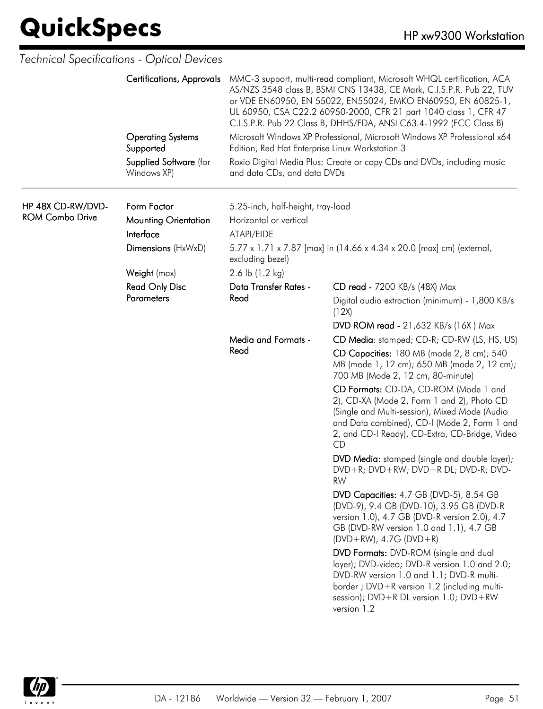|                                             | Technical Specifications - Optical Devices |                                                             |                                                                                                                                                                                                                                                                                                                                                          |  |
|---------------------------------------------|--------------------------------------------|-------------------------------------------------------------|----------------------------------------------------------------------------------------------------------------------------------------------------------------------------------------------------------------------------------------------------------------------------------------------------------------------------------------------------------|--|
|                                             | <b>Certifications, Approvals</b>           |                                                             | MMC-3 support, multi-read compliant, Microsoft WHQL certification, ACA<br>AS/NZS 3548 class B, BSMI CNS 13438, CE Mark, C.I.S.P.R. Pub 22, TUV<br>or VDE EN60950, EN 55022, EN55024, EMKO EN60950, EN 60825-1,<br>UL 60950, CSA C22.2 60950-2000, CFR 21 part 1040 class 1, CFR 47<br>C.I.S.P.R. Pub 22 Class B, DHHS/FDA, ANSI C63.4-1992 (FCC Class B) |  |
|                                             | <b>Operating Systems</b><br>Supported      | Edition, Red Hat Enterprise Linux Workstation 3             | Microsoft Windows XP Professional, Microsoft Windows XP Professional x64                                                                                                                                                                                                                                                                                 |  |
|                                             | Supplied Software (for<br>Windows XP)      | and data CDs, and data DVDs                                 | Roxio Digital Media Plus: Create or copy CDs and DVDs, including music                                                                                                                                                                                                                                                                                   |  |
| HP 48X CD-RW/DVD-<br><b>ROM Combo Drive</b> | Form Factor<br><b>Mounting Orientation</b> | 5.25-inch, half-height, tray-load<br>Horizontal or vertical |                                                                                                                                                                                                                                                                                                                                                          |  |
|                                             | Interface                                  | ATAPI/EIDE                                                  |                                                                                                                                                                                                                                                                                                                                                          |  |
|                                             | Dimensions (HxWxD)                         | excluding bezel)                                            | 5.77 x 1.71 x 7.87 [max] in (14.66 x 4.34 x 20.0 [max] cm) (external,                                                                                                                                                                                                                                                                                    |  |
|                                             | Weight (max)                               | 2.6 lb $(1.2 \text{ kg})$                                   |                                                                                                                                                                                                                                                                                                                                                          |  |
|                                             | <b>Read Only Disc</b>                      | Data Transfer Rates -                                       | CD read - 7200 KB/s (48X) Max                                                                                                                                                                                                                                                                                                                            |  |
|                                             | <b>Parameters</b>                          | Read                                                        | Digital audio extraction (minimum) - 1,800 KB/s<br>(12X)                                                                                                                                                                                                                                                                                                 |  |
|                                             |                                            |                                                             | <b>DVD ROM read - 21,632 KB/s (16X) Max</b>                                                                                                                                                                                                                                                                                                              |  |
|                                             |                                            | <b>Media and Formats -</b><br>Read                          | CD Media: stamped; CD-R; CD-RW (LS, HS, US)                                                                                                                                                                                                                                                                                                              |  |
|                                             |                                            |                                                             | CD Capacities: 180 MB (mode 2, 8 cm); 540<br>MB (mode 1, 12 cm); 650 MB (mode 2, 12 cm);<br>700 MB (Mode 2, 12 cm, 80-minute)                                                                                                                                                                                                                            |  |
|                                             |                                            |                                                             | CD Formats: CD-DA, CD-ROM (Mode 1 and<br>2), CD-XA (Mode 2, Form 1 and 2), Photo CD<br>(Single and Multi-session), Mixed Mode (Audio<br>and Data combined), CD-I (Mode 2, Form 1 and<br>2, and CD-I Ready), CD-Extra, CD-Bridge, Video<br>CD                                                                                                             |  |
|                                             |                                            |                                                             | DVD Media: stamped (single and double layer);<br>DVD+R; DVD+RW; DVD+R DL; DVD-R; DVD-<br><b>RW</b>                                                                                                                                                                                                                                                       |  |
|                                             |                                            |                                                             | DVD Capacities: 4.7 GB (DVD-5), 8.54 GB<br>(DVD-9), 9.4 GB (DVD-10), 3.95 GB (DVD-R<br>version 1.0), 4.7 GB (DVD-R version 2.0), 4.7<br>GB (DVD-RW version 1.0 and 1.1), 4.7 GB<br>$(DVD+RW)$ , 4.7G $(DVD+R)$                                                                                                                                           |  |
|                                             |                                            |                                                             | DVD Formats: DVD-ROM (single and dual<br>layer); DVD-video; DVD-R version 1.0 and 2.0;<br>DVD-RW version 1.0 and 1.1; DVD-R multi-<br>border ; DVD+R version 1.2 (including multi-<br>session); DVD+R DL version 1.0; DVD+RW<br>version 1.2                                                                                                              |  |

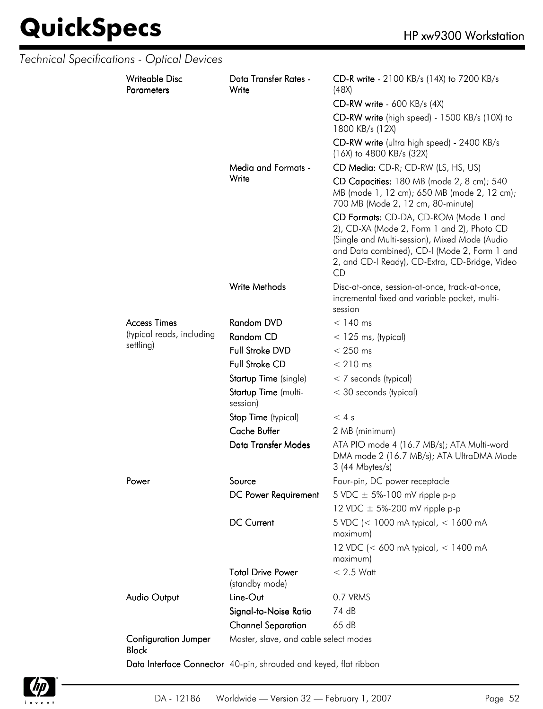|  | Technical Specifications - Optical Devices  |                                                                  |                                                                                                                                                                                                                                              |
|--|---------------------------------------------|------------------------------------------------------------------|----------------------------------------------------------------------------------------------------------------------------------------------------------------------------------------------------------------------------------------------|
|  | <b>Writeable Disc</b><br><b>Parameters</b>  | Data Transfer Rates -<br>Write                                   | CD-R write - 2100 KB/s (14X) to 7200 KB/s<br>(48X)                                                                                                                                                                                           |
|  |                                             |                                                                  | $CD-RW$ write - 600 KB/s (4X)                                                                                                                                                                                                                |
|  |                                             |                                                                  | CD-RW write (high speed) - 1500 KB/s (10X) to<br>1800 KB/s (12X)                                                                                                                                                                             |
|  |                                             |                                                                  | CD-RW write (ultra high speed) - 2400 KB/s<br>$(16X)$ to 4800 KB/s $(32X)$                                                                                                                                                                   |
|  |                                             | Media and Formats -                                              | CD Media: CD-R; CD-RW (LS, HS, US)                                                                                                                                                                                                           |
|  |                                             | Write                                                            | CD Capacities: 180 MB (mode 2, 8 cm); 540<br>MB (mode 1, 12 cm); 650 MB (mode 2, 12 cm);<br>700 MB (Mode 2, 12 cm, 80-minute)                                                                                                                |
|  |                                             |                                                                  | CD Formats: CD-DA, CD-ROM (Mode 1 and<br>2), CD-XA (Mode 2, Form 1 and 2), Photo CD<br>(Single and Multi-session), Mixed Mode (Audio<br>and Data combined), CD-I (Mode 2, Form 1 and<br>2, and CD-I Ready), CD-Extra, CD-Bridge, Video<br>CD |
|  |                                             | Write Methods                                                    | Disc-at-once, session-at-once, track-at-once,<br>incremental fixed and variable packet, multi-<br>session                                                                                                                                    |
|  | <b>Access Times</b>                         | Random DVD                                                       | $< 140$ ms                                                                                                                                                                                                                                   |
|  | (typical reads, including                   | Random CD                                                        | $<$ 125 ms, (typical)                                                                                                                                                                                                                        |
|  | settling)                                   | Full Stroke DVD                                                  | $< 250$ ms                                                                                                                                                                                                                                   |
|  |                                             | <b>Full Stroke CD</b>                                            | $< 210$ ms                                                                                                                                                                                                                                   |
|  |                                             | Startup Time (single)                                            | $<$ 7 seconds (typical)                                                                                                                                                                                                                      |
|  |                                             | Startup Time (multi-<br>session)                                 | < 30 seconds (typical)                                                                                                                                                                                                                       |
|  |                                             | Stop Time (typical)                                              | < 4s                                                                                                                                                                                                                                         |
|  |                                             | <b>Cache Buffer</b>                                              | 2 MB (minimum)                                                                                                                                                                                                                               |
|  |                                             | Data Transfer Modes                                              | ATA PIO mode 4 (16.7 MB/s); ATA Multi-word<br>DMA mode 2 (16.7 MB/s); ATA UltraDMA Mode<br>3 (44 Mbytes/s)                                                                                                                                   |
|  | Power                                       | Source                                                           | Four-pin, DC power receptacle                                                                                                                                                                                                                |
|  |                                             | DC Power Requirement                                             | 5 VDC $\pm$ 5%-100 mV ripple p-p                                                                                                                                                                                                             |
|  |                                             |                                                                  | 12 VDC $\pm$ 5%-200 mV ripple p-p                                                                                                                                                                                                            |
|  |                                             | <b>DC Current</b>                                                | 5 VDC (< 1000 mA typical, < 1600 mA<br>maximum)                                                                                                                                                                                              |
|  |                                             |                                                                  | 12 VDC (< 600 mA typical, < 1400 mA<br>maximum)                                                                                                                                                                                              |
|  |                                             | <b>Total Drive Power</b><br>(standby mode)                       | $< 2.5$ Watt                                                                                                                                                                                                                                 |
|  | Audio Output                                | Line-Out                                                         | 0.7 VRMS                                                                                                                                                                                                                                     |
|  |                                             | Signal-to-Noise Ratio                                            | 74 dB                                                                                                                                                                                                                                        |
|  |                                             | <b>Channel Separation</b>                                        | 65 dB                                                                                                                                                                                                                                        |
|  | <b>Configuration Jumper</b><br><b>Block</b> | Master, slave, and cable select modes                            |                                                                                                                                                                                                                                              |
|  |                                             | Data Interface Connector 40-pin, shrouded and keyed, flat ribbon |                                                                                                                                                                                                                                              |

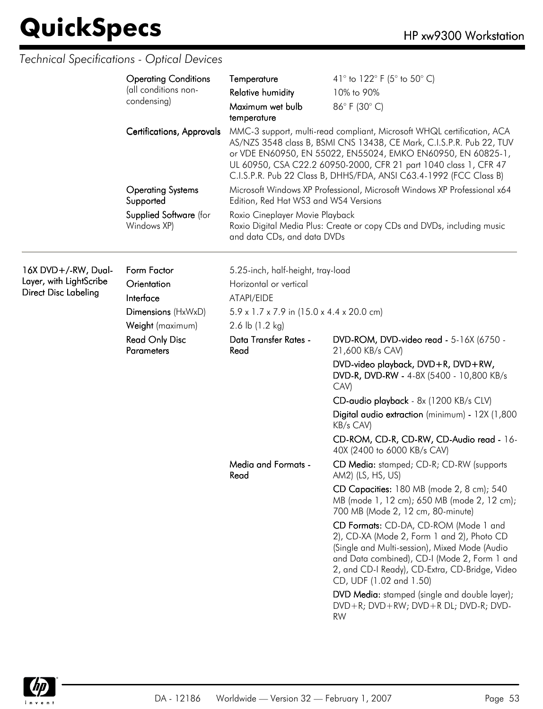|                                                                                | <b>Operating Conditions</b><br>(all conditions non-<br>condensing)<br><b>Certifications, Approvals</b>                                                                                                                                                        | Temperature<br><b>Relative humidity</b><br>Maximum wet bulb<br>temperature                                                                            | 41° to 122° F (5° to 50° C)<br>10% to 90%<br>86°F (30°C)<br>MMC-3 support, multi-read compliant, Microsoft WHQL certification, ACA<br>AS/NZS 3548 class B, BSMI CNS 13438, CE Mark, C.I.S.P.R. Pub 22, TUV<br>or VDE EN60950, EN 55022, EN55024, EMKO EN60950, EN 60825-1,<br>UL 60950, CSA C22.2 60950-2000, CFR 21 part 1040 class 1, CFR 47<br>C.I.S.P.R. Pub 22 Class B, DHHS/FDA, ANSI C63.4-1992 (FCC Class B)                                                                                                                                                                                                                                 |
|--------------------------------------------------------------------------------|---------------------------------------------------------------------------------------------------------------------------------------------------------------------------------------------------------------------------------------------------------------|-------------------------------------------------------------------------------------------------------------------------------------------------------|------------------------------------------------------------------------------------------------------------------------------------------------------------------------------------------------------------------------------------------------------------------------------------------------------------------------------------------------------------------------------------------------------------------------------------------------------------------------------------------------------------------------------------------------------------------------------------------------------------------------------------------------------|
| <b>Operating Systems</b><br>Supported<br>Supplied Software (for<br>Windows XP) | Microsoft Windows XP Professional, Microsoft Windows XP Professional x64<br>Edition, Red Hat WS3 and WS4 Versions<br>Roxio Cineplayer Movie Playback<br>Roxio Digital Media Plus: Create or copy CDs and DVDs, including music<br>and data CDs, and data DVDs |                                                                                                                                                       |                                                                                                                                                                                                                                                                                                                                                                                                                                                                                                                                                                                                                                                      |
| 16X DVD+/-RW, Dual-<br>Layer, with LightScribe<br><b>Direct Disc Labeling</b>  | Form Factor<br>Orientation<br>Interface<br>Dimensions (HxWxD)<br>Weight (maximum)                                                                                                                                                                             | 5.25-inch, half-height, tray-load<br>Horizontal or vertical<br>ATAPI/EIDE<br>$5.9 \times 1.7 \times 7.9$ in (15.0 x 4.4 x 20.0 cm)<br>2.6 lb (1.2 kg) |                                                                                                                                                                                                                                                                                                                                                                                                                                                                                                                                                                                                                                                      |
|                                                                                | <b>Read Only Disc</b><br><b>Parameters</b>                                                                                                                                                                                                                    | Data Transfer Rates -<br>Read                                                                                                                         | DVD-ROM, DVD-video read - 5-16X (6750 -<br>21,600 KB/s CAV)<br>DVD-video playback, DVD+R, DVD+RW,<br>DVD-R, DVD-RW - 4-8X (5400 - 10,800 KB/s<br>CAV)<br>CD-audio playback - 8x (1200 KB/s CLV)<br>Digital audio extraction (minimum) - 12X (1,800<br>KB/s CAV)                                                                                                                                                                                                                                                                                                                                                                                      |
|                                                                                |                                                                                                                                                                                                                                                               | <b>Media and Formats -</b><br>Read                                                                                                                    | CD-ROM, CD-R, CD-RW, CD-Audio read - 16-<br>40X (2400 to 6000 KB/s CAV)<br>CD Media: stamped; CD-R; CD-RW (supports<br>AM2) (LS, HS, US)<br>CD Capacities: 180 MB (mode 2, 8 cm); 540<br>MB (mode 1, 12 cm); 650 MB (mode 2, 12 cm);<br>700 MB (Mode 2, 12 cm, 80-minute)<br>CD Formats: CD-DA, CD-ROM (Mode 1 and<br>2), CD-XA (Mode 2, Form 1 and 2), Photo CD<br>(Single and Multi-session), Mixed Mode (Audio<br>and Data combined), CD-I (Mode 2, Form 1 and<br>2, and CD-I Ready), CD-Extra, CD-Bridge, Video<br>CD, UDF (1.02 and 1.50)<br>DVD Media: stamped (single and double layer);<br>DVD+R; DVD+RW; DVD+R DL; DVD-R; DVD-<br><b>RW</b> |

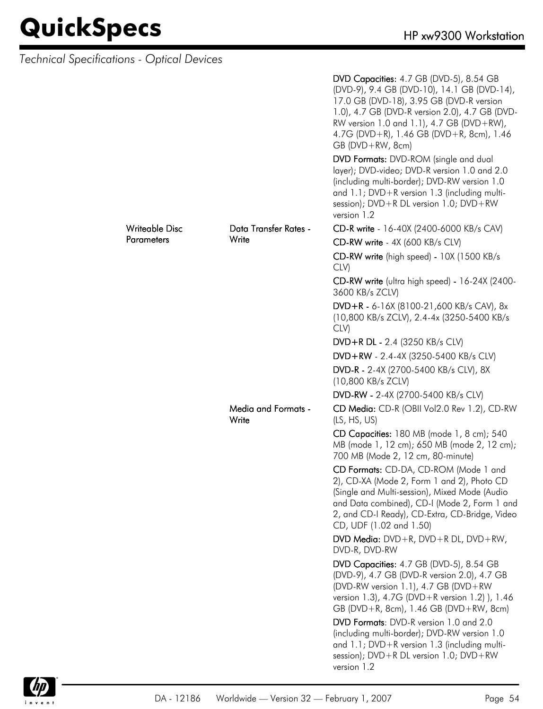| Technical Specifications - Optical Devices |                   |                                     |                                                                                                                                                                                                                                                                                                       |
|--------------------------------------------|-------------------|-------------------------------------|-------------------------------------------------------------------------------------------------------------------------------------------------------------------------------------------------------------------------------------------------------------------------------------------------------|
|                                            |                   |                                     | DVD Capacities: 4.7 GB (DVD-5), 8.54 GB<br>(DVD-9), 9.4 GB (DVD-10), 14.1 GB (DVD-14),<br>17.0 GB (DVD-18), 3.95 GB (DVD-R version<br>1.0), 4.7 GB (DVD-R version 2.0), 4.7 GB (DVD-<br>RW version 1.0 and 1.1), 4.7 GB (DVD+RW),<br>4.7G (DVD+R), 1.46 GB (DVD+R, 8cm), 1.46<br>$GB (DVD + RW, 8cm)$ |
|                                            |                   |                                     | DVD Formats: DVD-ROM (single and dual<br>layer); DVD-video; DVD-R version 1.0 and 2.0<br>(including multi-border); DVD-RW version 1.0<br>and 1.1; DVD+R version 1.3 (including multi-<br>session); $DVD + R DL$ version 1.0; $DVD + RW$<br>version 1.2                                                |
|                                            | Writeable Disc    | Data Transfer Rates -               | CD-R write - 16-40X (2400-6000 KB/s CAV)                                                                                                                                                                                                                                                              |
|                                            | <b>Parameters</b> | Write                               | CD-RW write - 4X (600 KB/s CLV)                                                                                                                                                                                                                                                                       |
|                                            |                   |                                     | CD-RW write (high speed) - 10X (1500 KB/s<br>CLV)                                                                                                                                                                                                                                                     |
|                                            |                   |                                     | CD-RW write (ultra high speed) - 16-24X (2400-<br>3600 KB/s ZCLV)                                                                                                                                                                                                                                     |
|                                            |                   |                                     | DVD+R - 6-16X (8100-21,600 KB/s CAV), 8x<br>(10,800 KB/s ZCLV), 2.4-4x (3250-5400 KB/s<br>CLV)                                                                                                                                                                                                        |
|                                            |                   |                                     | DVD+R DL - 2.4 (3250 KB/s CLV)                                                                                                                                                                                                                                                                        |
|                                            |                   |                                     | DVD+RW - 2.4-4X (3250-5400 KB/s CLV)                                                                                                                                                                                                                                                                  |
|                                            |                   |                                     | DVD-R - 2-4X (2700-5400 KB/s CLV), 8X<br>(10,800 KB/s ZCLV)                                                                                                                                                                                                                                           |
|                                            |                   |                                     | DVD-RW - 2-4X (2700-5400 KB/s CLV)                                                                                                                                                                                                                                                                    |
|                                            |                   | <b>Media and Formats -</b><br>Write | CD Media: CD-R (OBII Vol2.0 Rev 1.2), CD-RW<br>(LS, HS, US)                                                                                                                                                                                                                                           |
|                                            |                   |                                     | CD Capacities: 180 MB (mode 1, 8 cm); 540<br>MB (mode 1, 12 cm); 650 MB (mode 2, 12 cm);<br>700 MB (Mode 2, 12 cm, 80-minute)                                                                                                                                                                         |
|                                            |                   |                                     | CD Formats: CD-DA, CD-ROM (Mode 1 and<br>2), CD-XA (Mode 2, Form 1 and 2), Photo CD<br>(Single and Multi-session), Mixed Mode (Audio<br>and Data combined), CD-I (Mode 2, Form 1 and<br>2, and CD-I Ready), CD-Extra, CD-Bridge, Video<br>CD, UDF (1.02 and 1.50)                                     |
|                                            |                   |                                     | DVD Media: $DVD + R$ , $DVD + R$ DL, $DVD + RW$ ,<br>DVD-R, DVD-RW                                                                                                                                                                                                                                    |
|                                            |                   |                                     | DVD Capacities: 4.7 GB (DVD-5), 8.54 GB<br>(DVD-9), 4.7 GB (DVD-R version 2.0), 4.7 GB<br>(DVD-RW version 1.1), 4.7 GB (DVD+RW<br>version 1.3), 4.7G (DVD+R version 1.2) ), 1.46<br>GB (DVD+R, 8cm), 1.46 GB (DVD+RW, 8cm)                                                                            |
|                                            |                   |                                     | DVD Formats: DVD-R version 1.0 and 2.0<br>(including multi-border); DVD-RW version 1.0<br>and 1.1; DVD+R version 1.3 (including multi-<br>session); $DVD + R DL$ version 1.0; $DVD + RW$<br>version 1.2                                                                                               |

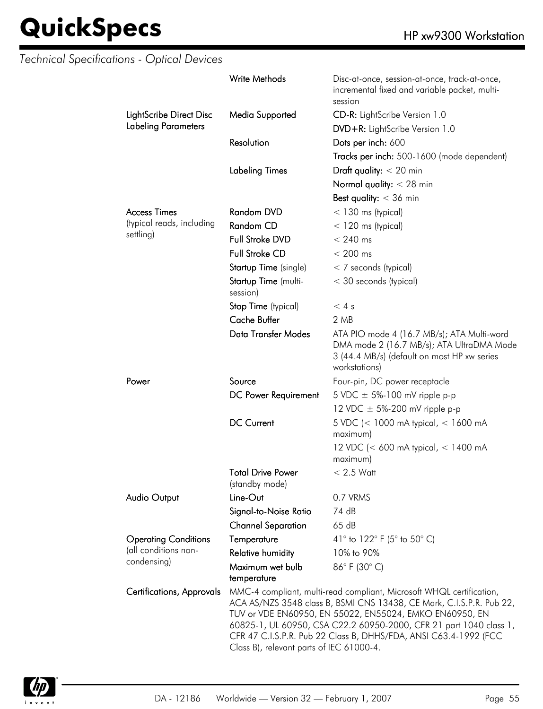|                                  | Write Methods                              | Disc-at-once, session-at-once, track-at-once,<br>incremental fixed and variable packet, multi-<br>session                                                                                                                                                                                                                                         |
|----------------------------------|--------------------------------------------|---------------------------------------------------------------------------------------------------------------------------------------------------------------------------------------------------------------------------------------------------------------------------------------------------------------------------------------------------|
| LightScribe Direct Disc          | Media Supported                            | CD-R: LightScribe Version 1.0                                                                                                                                                                                                                                                                                                                     |
| <b>Labeling Parameters</b>       |                                            | DVD+R: LightScribe Version 1.0                                                                                                                                                                                                                                                                                                                    |
|                                  | Resolution                                 | Dots per inch: 600                                                                                                                                                                                                                                                                                                                                |
|                                  |                                            | Tracks per inch: 500-1600 (mode dependent)                                                                                                                                                                                                                                                                                                        |
|                                  | <b>Labeling Times</b>                      | Draft quality: $<$ 20 min                                                                                                                                                                                                                                                                                                                         |
|                                  |                                            | Normal quality: $<$ 28 min                                                                                                                                                                                                                                                                                                                        |
|                                  |                                            | Best quality: $<$ 36 min                                                                                                                                                                                                                                                                                                                          |
| <b>Access Times</b>              | Random DVD                                 |                                                                                                                                                                                                                                                                                                                                                   |
| (typical reads, including        |                                            | $<$ 130 ms (typical)                                                                                                                                                                                                                                                                                                                              |
| settling)                        | Random CD                                  | $<$ 120 ms (typical)                                                                                                                                                                                                                                                                                                                              |
|                                  | Full Stroke DVD                            | $< 240$ ms                                                                                                                                                                                                                                                                                                                                        |
|                                  | <b>Full Stroke CD</b>                      | $< 200$ ms                                                                                                                                                                                                                                                                                                                                        |
|                                  | Startup Time (single)                      | $<$ 7 seconds (typical)                                                                                                                                                                                                                                                                                                                           |
|                                  | Startup Time (multi-<br>session)           | < 30 seconds (typical)                                                                                                                                                                                                                                                                                                                            |
|                                  | Stop Time (typical)                        | < 4s                                                                                                                                                                                                                                                                                                                                              |
|                                  | <b>Cache Buffer</b>                        | 2 MB                                                                                                                                                                                                                                                                                                                                              |
|                                  | Data Transfer Modes                        | ATA PIO mode 4 (16.7 MB/s); ATA Multi-word<br>DMA mode 2 (16.7 MB/s); ATA UltraDMA Mode<br>3 (44.4 MB/s) (default on most HP xw series<br>workstations)                                                                                                                                                                                           |
| Power                            | Source                                     | Four-pin, DC power receptacle                                                                                                                                                                                                                                                                                                                     |
|                                  | DC Power Requirement                       | 5 VDC $\pm$ 5%-100 mV ripple p-p                                                                                                                                                                                                                                                                                                                  |
|                                  |                                            | 12 VDC $\pm$ 5%-200 mV ripple p-p                                                                                                                                                                                                                                                                                                                 |
|                                  | <b>DC Current</b>                          | 5 VDC (< 1000 mA typical, < 1600 mA<br>maximum)                                                                                                                                                                                                                                                                                                   |
|                                  |                                            | 12 VDC (< 600 mA typical, < 1400 mA<br>maximum)                                                                                                                                                                                                                                                                                                   |
|                                  | <b>Total Drive Power</b><br>(standby mode) | $< 2.5$ Watt                                                                                                                                                                                                                                                                                                                                      |
| <b>Audio Output</b>              | Line-Out                                   | 0.7 VRMS                                                                                                                                                                                                                                                                                                                                          |
|                                  | Signal-to-Noise Ratio                      | 74 dB                                                                                                                                                                                                                                                                                                                                             |
|                                  | <b>Channel Separation</b>                  | 65dB                                                                                                                                                                                                                                                                                                                                              |
| <b>Operating Conditions</b>      | Temperature                                | 41° to 122° F (5° to 50° C)                                                                                                                                                                                                                                                                                                                       |
| (all conditions non-             | <b>Relative humidity</b>                   | 10% to 90%                                                                                                                                                                                                                                                                                                                                        |
| condensing)                      | Maximum wet bulb<br>temperature            | 86°F (30°C)                                                                                                                                                                                                                                                                                                                                       |
| <b>Certifications, Approvals</b> | Class B), relevant parts of IEC 61000-4.   | MMC-4 compliant, multi-read compliant, Microsoft WHQL certification,<br>ACA AS/NZS 3548 class B, BSMI CNS 13438, CE Mark, C.I.S.P.R. Pub 22,<br>TUV or VDE EN60950, EN 55022, EN55024, EMKO EN60950, EN<br>60825-1, UL 60950, CSA C22.2 60950-2000, CFR 21 part 1040 class 1,<br>CFR 47 C.I.S.P.R. Pub 22 Class B, DHHS/FDA, ANSI C63.4-1992 (FCC |

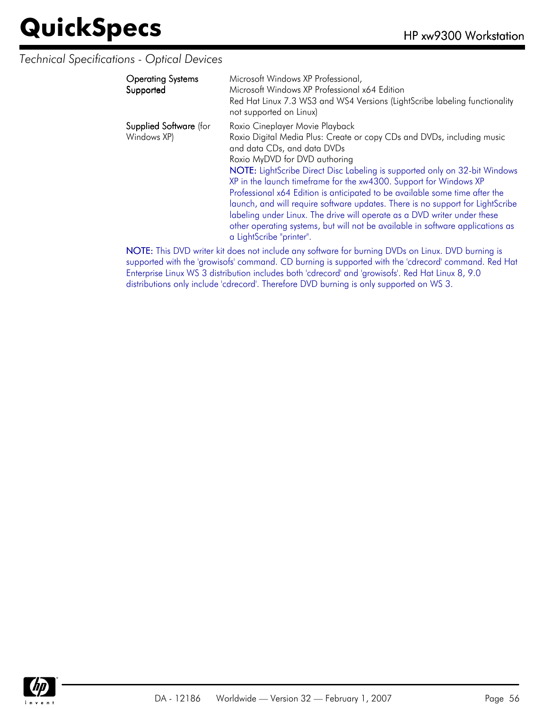#### *Technical Specifications - Optical Devices*

| <b>Operating Systems</b><br>Supported        | Microsoft Windows XP Professional,<br>Microsoft Windows XP Professional x64 Edition<br>Red Hat Linux 7.3 WS3 and WS4 Versions (LightScribe labeling functionality<br>not supported on Linux)                                                                                                                                                                                                                                                                                                                                                                                                                                                                                            |
|----------------------------------------------|-----------------------------------------------------------------------------------------------------------------------------------------------------------------------------------------------------------------------------------------------------------------------------------------------------------------------------------------------------------------------------------------------------------------------------------------------------------------------------------------------------------------------------------------------------------------------------------------------------------------------------------------------------------------------------------------|
| <b>Supplied Software</b> (for<br>Windows XP) | Roxio Cineplayer Movie Playback<br>Roxio Digital Media Plus: Create or copy CDs and DVDs, including music<br>and data CDs, and data DVDs<br>Roxio MyDVD for DVD authoring<br>NOTE: LightScribe Direct Disc Labeling is supported only on 32-bit Windows<br>XP in the launch timeframe for the xw4300. Support for Windows XP<br>Professional x64 Edition is anticipated to be available some time after the<br>launch, and will require software updates. There is no support for LightScribe<br>labeling under Linux. The drive will operate as a DVD writer under these<br>other operating systems, but will not be available in software applications as<br>a LightScribe "printer". |
|                                              | NIATE TRAINING ACTACHES STATES IN STATE OF THE INTERNATIONAL STATES.                                                                                                                                                                                                                                                                                                                                                                                                                                                                                                                                                                                                                    |

NOTE: This DVD writer kit does not include any software for burning DVDs on Linux. DVD burning is supported with the 'growisofs' command. CD burning is supported with the 'cdrecord' command. Red Hat Enterprise Linux WS 3 distribution includes both 'cdrecord' and 'growisofs'. Red Hat Linux 8, 9.0 distributions only include 'cdrecord'. Therefore DVD burning is only supported on WS 3.

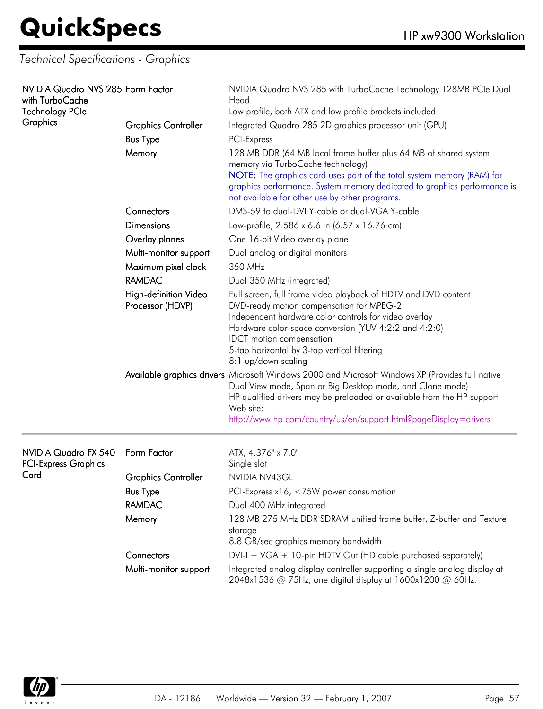*Technical Specifications - Graphics*

| NVIDIA Quadro NVS 285 Form Factor<br>with TurboCache<br><b>Technology PCIe</b><br>Graphics | <b>Graphics Controller</b><br><b>Bus Type</b><br>Memory | NVIDIA Quadro NVS 285 with TurboCache Technology 128MB PCIe Dual<br>Head<br>Low profile, both ATX and low profile brackets included<br>Integrated Quadro 285 2D graphics processor unit (GPU)<br>PCI-Express<br>128 MB DDR (64 MB local frame buffer plus 64 MB of shared system<br>memory via TurboCache technology)<br>NOTE: The graphics card uses part of the total system memory (RAM) for<br>graphics performance. System memory dedicated to graphics performance is<br>not available for other use by other programs. |
|--------------------------------------------------------------------------------------------|---------------------------------------------------------|-------------------------------------------------------------------------------------------------------------------------------------------------------------------------------------------------------------------------------------------------------------------------------------------------------------------------------------------------------------------------------------------------------------------------------------------------------------------------------------------------------------------------------|
|                                                                                            | Connectors                                              | DMS-59 to dual-DVI Y-cable or dual-VGA Y-cable                                                                                                                                                                                                                                                                                                                                                                                                                                                                                |
|                                                                                            | <b>Dimensions</b>                                       | Low-profile, 2.586 x 6.6 in (6.57 x 16.76 cm)                                                                                                                                                                                                                                                                                                                                                                                                                                                                                 |
|                                                                                            | Overlay planes                                          | One 16-bit Video overlay plane                                                                                                                                                                                                                                                                                                                                                                                                                                                                                                |
|                                                                                            | Multi-monitor support                                   | Dual analog or digital monitors                                                                                                                                                                                                                                                                                                                                                                                                                                                                                               |
|                                                                                            | Maximum pixel clock                                     | 350 MHz                                                                                                                                                                                                                                                                                                                                                                                                                                                                                                                       |
|                                                                                            | <b>RAMDAC</b>                                           | Dual 350 MHz (integrated)                                                                                                                                                                                                                                                                                                                                                                                                                                                                                                     |
|                                                                                            | High-definition Video<br>Processor (HDVP)               | Full screen, full frame video playback of HDTV and DVD content<br>DVD-ready motion compensation for MPEG-2<br>Independent hardware color controls for video overlay<br>Hardware color-space conversion (YUV 4:2:2 and 4:2:0)<br><b>IDCT</b> motion compensation<br>5-tap horizontal by 3-tap vertical filtering<br>8:1 up/down scaling                                                                                                                                                                                        |
|                                                                                            |                                                         | Available graphics drivers Microsoft Windows 2000 and Microsoft Windows XP (Provides full native<br>Dual View mode, Span or Big Desktop mode, and Clone mode)<br>HP qualified drivers may be preloaded or available from the HP support<br>Web site:<br>http://www.hp.com/country/us/en/support.html?pageDisplay=drivers                                                                                                                                                                                                      |
| NVIDIA Quadro FX 540<br><b>PCI-Express Graphics</b>                                        | Form Factor                                             | ATX, 4.376" x 7.0"<br>Single slot                                                                                                                                                                                                                                                                                                                                                                                                                                                                                             |
| Card                                                                                       | <b>Graphics Controller</b>                              | NVIDIA NV43GL                                                                                                                                                                                                                                                                                                                                                                                                                                                                                                                 |
|                                                                                            | <b>Bus Type</b>                                         | PCI-Express x16, <75W power consumption                                                                                                                                                                                                                                                                                                                                                                                                                                                                                       |
|                                                                                            | <b>RAMDAC</b>                                           | Dual 400 MHz integrated                                                                                                                                                                                                                                                                                                                                                                                                                                                                                                       |
|                                                                                            | Memory                                                  | 128 MB 275 MHz DDR SDRAM unified frame buffer, Z-buffer and Texture<br>storage<br>8.8 GB/sec graphics memory bandwidth                                                                                                                                                                                                                                                                                                                                                                                                        |
|                                                                                            | Connectors                                              | $DVI-I + VGA + 10$ -pin HDTV Out (HD cable purchased separately)                                                                                                                                                                                                                                                                                                                                                                                                                                                              |
|                                                                                            | Multi-monitor support                                   | Integrated analog display controller supporting a single analog display at<br>2048x1536 @ 75Hz, one digital display at 1600x1200 @ 60Hz.                                                                                                                                                                                                                                                                                                                                                                                      |

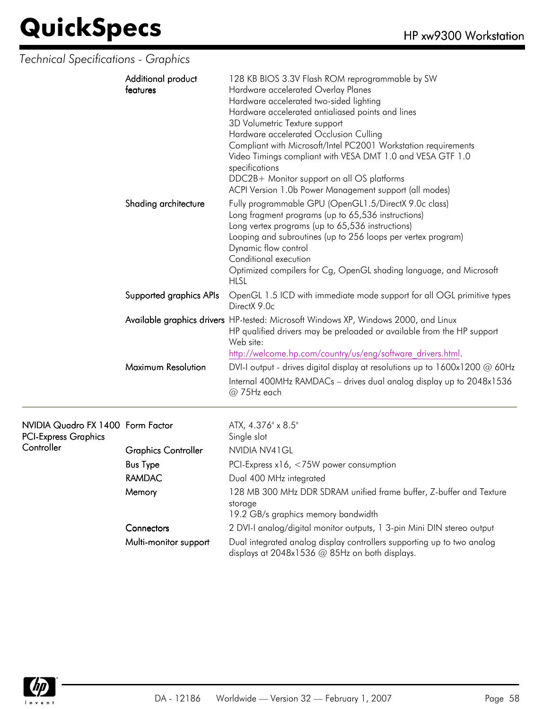### *Technical Specifications - Graphics*

| Additional product<br>features | 128 KB BIOS 3.3V Flash ROM reprogrammable by SW<br>Hardware accelerated Overlay Planes<br>Hardware accelerated two-sided lighting<br>Hardware accelerated antialiased points and lines<br>3D Volumetric Texture support<br>Hardware accelerated Occlusion Culling<br>Compliant with Microsoft/Intel PC2001 Workstation requirements<br>Video Timings compliant with VESA DMT 1.0 and VESA GTF 1.0<br>specifications<br>DDC2B+ Monitor support on all OS platforms<br>ACPI Version 1.0b Power Management support (all modes) |
|--------------------------------|-----------------------------------------------------------------------------------------------------------------------------------------------------------------------------------------------------------------------------------------------------------------------------------------------------------------------------------------------------------------------------------------------------------------------------------------------------------------------------------------------------------------------------|
| Shading architecture           | Fully programmable GPU (OpenGL1.5/DirectX 9.0c class)<br>Long fragment programs (up to 65,536 instructions)<br>Long vertex programs (up to 65,536 instructions)<br>Looping and subroutines (up to 256 loops per vertex program)<br>Dynamic flow control<br>Conditional execution<br>Optimized compilers for Cg, OpenGL shading language, and Microsoft<br><b>HLSL</b>                                                                                                                                                       |
| Supported graphics APIs        | OpenGL 1.5 ICD with immediate mode support for all OGL primitive types<br>DirectX 9 Oc                                                                                                                                                                                                                                                                                                                                                                                                                                      |
|                                | Available graphics drivers HP-tested: Microsoft Windows XP, Windows 2000, and Linux<br>HP qualified drivers may be preloaded or available from the HP support<br>Web site:<br>http://welcome.hp.com/country/us/eng/software drivers.html.                                                                                                                                                                                                                                                                                   |
| Maximum Resolution             | DVI-I output - drives digital display at resolutions up to 1600x1200 @ 60Hz                                                                                                                                                                                                                                                                                                                                                                                                                                                 |
|                                | Internal 400MHz RAMDACs - drives dual analog display up to 2048x1536<br>$@75Hz$ each                                                                                                                                                                                                                                                                                                                                                                                                                                        |

| NVIDIA Quadro FX 1400 Form Factor |                            | ATX, 4.376" x 8.5"                                                                                                       |
|-----------------------------------|----------------------------|--------------------------------------------------------------------------------------------------------------------------|
| <b>PCI-Express Graphics</b>       |                            | Single slot                                                                                                              |
| Controller                        | <b>Graphics Controller</b> | NVIDIA NV41 GL                                                                                                           |
|                                   | <b>Bus Type</b>            | PCI-Express $x16, < 75W$ power consumption                                                                               |
|                                   | RAMDAC                     | Dual 400 MHz integrated                                                                                                  |
|                                   | Memory                     | 128 MB 300 MHz DDR SDRAM unified frame buffer, Z-buffer and Texture<br>storage                                           |
|                                   |                            | 19.2 GB/s graphics memory bandwidth                                                                                      |
|                                   | Connectors                 | 2 DVI-I analog/digital monitor outputs, 1 3-pin Mini DIN stereo output                                                   |
|                                   | Multi-monitor support      | Dual integrated analog display controllers supporting up to two analog<br>displays at 2048x1536 @ 85Hz on both displays. |

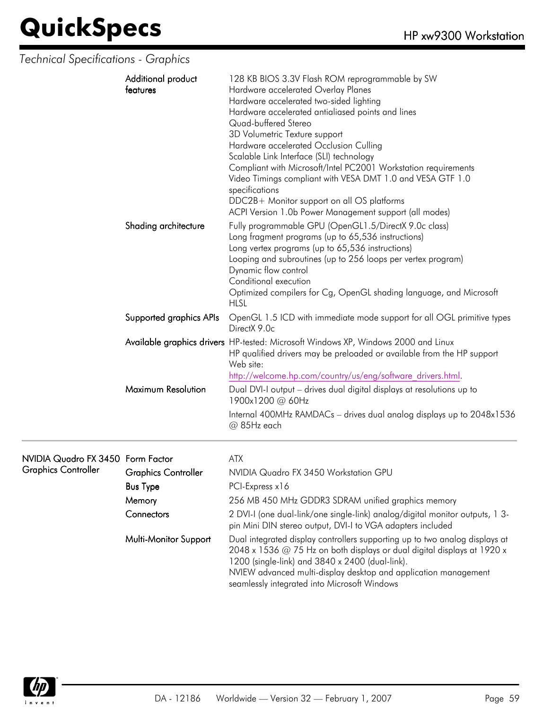*Technical Specifications - Graphics*

| Additional product<br>features | 128 KB BIOS 3.3V Flash ROM reprogrammable by SW<br>Hardware accelerated Overlay Planes<br>Hardware accelerated two-sided lighting<br>Hardware accelerated antialiased points and lines<br>Quad-buffered Stereo<br>3D Volumetric Texture support<br>Hardware accelerated Occlusion Culling<br>Scalable Link Interface (SLI) technology<br>Compliant with Microsoft/Intel PC2001 Workstation requirements<br>Video Timings compliant with VESA DMT 1.0 and VESA GTF 1.0<br>specifications<br>DDC2B+ Monitor support on all OS platforms<br>ACPI Version 1.0b Power Management support (all modes) |
|--------------------------------|-------------------------------------------------------------------------------------------------------------------------------------------------------------------------------------------------------------------------------------------------------------------------------------------------------------------------------------------------------------------------------------------------------------------------------------------------------------------------------------------------------------------------------------------------------------------------------------------------|
| Shading architecture           | Fully programmable GPU (OpenGL1.5/DirectX 9.0c class)<br>Long fragment programs (up to 65,536 instructions)<br>Long vertex programs (up to 65,536 instructions)<br>Looping and subroutines (up to 256 loops per vertex program)<br>Dynamic flow control<br>Conditional execution<br>Optimized compilers for Cg, OpenGL shading language, and Microsoft<br><b>HLSL</b>                                                                                                                                                                                                                           |
| Supported graphics APIs        | OpenGL 1.5 ICD with immediate mode support for all OGL primitive types<br>DirectX 9.0c                                                                                                                                                                                                                                                                                                                                                                                                                                                                                                          |
|                                | Available graphics drivers HP-tested: Microsoft Windows XP, Windows 2000 and Linux<br>HP qualified drivers may be preloaded or available from the HP support<br>Web site:<br>http://welcome.hp.com/country/us/eng/software drivers.html.                                                                                                                                                                                                                                                                                                                                                        |
| Maximum Resolution             | Dual DVI-I output - drives dual digital displays at resolutions up to<br>1900x1200 @ 60Hz<br>Internal 400MHz RAMDACs - drives dual analog displays up to 2048x1536<br>@ 85Hz each                                                                                                                                                                                                                                                                                                                                                                                                               |

#### NVIDIA Quadro FX 3450 Graphics Controller

| VIDIA Quadro FX 3450 Form Factor<br>iraphics Controller |                            | ATX                                                                                                                                                                                                                                                                                                                          |
|---------------------------------------------------------|----------------------------|------------------------------------------------------------------------------------------------------------------------------------------------------------------------------------------------------------------------------------------------------------------------------------------------------------------------------|
|                                                         | <b>Graphics Controller</b> | NVIDIA Quadro FX 3450 Workstation GPU                                                                                                                                                                                                                                                                                        |
|                                                         | <b>Bus Type</b>            | PCI-Express x16                                                                                                                                                                                                                                                                                                              |
|                                                         | Memory                     | 256 MB 450 MHz GDDR3 SDRAM unified graphics memory                                                                                                                                                                                                                                                                           |
|                                                         | Connectors                 | 2 DVI-I (one dual-link/one single-link) analog/digital monitor outputs, 1 3-<br>pin Mini DIN stereo output, DVI-I to VGA adapters included                                                                                                                                                                                   |
|                                                         | Multi-Monitor Support      | Dual integrated display controllers supporting up to two analog displays at<br>2048 x 1536 @ 75 Hz on both displays or dual digital displays at 1920 x<br>1200 (single-link) and 3840 x 2400 (dual-link).<br>NVIEW advanced multi-display desktop and application management<br>seamlessly integrated into Microsoft Windows |

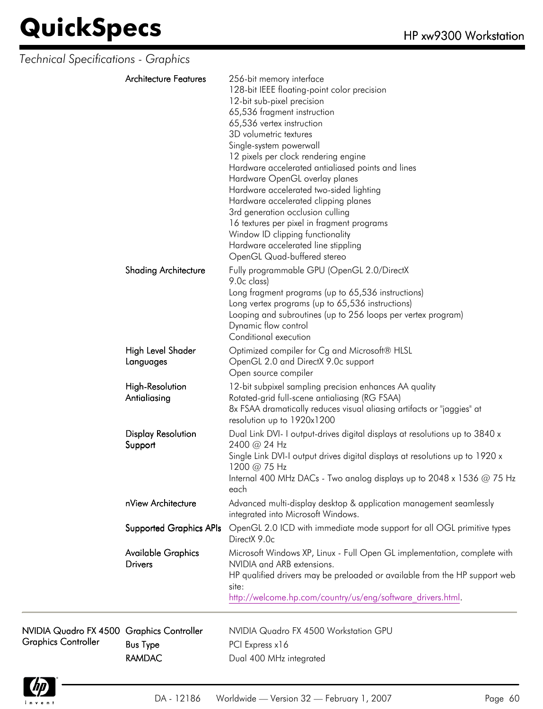| Technical Specifications - Graphics                                     |                                             |                                                                                                                                                                                                                                                                                                                                                                                                                                                                                                                                                                                                                                      |
|-------------------------------------------------------------------------|---------------------------------------------|--------------------------------------------------------------------------------------------------------------------------------------------------------------------------------------------------------------------------------------------------------------------------------------------------------------------------------------------------------------------------------------------------------------------------------------------------------------------------------------------------------------------------------------------------------------------------------------------------------------------------------------|
|                                                                         | <b>Architecture Features</b>                | 256-bit memory interface<br>128-bit IEEE floating-point color precision<br>12-bit sub-pixel precision<br>65,536 fragment instruction<br>65,536 vertex instruction<br>3D volumetric textures<br>Single-system powerwall<br>12 pixels per clock rendering engine<br>Hardware accelerated antialiased points and lines<br>Hardware OpenGL overlay planes<br>Hardware accelerated two-sided lighting<br>Hardware accelerated clipping planes<br>3rd generation occlusion culling<br>16 textures per pixel in fragment programs<br>Window ID clipping functionality<br>Hardware accelerated line stippling<br>OpenGL Quad-buffered stereo |
|                                                                         | <b>Shading Architecture</b>                 | Fully programmable GPU (OpenGL 2.0/DirectX<br>9.0c class)<br>Long fragment programs (up to 65,536 instructions)<br>Long vertex programs (up to 65,536 instructions)<br>Looping and subroutines (up to 256 loops per vertex program)<br>Dynamic flow control<br>Conditional execution                                                                                                                                                                                                                                                                                                                                                 |
|                                                                         | High Level Shader<br>Languages              | Optimized compiler for Cg and Microsoft® HLSL<br>OpenGL 2.0 and DirectX 9.0c support<br>Open source compiler                                                                                                                                                                                                                                                                                                                                                                                                                                                                                                                         |
|                                                                         | <b>High-Resolution</b><br>Antialiasing      | 12-bit subpixel sampling precision enhances AA quality<br>Rotated-grid full-scene antialiasing (RG FSAA)<br>8x FSAA dramatically reduces visual aliasing artifacts or "jaggies" at<br>resolution up to 1920x1200                                                                                                                                                                                                                                                                                                                                                                                                                     |
|                                                                         | <b>Display Resolution</b><br>Support        | Dual Link DVI- I output-drives digital displays at resolutions up to 3840 x<br>2400 @ 24 Hz<br>Single Link DVI-I output drives digital displays at resolutions up to 1920 x<br>1200 @ 75 Hz<br>Internal 400 MHz DACs - Two analog displays up to 2048 x 1536 @ 75 Hz<br>each                                                                                                                                                                                                                                                                                                                                                         |
|                                                                         | nView Architecture                          | Advanced multi-display desktop & application management seamlessly<br>integrated into Microsoft Windows.                                                                                                                                                                                                                                                                                                                                                                                                                                                                                                                             |
|                                                                         | <b>Supported Graphics APIs</b>              | OpenGL 2.0 ICD with immediate mode support for all OGL primitive types<br>DirectX 9.0c                                                                                                                                                                                                                                                                                                                                                                                                                                                                                                                                               |
|                                                                         | <b>Available Graphics</b><br><b>Drivers</b> | Microsoft Windows XP, Linux - Full Open GL implementation, complete with<br>NVIDIA and ARB extensions.<br>HP qualified drivers may be preloaded or available from the HP support web<br>site:<br>http://welcome.hp.com/country/us/eng/software drivers.html.                                                                                                                                                                                                                                                                                                                                                                         |
| NVIDIA Quadro FX 4500 Graphics Controller<br><b>Graphics Controller</b> | <b>Bus Type</b>                             | NVIDIA Quadro FX 4500 Workstation GPU<br>PCI Express x16                                                                                                                                                                                                                                                                                                                                                                                                                                                                                                                                                                             |



RAMDAC Dual 400 MHz integrated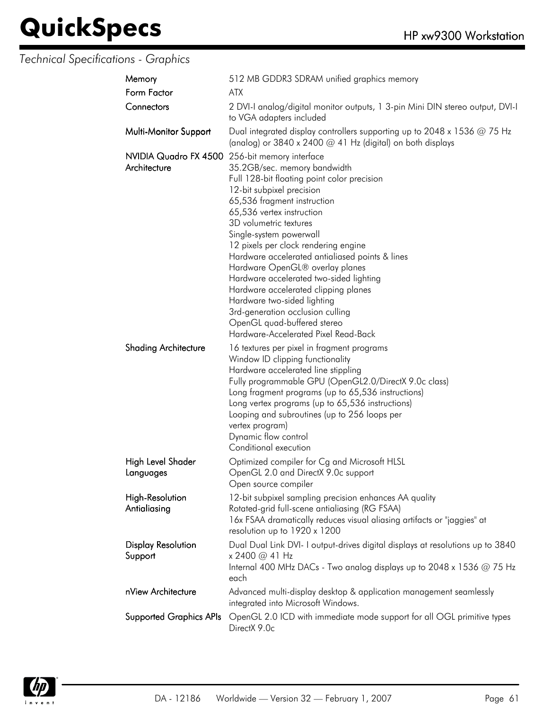#### *Technical Specifications - Graphics*

| Memory                                                         | 512 MB GDDR3 SDRAM unified graphics memory                                                                                                                                                                                                                                                                                                                                                                                                                                                                                                                                           |
|----------------------------------------------------------------|--------------------------------------------------------------------------------------------------------------------------------------------------------------------------------------------------------------------------------------------------------------------------------------------------------------------------------------------------------------------------------------------------------------------------------------------------------------------------------------------------------------------------------------------------------------------------------------|
| Form Factor                                                    | <b>ATX</b>                                                                                                                                                                                                                                                                                                                                                                                                                                                                                                                                                                           |
| Connectors                                                     | 2 DVI-I analog/digital monitor outputs, 1 3-pin Mini DIN stereo output, DVI-I<br>to VGA adapters included                                                                                                                                                                                                                                                                                                                                                                                                                                                                            |
| Multi-Monitor Support                                          | Dual integrated display controllers supporting up to 2048 x 1536 $@$ 75 Hz<br>(analog) or 3840 x 2400 @ 41 Hz (digital) on both displays                                                                                                                                                                                                                                                                                                                                                                                                                                             |
| NVIDIA Quadro FX 4500 256-bit memory interface<br>Architecture | 35.2GB/sec. memory bandwidth<br>Full 128-bit floating point color precision<br>12-bit subpixel precision<br>65,536 fragment instruction<br>65,536 vertex instruction<br>3D volumetric textures<br>Single-system powerwall<br>12 pixels per clock rendering engine<br>Hardware accelerated antialiased points & lines<br>Hardware OpenGL® overlay planes<br>Hardware accelerated two-sided lighting<br>Hardware accelerated clipping planes<br>Hardware two-sided lighting<br>3rd-generation occlusion culling<br>OpenGL quad-buffered stereo<br>Hardware-Accelerated Pixel Read-Back |
| <b>Shading Architecture</b>                                    | 16 textures per pixel in fragment programs<br>Window ID clipping functionality<br>Hardware accelerated line stippling<br>Fully programmable GPU (OpenGL2.0/DirectX 9.0c class)<br>Long fragment programs (up to 65,536 instructions)<br>Long vertex programs (up to 65,536 instructions)<br>Looping and subroutines (up to 256 loops per<br>vertex program)<br>Dynamic flow control<br>Conditional execution                                                                                                                                                                         |
| High Level Shader<br>Languages                                 | Optimized compiler for Cg and Microsoft HLSL<br>OpenGL 2.0 and DirectX 9.0c support<br>Open source compiler                                                                                                                                                                                                                                                                                                                                                                                                                                                                          |
| <b>High-Resolution</b><br>Antialiasing                         | 12-bit subpixel sampling precision enhances AA quality<br>Rotated-grid full-scene antialiasing (RG FSAA)<br>16x FSAA dramatically reduces visual aliasing artifacts or "jaggies" at<br>resolution up to 1920 x 1200                                                                                                                                                                                                                                                                                                                                                                  |
| <b>Display Resolution</b><br>Support                           | Dual Dual Link DVI- I output-drives digital displays at resolutions up to 3840<br>x 2400 @ 41 Hz<br>Internal 400 MHz DACs - Two analog displays up to 2048 x 1536 $@$ 75 Hz<br>each                                                                                                                                                                                                                                                                                                                                                                                                  |
| nView Architecture                                             | Advanced multi-display desktop & application management seamlessly<br>integrated into Microsoft Windows.                                                                                                                                                                                                                                                                                                                                                                                                                                                                             |
| <b>Supported Graphics APIs</b>                                 | OpenGL 2.0 ICD with immediate mode support for all OGL primitive types<br>DirectX 9.0c                                                                                                                                                                                                                                                                                                                                                                                                                                                                                               |
|                                                                |                                                                                                                                                                                                                                                                                                                                                                                                                                                                                                                                                                                      |

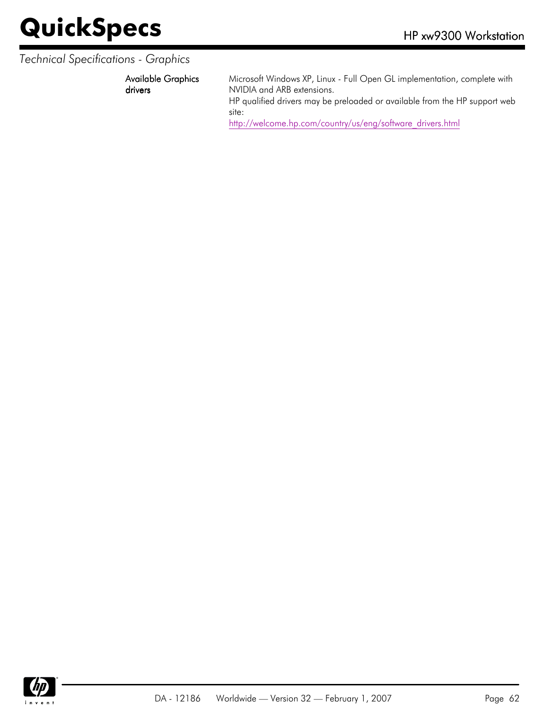#### *Technical Specifications - Graphics*

Available Graphics drivers

Microsoft Windows XP, Linux - Full Open GL implementation, complete with NVIDIA and ARB extensions.

HP qualified drivers may be preloaded or available from the HP support web site:

[http://welcome.hp.com/country/us/eng/software\\_drivers.html](http://welcome.hp.com/country/us/eng/software_drivers.html)

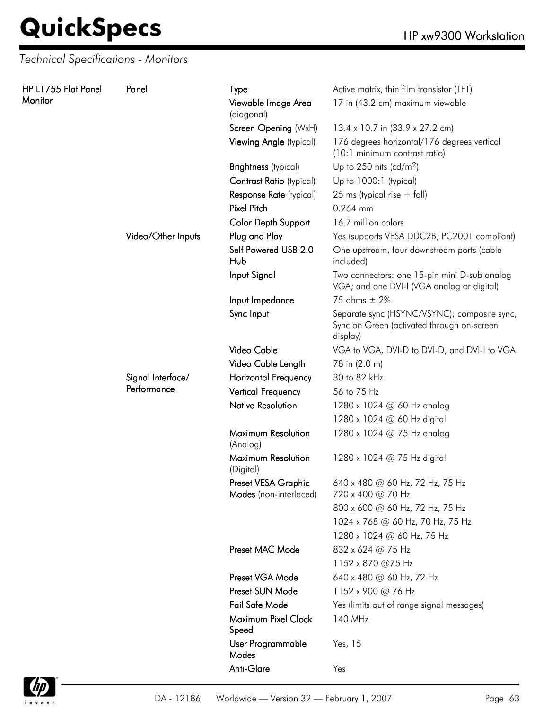**HP L1755 Flat Monitor** 

*Technical Specifications - Monitors*

| Panel | Panel              | Type                                          | Active matrix, thin film transistor (TFT)                                                              |
|-------|--------------------|-----------------------------------------------|--------------------------------------------------------------------------------------------------------|
|       |                    | Viewable Image Area<br>(diagonal)             | 17 in (43.2 cm) maximum viewable                                                                       |
|       |                    | Screen Opening (WxH)                          | 13.4 x 10.7 in (33.9 x 27.2 cm)                                                                        |
|       |                    | Viewing Angle (typical)                       | 176 degrees horizontal/176 degrees vertical<br>(10:1 minimum contrast ratio)                           |
|       |                    | <b>Brightness</b> (typical)                   | Up to 250 nits (cd/m <sup>2</sup> )                                                                    |
|       |                    | Contrast Ratio (typical)                      | Up to 1000:1 (typical)                                                                                 |
|       |                    | Response Rate (typical)                       | 25 ms (typical rise $+$ fall)                                                                          |
|       |                    | <b>Pixel Pitch</b>                            | 0.264 mm                                                                                               |
|       |                    | Color Depth Support                           | 16.7 million colors                                                                                    |
|       | Video/Other Inputs | Plug and Play                                 | Yes (supports VESA DDC2B; PC2001 compliant)                                                            |
|       |                    | Self Powered USB 2.0<br>Hub                   | One upstream, four downstream ports (cable<br>included)                                                |
|       |                    | Input Signal                                  | Two connectors: one 15-pin mini D-sub analog<br>VGA; and one DVI-I (VGA analog or digital)             |
|       |                    | Input Impedance                               | 75 ohms $\pm$ 2%                                                                                       |
|       |                    | Sync Input                                    | Separate sync (HSYNC/VSYNC); composite sync,<br>Sync on Green (activated through on-screen<br>display) |
|       |                    | Video Cable                                   | VGA to VGA, DVI-D to DVI-D, and DVI-I to VGA                                                           |
|       |                    | Video Cable Length                            | 78 in (2.0 m)                                                                                          |
|       | Signal Interface/  | <b>Horizontal Frequency</b>                   | 30 to 82 kHz                                                                                           |
|       | Performance        | <b>Vertical Frequency</b>                     | 56 to 75 Hz                                                                                            |
|       |                    | <b>Native Resolution</b>                      | 1280 x 1024 @ 60 Hz analog                                                                             |
|       |                    |                                               | 1280 x 1024 @ 60 Hz digital                                                                            |
|       |                    | Maximum Resolution<br>(Analog)                | 1280 x 1024 @ 75 Hz analog                                                                             |
|       |                    | Maximum Resolution<br>(Digital)               | 1280 x 1024 @ 75 Hz digital                                                                            |
|       |                    | Preset VESA Graphic<br>Modes (non-interlaced) | 640 x 480 @ 60 Hz, 72 Hz, 75 Hz<br>720 x 400 @ 70 Hz                                                   |
|       |                    |                                               | 800 x 600 @ 60 Hz, 72 Hz, 75 Hz                                                                        |
|       |                    |                                               | 1024 x 768 @ 60 Hz, 70 Hz, 75 Hz                                                                       |
|       |                    |                                               | 1280 x 1024 @ 60 Hz, 75 Hz                                                                             |
|       |                    | Preset MAC Mode                               | 832 x 624 @ 75 Hz                                                                                      |
|       |                    |                                               | 1152 x 870 @75 Hz                                                                                      |
|       |                    | Preset VGA Mode                               | 640 x 480 @ 60 Hz, 72 Hz                                                                               |
|       |                    | Preset SUN Mode                               | 1152 x 900 @ 76 Hz                                                                                     |
|       |                    | <b>Fail Safe Mode</b>                         | Yes (limits out of range signal messages)                                                              |
|       |                    | Maximum Pixel Clock<br>Speed                  | 140 MHz                                                                                                |
|       |                    | User Programmable<br>Modes                    | Yes, 15                                                                                                |
|       |                    | Anti-Glare                                    | Yes                                                                                                    |

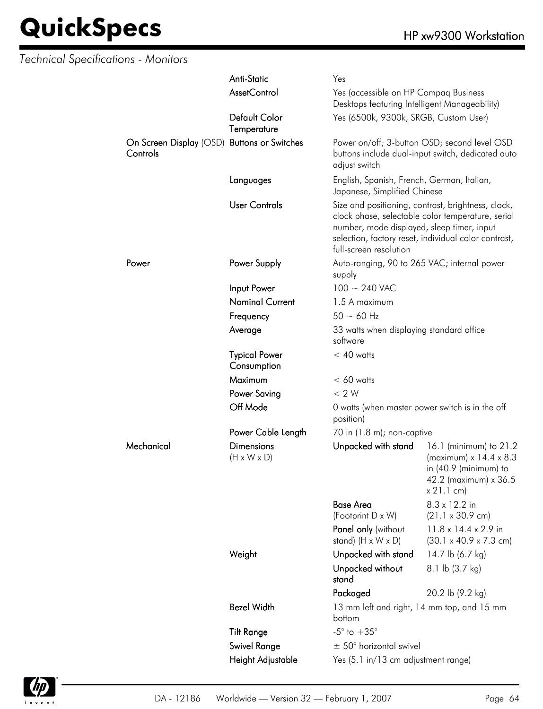| <b>Technical Specifications - Monitors</b> |                                                         |                                              |                                                                                        |                                                                                                                                                                 |
|--------------------------------------------|---------------------------------------------------------|----------------------------------------------|----------------------------------------------------------------------------------------|-----------------------------------------------------------------------------------------------------------------------------------------------------------------|
|                                            |                                                         | Anti-Static                                  | Yes                                                                                    |                                                                                                                                                                 |
|                                            |                                                         | <b>AssetControl</b>                          | Yes (accessible on HP Compaq Business<br>Desktops featuring Intelligent Manageability) |                                                                                                                                                                 |
|                                            |                                                         | Default Color<br>Temperature                 | Yes (6500k, 9300k, SRGB, Custom User)                                                  |                                                                                                                                                                 |
|                                            | On Screen Display (OSD) Buttons or Switches<br>Controls |                                              | adjust switch                                                                          | Power on/off; 3-button OSD; second level OSD<br>buttons include dual-input switch, dedicated auto                                                               |
|                                            |                                                         | Languages                                    | English, Spanish, French, German, Italian,<br>Japanese, Simplified Chinese             |                                                                                                                                                                 |
|                                            |                                                         | <b>User Controls</b>                         | number, mode displayed, sleep timer, input<br>full-screen resolution                   | Size and positioning, contrast, brightness, clock,<br>clock phase, selectable color temperature, serial<br>selection, factory reset, individual color contrast, |
|                                            | Power                                                   | Power Supply                                 | Auto-ranging, 90 to 265 VAC; internal power<br>supply                                  |                                                                                                                                                                 |
|                                            |                                                         | Input Power                                  | $100 \sim 240$ VAC                                                                     |                                                                                                                                                                 |
|                                            |                                                         | <b>Nominal Current</b>                       | 1.5 A maximum                                                                          |                                                                                                                                                                 |
|                                            |                                                         | Frequency                                    | $50 - 60$ Hz                                                                           |                                                                                                                                                                 |
|                                            |                                                         | Average                                      | 33 watts when displaying standard office<br>software                                   |                                                                                                                                                                 |
|                                            |                                                         | <b>Typical Power</b><br>Consumption          | $< 40$ watts                                                                           |                                                                                                                                                                 |
|                                            |                                                         | Maximum                                      | $< 60$ watts                                                                           |                                                                                                                                                                 |
|                                            |                                                         | <b>Power Saving</b>                          | < 2 W                                                                                  |                                                                                                                                                                 |
|                                            |                                                         | Off Mode                                     | 0 watts (when master power switch is in the off<br>position)                           |                                                                                                                                                                 |
|                                            |                                                         | Power Cable Length                           | 70 in (1.8 m); non-captive                                                             |                                                                                                                                                                 |
|                                            | Mechanical                                              | <b>Dimensions</b><br>$(H \times W \times D)$ | Unpacked with stand                                                                    | 16.1 (minimum) to 21.2<br>(maximum) $x$ 14.4 $x$ 8.3<br>in $(40.9 \text{ (minimum)}$ to<br>42.2 (maximum) x 36.5<br>x 21.1 cm)                                  |
|                                            |                                                         |                                              | <b>Base Area</b>                                                                       | 8.3 x 12.2 in                                                                                                                                                   |
|                                            |                                                         |                                              | (Footprint D x W)                                                                      | $(21.1 \times 30.9 \text{ cm})$                                                                                                                                 |
|                                            |                                                         |                                              | Panel only (without<br>stand) $(H \times W \times D)$                                  | $11.8 \times 14.4 \times 2.9$ in<br>$(30.1 \times 40.9 \times 7.3 \text{ cm})$                                                                                  |
|                                            |                                                         | Weight                                       | Unpacked with stand                                                                    | 14.7 lb (6.7 kg)                                                                                                                                                |
|                                            |                                                         |                                              | Unpacked without<br>stand                                                              | 8.1 lb (3.7 kg)                                                                                                                                                 |
|                                            |                                                         |                                              | Packaged                                                                               | 20.2 lb (9.2 kg)                                                                                                                                                |
|                                            |                                                         | <b>Bezel Width</b>                           | 13 mm left and right, 14 mm top, and 15 mm<br>bottom                                   |                                                                                                                                                                 |
|                                            |                                                         | <b>Tilt Range</b>                            | $-5^{\circ}$ to $+35^{\circ}$                                                          |                                                                                                                                                                 |
|                                            |                                                         | Swivel Range                                 | $\pm$ 50° horizontal swivel                                                            |                                                                                                                                                                 |
|                                            |                                                         | Height Adjustable                            | Yes (5.1 in/13 cm adjustment range)                                                    |                                                                                                                                                                 |

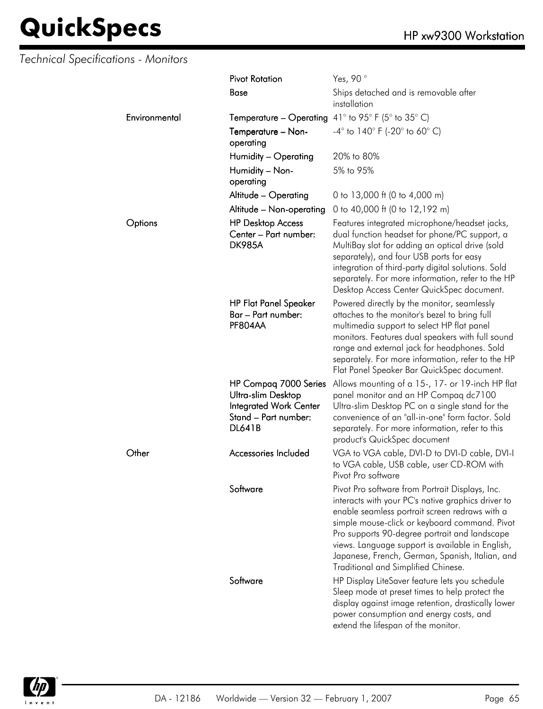### *Technical Specifications - Monitors*

|               | <b>Pivot Rotation</b>                                                                                                 | Yes, 90°                                                                                                                                                                                                                                                                                                                                                                                                |
|---------------|-----------------------------------------------------------------------------------------------------------------------|---------------------------------------------------------------------------------------------------------------------------------------------------------------------------------------------------------------------------------------------------------------------------------------------------------------------------------------------------------------------------------------------------------|
|               | <b>Base</b>                                                                                                           | Ships detached and is removable after<br>installation                                                                                                                                                                                                                                                                                                                                                   |
| Environmental | <b>Temperature – Operating</b> 41° to 95° F (5° to 35° C)                                                             |                                                                                                                                                                                                                                                                                                                                                                                                         |
|               | Temperature - Non-<br>operating                                                                                       | $-4^{\circ}$ to 140° F (-20° to 60° C)                                                                                                                                                                                                                                                                                                                                                                  |
|               | Humidity - Operating                                                                                                  | 20% to 80%                                                                                                                                                                                                                                                                                                                                                                                              |
|               | Humidity - Non-<br>operating                                                                                          | 5% to 95%                                                                                                                                                                                                                                                                                                                                                                                               |
|               | Altitude - Operating                                                                                                  | 0 to 13,000 ft (0 to 4,000 m)                                                                                                                                                                                                                                                                                                                                                                           |
|               | Altitude - Non-operating                                                                                              | 0 to 40,000 ft (0 to 12,192 m)                                                                                                                                                                                                                                                                                                                                                                          |
| Options       | <b>HP Desktop Access</b><br>Center - Part number:<br><b>DK985A</b>                                                    | Features integrated microphone/headset jacks,<br>dual function headset for phone/PC support, a<br>MultiBay slot for adding an optical drive (sold<br>separately), and four USB ports for easy<br>integration of third-party digital solutions. Sold<br>separately. For more information, refer to the HP<br>Desktop Access Center QuickSpec document.                                                   |
|               | <b>HP Flat Panel Speaker</b><br>Bar - Part number:<br>PF804AA                                                         | Powered directly by the monitor, seamlessly<br>attaches to the monitor's bezel to bring full<br>multimedia support to select HP flat panel<br>monitors. Features dual speakers with full sound<br>range and external jack for headphones. Sold<br>separately. For more information, refer to the HP<br>Flat Panel Speaker Bar QuickSpec document.                                                       |
|               | HP Compaq 7000 Series<br>Ultra-slim Desktop<br><b>Integrated Work Center</b><br>Stand - Part number:<br><b>DL641B</b> | Allows mounting of a 15-, 17- or 19-inch HP flat<br>panel monitor and an HP Compaq dc7100<br>Ultra-slim Desktop PC on a single stand for the<br>convenience of an "all-in-one" form factor. Sold<br>separately. For more information, refer to this<br>product's QuickSpec document                                                                                                                     |
| Other         | Accessories Included                                                                                                  | VGA to VGA cable, DVI-D to DVI-D cable, DVI-I<br>to VGA cable, USB cable, user CD-ROM with<br>Pivot Pro software                                                                                                                                                                                                                                                                                        |
|               | Software                                                                                                              | Pivot Pro software from Portrait Displays, Inc.<br>interacts with your PC's native graphics driver to<br>enable seamless portrait screen redraws with a<br>simple mouse-click or keyboard command. Pivot<br>Pro supports 90-degree portrait and landscape<br>views. Language support is available in English,<br>Japanese, French, German, Spanish, Italian, and<br>Traditional and Simplified Chinese. |
|               | Software                                                                                                              | HP Display LiteSaver feature lets you schedule<br>Sleep mode at preset times to help protect the<br>display against image retention, drastically lower<br>power consumption and energy costs, and<br>extend the lifespan of the monitor.                                                                                                                                                                |

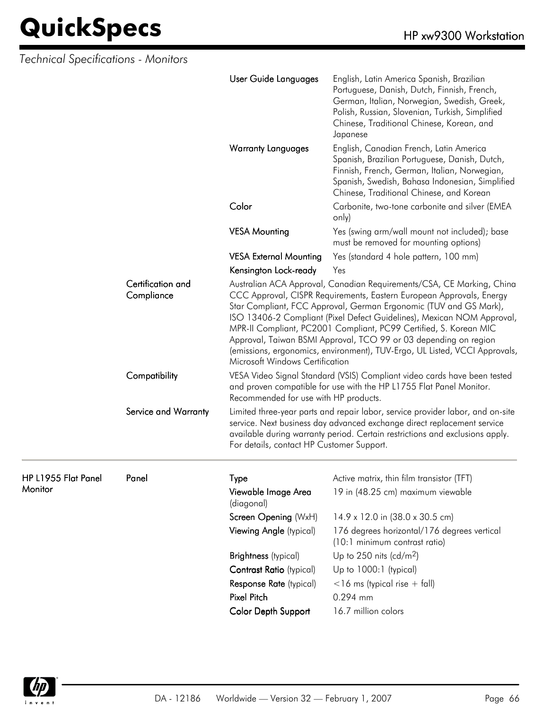| Technical Specifications - Monitors |                      |                                                                                                                                                                                                                                                                                                                                                                                                                                                                                                                                                        |                                                                                                                                                                                                                                                     |  |
|-------------------------------------|----------------------|--------------------------------------------------------------------------------------------------------------------------------------------------------------------------------------------------------------------------------------------------------------------------------------------------------------------------------------------------------------------------------------------------------------------------------------------------------------------------------------------------------------------------------------------------------|-----------------------------------------------------------------------------------------------------------------------------------------------------------------------------------------------------------------------------------------------------|--|
|                                     |                      | User Guide Languages                                                                                                                                                                                                                                                                                                                                                                                                                                                                                                                                   | English, Latin America Spanish, Brazilian<br>Portuguese, Danish, Dutch, Finnish, French,<br>German, Italian, Norwegian, Swedish, Greek,<br>Polish, Russian, Slovenian, Turkish, Simplified<br>Chinese, Traditional Chinese, Korean, and<br>Japanese |  |
|                                     |                      | <b>Warranty Languages</b>                                                                                                                                                                                                                                                                                                                                                                                                                                                                                                                              | English, Canadian French, Latin America<br>Spanish, Brazilian Portuguese, Danish, Dutch,<br>Finnish, French, German, Italian, Norwegian,<br>Spanish, Swedish, Bahasa Indonesian, Simplified<br>Chinese, Traditional Chinese, and Korean             |  |
|                                     |                      | Color                                                                                                                                                                                                                                                                                                                                                                                                                                                                                                                                                  | Carbonite, two-tone carbonite and silver (EMEA<br>only)                                                                                                                                                                                             |  |
|                                     |                      | <b>VESA Mounting</b>                                                                                                                                                                                                                                                                                                                                                                                                                                                                                                                                   | Yes (swing arm/wall mount not included); base<br>must be removed for mounting options)                                                                                                                                                              |  |
|                                     |                      | <b>VESA External Mounting</b>                                                                                                                                                                                                                                                                                                                                                                                                                                                                                                                          | Yes (standard 4 hole pattern, 100 mm)                                                                                                                                                                                                               |  |
|                                     |                      | Kensington Lock-ready                                                                                                                                                                                                                                                                                                                                                                                                                                                                                                                                  | Yes                                                                                                                                                                                                                                                 |  |
| Certification and<br>Compliance     |                      | Australian ACA Approval, Canadian Requirements/CSA, CE Marking, China<br>CCC Approval, CISPR Requirements, Eastern European Approvals, Energy<br>Star Compliant, FCC Approval, German Ergonomic (TUV and GS Mark),<br>ISO 13406-2 Compliant (Pixel Defect Guidelines), Mexican NOM Approval,<br>MPR-II Compliant, PC2001 Compliant, PC99 Certified, S. Korean MIC<br>Approval, Taiwan BSMI Approval, TCO 99 or 03 depending on region<br>(emissions, ergonomics, environment), TUV-Ergo, UL Listed, VCCI Approvals,<br>Microsoft Windows Certification |                                                                                                                                                                                                                                                     |  |
|                                     | Compatibility        | VESA Video Signal Standard (VSIS) Compliant video cards have been tested<br>and proven compatible for use with the HP L1755 Flat Panel Monitor.<br>Recommended for use with HP products.                                                                                                                                                                                                                                                                                                                                                               |                                                                                                                                                                                                                                                     |  |
|                                     | Service and Warranty | For details, contact HP Customer Support.                                                                                                                                                                                                                                                                                                                                                                                                                                                                                                              | Limited three-year parts and repair labor, service provider labor, and on-site<br>service. Next business day advanced exchange direct replacement service<br>available during warranty period. Certain restrictions and exclusions apply.           |  |
| HP L1955 Flat Panel                 | Panel                | Type                                                                                                                                                                                                                                                                                                                                                                                                                                                                                                                                                   | Active matrix, thin film transistor (TFT)                                                                                                                                                                                                           |  |
| <b>Monitor</b>                      |                      | Viewable Image Area<br>(diagonal)                                                                                                                                                                                                                                                                                                                                                                                                                                                                                                                      | 19 in (48.25 cm) maximum viewable                                                                                                                                                                                                                   |  |
|                                     |                      | Screen Opening (WxH)                                                                                                                                                                                                                                                                                                                                                                                                                                                                                                                                   | 14.9 x 12.0 in (38.0 x 30.5 cm)                                                                                                                                                                                                                     |  |
|                                     |                      | Viewing Angle (typical)                                                                                                                                                                                                                                                                                                                                                                                                                                                                                                                                | 176 degrees horizontal/176 degrees vertical<br>(10:1 minimum contrast ratio)                                                                                                                                                                        |  |
|                                     |                      | <b>Brightness</b> (typical)                                                                                                                                                                                                                                                                                                                                                                                                                                                                                                                            | Up to 250 nits (cd/m <sup>2</sup> )                                                                                                                                                                                                                 |  |
|                                     |                      | Contrast Ratio (typical)                                                                                                                                                                                                                                                                                                                                                                                                                                                                                                                               | Up to 1000:1 (typical)                                                                                                                                                                                                                              |  |
|                                     |                      | Response Rate (typical)                                                                                                                                                                                                                                                                                                                                                                                                                                                                                                                                | $<$ 16 ms (typical rise + fall)                                                                                                                                                                                                                     |  |
|                                     |                      | Pixel Pitch                                                                                                                                                                                                                                                                                                                                                                                                                                                                                                                                            | 0.294 mm                                                                                                                                                                                                                                            |  |
|                                     |                      | Color Depth Support                                                                                                                                                                                                                                                                                                                                                                                                                                                                                                                                    | 16.7 million colors                                                                                                                                                                                                                                 |  |

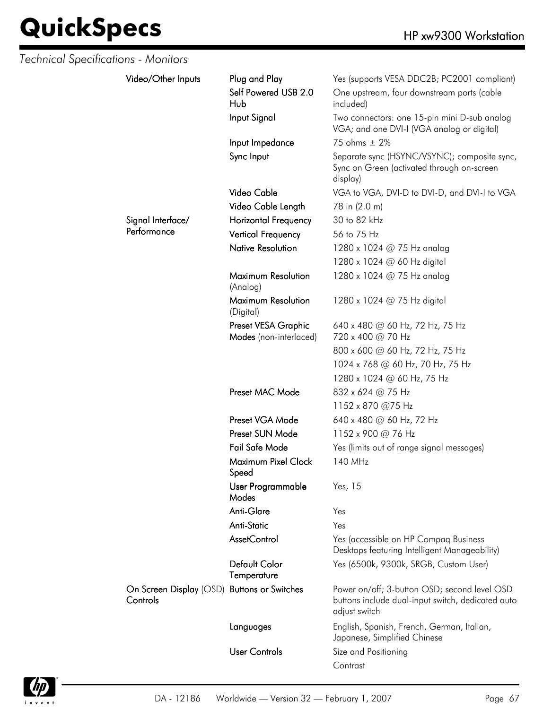| Technical Specifications - Monitors |                                                         |                                               |                                                                                                                    |
|-------------------------------------|---------------------------------------------------------|-----------------------------------------------|--------------------------------------------------------------------------------------------------------------------|
|                                     | Video/Other Inputs                                      | Plug and Play                                 | Yes (supports VESA DDC2B; PC2001 compliant)                                                                        |
|                                     |                                                         | Self Powered USB 2.0<br>Hub                   | One upstream, four downstream ports (cable<br>included)                                                            |
|                                     |                                                         | Input Signal                                  | Two connectors: one 15-pin mini D-sub analog<br>VGA; and one DVI-I (VGA analog or digital)                         |
|                                     |                                                         | Input Impedance                               | 75 ohms $\pm$ 2%                                                                                                   |
|                                     |                                                         | Sync Input                                    | Separate sync (HSYNC/VSYNC); composite sync,<br>Sync on Green (activated through on-screen<br>display)             |
|                                     |                                                         | Video Cable                                   | VGA to VGA, DVI-D to DVI-D, and DVI-I to VGA                                                                       |
|                                     |                                                         | Video Cable Length                            | 78 in (2.0 m)                                                                                                      |
|                                     | Signal Interface/                                       | <b>Horizontal Frequency</b>                   | 30 to 82 kHz                                                                                                       |
|                                     | Performance                                             | <b>Vertical Frequency</b>                     | 56 to 75 Hz                                                                                                        |
|                                     |                                                         | <b>Native Resolution</b>                      | 1280 x 1024 @ 75 Hz analog                                                                                         |
|                                     |                                                         |                                               | 1280 x 1024 @ 60 Hz digital                                                                                        |
|                                     |                                                         | Maximum Resolution<br>(Analog)                | 1280 x 1024 @ 75 Hz analog                                                                                         |
|                                     |                                                         | Maximum Resolution<br>(Digital)               | 1280 x 1024 $@$ 75 Hz digital                                                                                      |
|                                     |                                                         | Preset VESA Graphic<br>Modes (non-interlaced) | 640 x 480 @ 60 Hz, 72 Hz, 75 Hz<br>720 x 400 @ 70 Hz                                                               |
|                                     |                                                         |                                               | 800 x 600 @ 60 Hz, 72 Hz, 75 Hz                                                                                    |
|                                     |                                                         | 1024 x 768 @ 60 Hz, 70 Hz, 75 Hz              |                                                                                                                    |
|                                     |                                                         |                                               | 1280 x 1024 @ 60 Hz, 75 Hz                                                                                         |
|                                     |                                                         | Preset MAC Mode                               | 832 x 624 @ 75 Hz                                                                                                  |
|                                     |                                                         |                                               | 1152 x 870 @75 Hz                                                                                                  |
|                                     |                                                         | Preset VGA Mode                               | 640 x 480 @ 60 Hz, 72 Hz                                                                                           |
|                                     |                                                         | Preset SUN Mode                               | 1152 x 900 @ 76 Hz                                                                                                 |
|                                     |                                                         | Fail Safe Mode                                | Yes (limits out of range signal messages)                                                                          |
|                                     |                                                         | Maximum Pixel Clock<br>Speed                  | 140 MHz                                                                                                            |
|                                     |                                                         | User Programmable<br>Modes                    | Yes, 15                                                                                                            |
|                                     |                                                         | Anti-Glare                                    | Yes                                                                                                                |
|                                     |                                                         | <b>Anti-Static</b>                            | Yes                                                                                                                |
|                                     |                                                         | AssetControl                                  | Yes (accessible on HP Compaq Business<br>Desktops featuring Intelligent Manageability)                             |
|                                     |                                                         | <b>Default Color</b><br>Temperature           | Yes (6500k, 9300k, SRGB, Custom User)                                                                              |
|                                     | On Screen Display (OSD) Buttons or Switches<br>Controls |                                               | Power on/off; 3-button OSD; second level OSD<br>buttons include dual-input switch, dedicated auto<br>adjust switch |
|                                     |                                                         | Languages                                     | English, Spanish, French, German, Italian,<br>Japanese, Simplified Chinese                                         |
|                                     |                                                         | <b>User Controls</b>                          | Size and Positioning                                                                                               |
|                                     |                                                         |                                               | Contrast                                                                                                           |

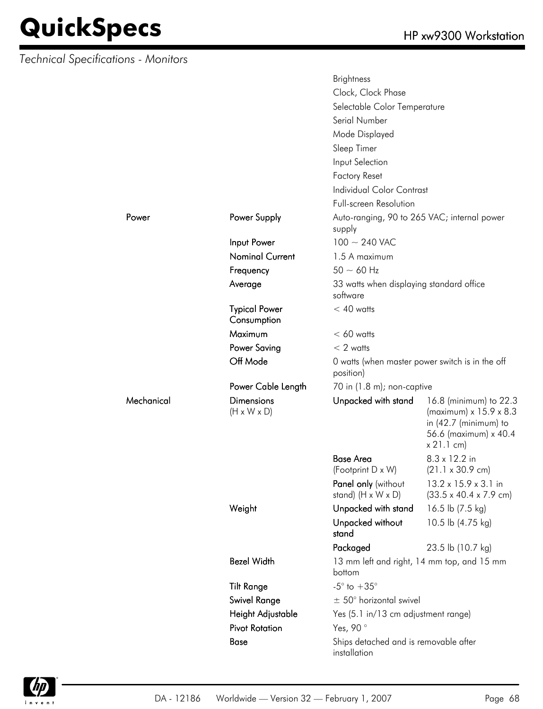*Technical Specifications - Monitors*

Mechanical

|            |                                              | <b>Brightness</b>                                     |                                                                                                                            |  |
|------------|----------------------------------------------|-------------------------------------------------------|----------------------------------------------------------------------------------------------------------------------------|--|
|            |                                              | Clock, Clock Phase                                    |                                                                                                                            |  |
|            |                                              | Selectable Color Temperature                          |                                                                                                                            |  |
|            |                                              | Serial Number                                         |                                                                                                                            |  |
|            |                                              | Mode Displayed                                        |                                                                                                                            |  |
|            |                                              | Sleep Timer                                           |                                                                                                                            |  |
|            |                                              | Input Selection                                       |                                                                                                                            |  |
|            |                                              | <b>Factory Reset</b>                                  |                                                                                                                            |  |
|            |                                              | <b>Individual Color Contrast</b>                      |                                                                                                                            |  |
|            |                                              | <b>Full-screen Resolution</b>                         |                                                                                                                            |  |
| Power      | Power Supply                                 | Auto-ranging, 90 to 265 VAC; internal power<br>supply |                                                                                                                            |  |
|            | Input Power                                  | $100 \sim 240$ VAC                                    |                                                                                                                            |  |
|            | <b>Nominal Current</b>                       | 1.5 A maximum                                         |                                                                                                                            |  |
|            | Frequency                                    | $50 \sim 60$ Hz                                       |                                                                                                                            |  |
|            | Average                                      | 33 watts when displaying standard office<br>software  |                                                                                                                            |  |
|            | <b>Typical Power</b><br>Consumption          | $< 40$ watts                                          |                                                                                                                            |  |
|            | <b>Maximum</b>                               | $< 60$ watts                                          |                                                                                                                            |  |
|            | <b>Power Saving</b>                          | $< 2$ watts                                           |                                                                                                                            |  |
|            | Off Mode                                     | position)                                             | 0 watts (when master power switch is in the off                                                                            |  |
|            | Power Cable Length                           | 70 in (1.8 m); non-captive                            |                                                                                                                            |  |
| Mechanical | <b>Dimensions</b><br>$(H \times W \times D)$ | Unpacked with stand                                   | 16.8 (minimum) to 22.3<br>(maximum) x 15.9 x 8.3<br>in $(42.7 \text{ (minimum)}$ to<br>56.6 (maximum) x 40.4<br>x 21.1 cm) |  |
|            |                                              | <b>Base Area</b><br>(Footprint D x W)                 | 8.3 x 12.2 in<br>$(21.1 \times 30.9 \text{ cm})$                                                                           |  |
|            |                                              | Panel only (without                                   | 13.2 x 15.9 x 3.1 in                                                                                                       |  |
|            |                                              | stand) $(H \times W \times D)$                        | $(33.5 \times 40.4 \times 7.9 \text{ cm})$                                                                                 |  |
|            | Weight                                       | Unpacked with stand                                   | 16.5 lb (7.5 kg)                                                                                                           |  |
|            |                                              | Unpacked without<br>stand                             | 10.5 lb (4.75 kg)                                                                                                          |  |
|            |                                              | Packaged                                              | 23.5 lb (10.7 kg)                                                                                                          |  |
|            | <b>Bezel Width</b>                           | bottom                                                | 13 mm left and right, 14 mm top, and 15 mm                                                                                 |  |
|            | <b>Tilt Range</b>                            | $-5^{\circ}$ to $+35^{\circ}$                         |                                                                                                                            |  |
|            | <b>Swivel Range</b>                          | $\pm$ 50° horizontal swivel                           |                                                                                                                            |  |
|            | Height Adjustable                            | Yes (5.1 in/13 cm adjustment range)                   |                                                                                                                            |  |
|            | <b>Pivot Rotation</b>                        | Yes, 90°                                              |                                                                                                                            |  |
|            | Base                                         | Ships detached and is removable after<br>installation |                                                                                                                            |  |

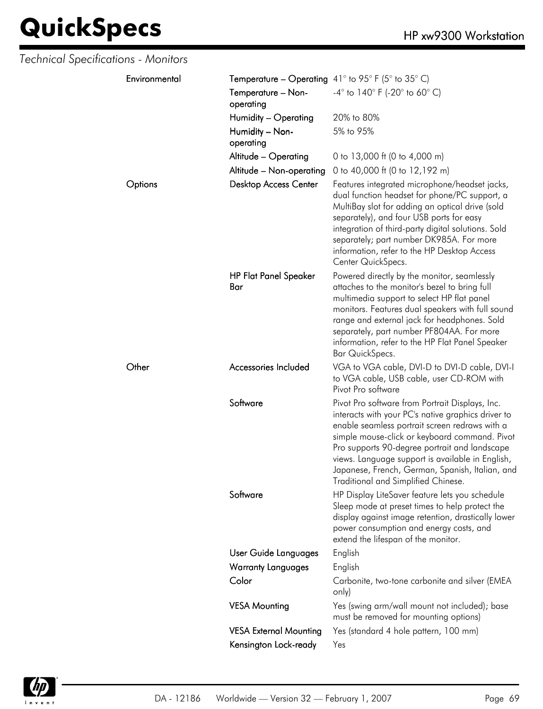| Technical Specifications - Monitors |           |                               |                                                                                                                                                                                                                                                                                                                                                                                                         |
|-------------------------------------|-----------|-------------------------------|---------------------------------------------------------------------------------------------------------------------------------------------------------------------------------------------------------------------------------------------------------------------------------------------------------------------------------------------------------------------------------------------------------|
| Environmental                       |           |                               | <b>Temperature – Operating</b> 41° to 95° F (5° to 35° C)                                                                                                                                                                                                                                                                                                                                               |
|                                     | operating | Temperature - Non-            | $-4^{\circ}$ to 140° F (-20° to 60° C)                                                                                                                                                                                                                                                                                                                                                                  |
|                                     |           | Humidity - Operating          | 20% to 80%                                                                                                                                                                                                                                                                                                                                                                                              |
|                                     | operating | Humidity - Non-               | 5% to 95%                                                                                                                                                                                                                                                                                                                                                                                               |
|                                     |           | Altitude - Operating          | 0 to 13,000 ft (0 to 4,000 m)                                                                                                                                                                                                                                                                                                                                                                           |
|                                     |           | Altitude - Non-operating      | 0 to 40,000 ft (0 to 12,192 m)                                                                                                                                                                                                                                                                                                                                                                          |
| Options                             |           | <b>Desktop Access Center</b>  | Features integrated microphone/headset jacks,<br>dual function headset for phone/PC support, a<br>MultiBay slot for adding an optical drive (sold<br>separately), and four USB ports for easy<br>integration of third-party digital solutions. Sold<br>separately; part number DK985A. For more<br>information, refer to the HP Desktop Access<br>Center QuickSpecs.                                    |
|                                     | Bar       | <b>HP Flat Panel Speaker</b>  | Powered directly by the monitor, seamlessly<br>attaches to the monitor's bezel to bring full<br>multimedia support to select HP flat panel<br>monitors. Features dual speakers with full sound<br>range and external jack for headphones. Sold<br>separately, part number PF804AA. For more<br>information, refer to the HP Flat Panel Speaker<br>Bar QuickSpecs.                                       |
| Other                               |           | Accessories Included          | VGA to VGA cable, DVI-D to DVI-D cable, DVI-I<br>to VGA cable, USB cable, user CD-ROM with<br>Pivot Pro software                                                                                                                                                                                                                                                                                        |
|                                     | Software  |                               | Pivot Pro software from Portrait Displays, Inc.<br>interacts with your PC's native graphics driver to<br>enable seamless portrait screen redraws with a<br>simple mouse-click or keyboard command. Pivot<br>Pro supports 90-degree portrait and landscape<br>views. Language support is available in English,<br>Japanese, French, German, Spanish, Italian, and<br>Traditional and Simplified Chinese. |
|                                     | Software  |                               | HP Display LiteSaver feature lets you schedule<br>Sleep mode at preset times to help protect the<br>display against image retention, drastically lower<br>power consumption and energy costs, and<br>extend the lifespan of the monitor.                                                                                                                                                                |
|                                     |           | User Guide Languages          | English                                                                                                                                                                                                                                                                                                                                                                                                 |
|                                     |           | <b>Warranty Languages</b>     | English                                                                                                                                                                                                                                                                                                                                                                                                 |
|                                     | Color     |                               | Carbonite, two-tone carbonite and silver (EMEA<br>only)                                                                                                                                                                                                                                                                                                                                                 |
|                                     |           | <b>VESA Mounting</b>          | Yes (swing arm/wall mount not included); base<br>must be removed for mounting options)                                                                                                                                                                                                                                                                                                                  |
|                                     |           | <b>VESA External Mounting</b> | Yes (standard 4 hole pattern, 100 mm)                                                                                                                                                                                                                                                                                                                                                                   |
|                                     |           | Kensington Lock-ready         | Yes                                                                                                                                                                                                                                                                                                                                                                                                     |
|                                     |           |                               |                                                                                                                                                                                                                                                                                                                                                                                                         |

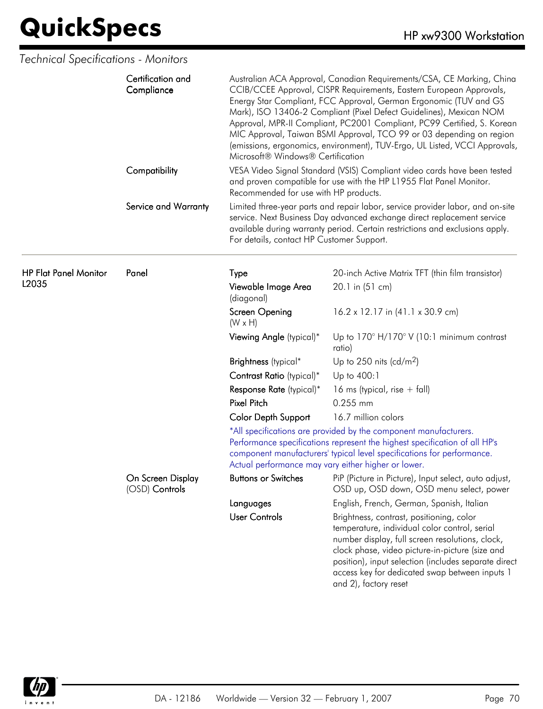| Technical Specifications - Monitors   |                                     |                                                                                                                                                                                                                                                                                                                                                                                                                                                                                                                                                                |                                                                                                                                                                                                                                                                                                                                    |  |
|---------------------------------------|-------------------------------------|----------------------------------------------------------------------------------------------------------------------------------------------------------------------------------------------------------------------------------------------------------------------------------------------------------------------------------------------------------------------------------------------------------------------------------------------------------------------------------------------------------------------------------------------------------------|------------------------------------------------------------------------------------------------------------------------------------------------------------------------------------------------------------------------------------------------------------------------------------------------------------------------------------|--|
|                                       | Certification and<br>Compliance     | Australian ACA Approval, Canadian Requirements/CSA, CE Marking, China<br>CCIB/CCEE Approval, CISPR Requirements, Eastern European Approvals,<br>Energy Star Compliant, FCC Approval, German Ergonomic (TUV and GS<br>Mark), ISO 13406-2 Compliant (Pixel Defect Guidelines), Mexican NOM<br>Approval, MPR-II Compliant, PC2001 Compliant, PC99 Certified, S. Korean<br>MIC Approval, Taiwan BSMI Approval, TCO 99 or 03 depending on region<br>(emissions, ergonomics, environment), TUV-Ergo, UL Listed, VCCI Approvals,<br>Microsoft® Windows® Certification |                                                                                                                                                                                                                                                                                                                                    |  |
|                                       | Compatibility                       | Recommended for use with HP products.                                                                                                                                                                                                                                                                                                                                                                                                                                                                                                                          | VESA Video Signal Standard (VSIS) Compliant video cards have been tested<br>and proven compatible for use with the HP L1955 Flat Panel Monitor.                                                                                                                                                                                    |  |
|                                       | Service and Warranty                | For details, contact HP Customer Support.                                                                                                                                                                                                                                                                                                                                                                                                                                                                                                                      | Limited three-year parts and repair labor, service provider labor, and on-site<br>service. Next Business Day advanced exchange direct replacement service<br>available during warranty period. Certain restrictions and exclusions apply.                                                                                          |  |
| <b>HP Flat Panel Monitor</b><br>L2035 | Panel                               | Type                                                                                                                                                                                                                                                                                                                                                                                                                                                                                                                                                           | 20-inch Active Matrix TFT (thin film transistor)                                                                                                                                                                                                                                                                                   |  |
|                                       |                                     | Viewable Image Area<br>(diagonal)                                                                                                                                                                                                                                                                                                                                                                                                                                                                                                                              | 20.1 in (51 cm)                                                                                                                                                                                                                                                                                                                    |  |
|                                       |                                     | Screen Opening<br>$(W \times H)$                                                                                                                                                                                                                                                                                                                                                                                                                                                                                                                               | 16.2 x 12.17 in (41.1 x 30.9 cm)                                                                                                                                                                                                                                                                                                   |  |
|                                       |                                     | Viewing Angle (typical)*                                                                                                                                                                                                                                                                                                                                                                                                                                                                                                                                       | Up to $170^\circ$ H/170° V (10:1 minimum contrast<br>ratio)                                                                                                                                                                                                                                                                        |  |
|                                       |                                     | Brightness (typical*                                                                                                                                                                                                                                                                                                                                                                                                                                                                                                                                           | Up to 250 nits (cd/m <sup>2</sup> )                                                                                                                                                                                                                                                                                                |  |
|                                       |                                     | Contrast Ratio (typical)*                                                                                                                                                                                                                                                                                                                                                                                                                                                                                                                                      | Up to 400:1                                                                                                                                                                                                                                                                                                                        |  |
|                                       |                                     | Response Rate (typical)*                                                                                                                                                                                                                                                                                                                                                                                                                                                                                                                                       | 16 ms (typical, rise $+$ fall)                                                                                                                                                                                                                                                                                                     |  |
|                                       |                                     | <b>Pixel Pitch</b>                                                                                                                                                                                                                                                                                                                                                                                                                                                                                                                                             | $0.255$ mm                                                                                                                                                                                                                                                                                                                         |  |
|                                       |                                     | <b>Color Depth Support</b>                                                                                                                                                                                                                                                                                                                                                                                                                                                                                                                                     | 16.7 million colors                                                                                                                                                                                                                                                                                                                |  |
|                                       |                                     |                                                                                                                                                                                                                                                                                                                                                                                                                                                                                                                                                                | *All specifications are provided by the component manufacturers.<br>Performance specifications represent the highest specification of all HP's<br>component manufacturers' typical level specifications for performance.<br>Actual performance may vary either higher or lower.                                                    |  |
|                                       | On Screen Display<br>(OSD) Controls | <b>Buttons or Switches</b>                                                                                                                                                                                                                                                                                                                                                                                                                                                                                                                                     | PiP (Picture in Picture), Input select, auto adjust,<br>OSD up, OSD down, OSD menu select, power                                                                                                                                                                                                                                   |  |
|                                       |                                     | Languages                                                                                                                                                                                                                                                                                                                                                                                                                                                                                                                                                      | English, French, German, Spanish, Italian                                                                                                                                                                                                                                                                                          |  |
|                                       |                                     | <b>User Controls</b>                                                                                                                                                                                                                                                                                                                                                                                                                                                                                                                                           | Brightness, contrast, positioning, color<br>temperature, individual color control, serial<br>number display, full screen resolutions, clock,<br>clock phase, video picture-in-picture (size and<br>position), input selection (includes separate direct<br>access key for dedicated swap between inputs 1<br>and 2), factory reset |  |

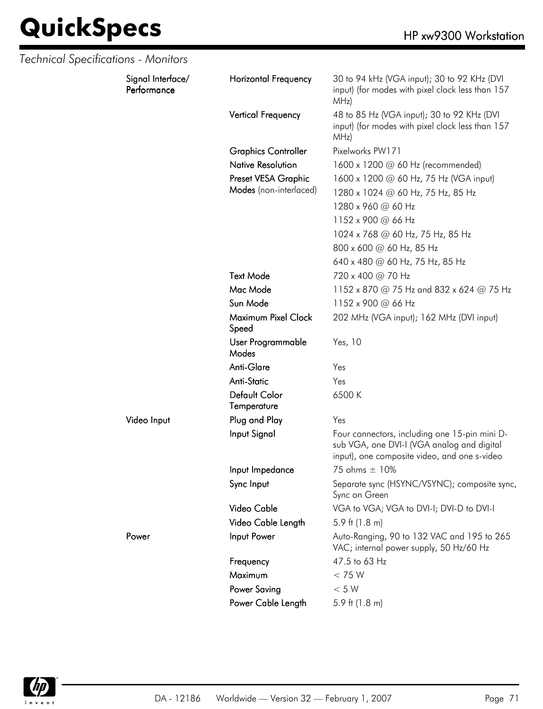| Technical Specifications - Monitors |                                  |                              |                                                                                                                                             |
|-------------------------------------|----------------------------------|------------------------------|---------------------------------------------------------------------------------------------------------------------------------------------|
|                                     | Signal Interface/<br>Performance | <b>Horizontal Frequency</b>  | 30 to 94 kHz (VGA input); 30 to 92 KHz (DVI<br>input) (for modes with pixel clock less than 157<br>MHz)                                     |
|                                     |                                  | <b>Vertical Frequency</b>    | 48 to 85 Hz (VGA input); 30 to 92 KHz (DVI<br>input) (for modes with pixel clock less than 157<br>MHz)                                      |
|                                     |                                  | <b>Graphics Controller</b>   | Pixelworks PW171                                                                                                                            |
|                                     |                                  | <b>Native Resolution</b>     | 1600 x 1200 @ 60 Hz (recommended)                                                                                                           |
|                                     |                                  | Preset VESA Graphic          | 1600 x 1200 @ 60 Hz, 75 Hz (VGA input)                                                                                                      |
|                                     |                                  | Modes (non-interlaced)       | 1280 x 1024 @ 60 Hz, 75 Hz, 85 Hz                                                                                                           |
|                                     |                                  |                              | 1280 x 960 @ 60 Hz                                                                                                                          |
|                                     |                                  |                              | 1152 x 900 @ 66 Hz                                                                                                                          |
|                                     |                                  |                              | 1024 x 768 @ 60 Hz, 75 Hz, 85 Hz                                                                                                            |
|                                     |                                  |                              | 800 x 600 @ 60 Hz, 85 Hz                                                                                                                    |
|                                     |                                  |                              | 640 x 480 @ 60 Hz, 75 Hz, 85 Hz                                                                                                             |
|                                     |                                  | <b>Text Mode</b>             | 720 x 400 @ 70 Hz                                                                                                                           |
|                                     |                                  | Mac Mode                     | 1152 x 870 @ 75 Hz and 832 x 624 @ 75 Hz                                                                                                    |
|                                     |                                  | Sun Mode                     | 1152 x 900 @ 66 Hz                                                                                                                          |
|                                     |                                  | Maximum Pixel Clock<br>Speed | 202 MHz (VGA input); 162 MHz (DVI input)                                                                                                    |
|                                     |                                  | User Programmable<br>Modes   | Yes, 10                                                                                                                                     |
|                                     |                                  | Anti-Glare                   | Yes                                                                                                                                         |
|                                     |                                  | <b>Anti-Static</b>           | Yes                                                                                                                                         |
|                                     |                                  | Default Color<br>Temperature | 6500 K                                                                                                                                      |
|                                     | Video Input                      | Plug and Play                | Yes                                                                                                                                         |
|                                     |                                  | Input Signal                 | Four connectors, including one 15-pin mini D-<br>sub VGA, one DVI-I (VGA analog and digital<br>input), one composite video, and one s-video |
|                                     |                                  | Input Impedance              | 75 ohms $\pm$ 10%                                                                                                                           |
|                                     |                                  | Sync Input                   | Separate sync (HSYNC/VSYNC); composite sync,<br>Sync on Green                                                                               |
|                                     |                                  | Video Cable                  | VGA to VGA; VGA to DVI-I; DVI-D to DVI-I                                                                                                    |
|                                     |                                  | Video Cable Length           | 5.9 ft $(1.8 \text{ m})$                                                                                                                    |
|                                     | Power                            | Input Power                  | Auto-Ranging, 90 to 132 VAC and 195 to 265<br>VAC; internal power supply, 50 Hz/60 Hz                                                       |
|                                     |                                  | Frequency                    | 47.5 to 63 Hz                                                                                                                               |
|                                     |                                  | Maximum                      | < 75 W                                                                                                                                      |
|                                     |                                  | Power Saving                 | $< 5 W$                                                                                                                                     |
|                                     |                                  | Power Cable Length           | 5.9 ft (1.8 m)                                                                                                                              |

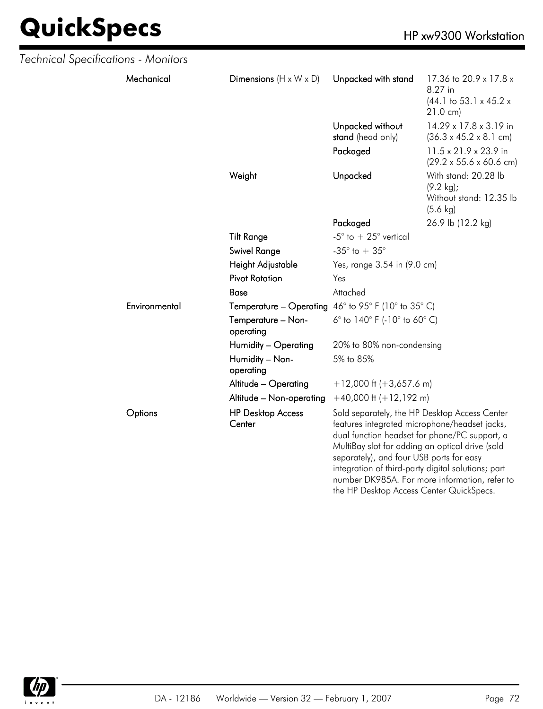| Technical Specifications - Monitors |               |                                    |                                                                                      |                                                                                                                                                                                                                                                                                                           |  |
|-------------------------------------|---------------|------------------------------------|--------------------------------------------------------------------------------------|-----------------------------------------------------------------------------------------------------------------------------------------------------------------------------------------------------------------------------------------------------------------------------------------------------------|--|
|                                     | Mechanical    | Dimensions $(H \times W \times D)$ | Unpacked with stand                                                                  | 17.36 to 20.9 x 17.8 x<br>8.27 in<br>$(44.1 \text{ to } 53.1 \times 45.2 \times$<br>$21.0 \text{ cm}$                                                                                                                                                                                                     |  |
|                                     |               |                                    | Unpacked without<br>stand (head only)                                                | 14.29 x 17.8 x 3.19 in<br>$(36.3 \times 45.2 \times 8.1 \text{ cm})$                                                                                                                                                                                                                                      |  |
|                                     |               |                                    | Packaged                                                                             | 11.5 x 21.9 x 23.9 in<br>$(29.2 \times 55.6 \times 60.6 \text{ cm})$                                                                                                                                                                                                                                      |  |
|                                     |               | Weight                             | Unpacked                                                                             | With stand: 20.28 lb<br>$(9.2 \text{ kg})$ ;<br>Without stand: 12.35 lb<br>$(5.6 \text{ kg})$                                                                                                                                                                                                             |  |
|                                     |               |                                    | Packaged                                                                             | 26.9 lb (12.2 kg)                                                                                                                                                                                                                                                                                         |  |
|                                     |               | <b>Tilt Range</b>                  | -5 $^{\circ}$ to $+25^{\circ}$ vertical                                              |                                                                                                                                                                                                                                                                                                           |  |
|                                     |               | Swivel Range                       | -35 $^{\circ}$ to + 35 $^{\circ}$                                                    |                                                                                                                                                                                                                                                                                                           |  |
|                                     |               | Height Adjustable                  | Yes, range 3.54 in (9.0 cm)                                                          |                                                                                                                                                                                                                                                                                                           |  |
|                                     |               | <b>Pivot Rotation</b>              | Yes                                                                                  |                                                                                                                                                                                                                                                                                                           |  |
|                                     |               | <b>Base</b>                        | Attached                                                                             |                                                                                                                                                                                                                                                                                                           |  |
|                                     | Environmental |                                    | <b>Temperature – Operating</b> $46^{\circ}$ to 95° F (10° to 35° C)                  |                                                                                                                                                                                                                                                                                                           |  |
|                                     |               | Temperature - Non-<br>operating    | 6° to $140^{\circ}$ F (-10° to 60° C)                                                |                                                                                                                                                                                                                                                                                                           |  |
|                                     |               | Humidity - Operating               | 20% to 80% non-condensing                                                            |                                                                                                                                                                                                                                                                                                           |  |
|                                     |               | Humidity - Non-<br>operating       | 5% to 85%                                                                            |                                                                                                                                                                                                                                                                                                           |  |
|                                     |               | Altitude - Operating               | $+12,000$ ft (+3,657.6 m)                                                            |                                                                                                                                                                                                                                                                                                           |  |
|                                     |               | Altitude - Non-operating           | $+40,000$ ft $(+12,192$ m)                                                           |                                                                                                                                                                                                                                                                                                           |  |
|                                     | Options       | <b>HP Desktop Access</b><br>Center | separately), and four USB ports for easy<br>the HP Desktop Access Center QuickSpecs. | Sold separately, the HP Desktop Access Center<br>features integrated microphone/headset jacks,<br>dual function headset for phone/PC support, a<br>MultiBay slot for adding an optical drive (sold<br>integration of third-party digital solutions; part<br>number DK985A. For more information, refer to |  |

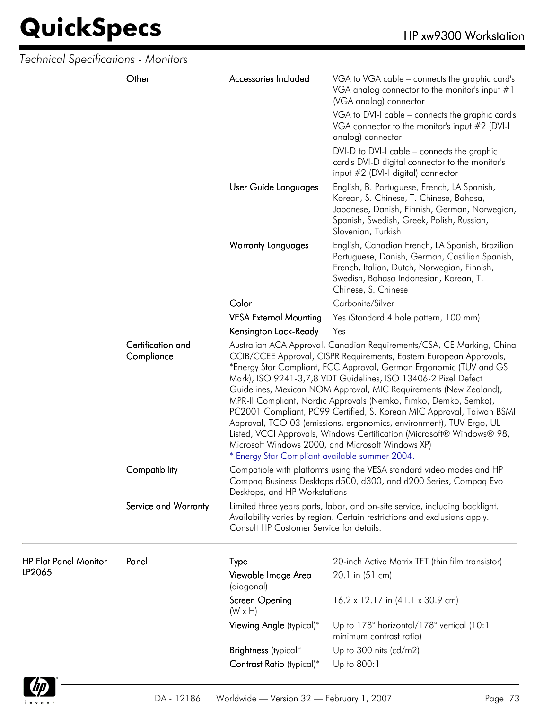| Technical Specifications - Monitors    |                                 |                                                |                                                                                                                                                                                                                                                                                                                                                                                                                                                                                                                                                                                                                                                                                                              |  |
|----------------------------------------|---------------------------------|------------------------------------------------|--------------------------------------------------------------------------------------------------------------------------------------------------------------------------------------------------------------------------------------------------------------------------------------------------------------------------------------------------------------------------------------------------------------------------------------------------------------------------------------------------------------------------------------------------------------------------------------------------------------------------------------------------------------------------------------------------------------|--|
|                                        | Other                           | Accessories Included                           | VGA to VGA cable – connects the graphic card's<br>VGA analog connector to the monitor's input $#1$<br>(VGA analog) connector<br>VGA to DVI-I cable - connects the graphic card's<br>VGA connector to the monitor's input #2 (DVI-I<br>analog) connector<br>DVI-D to DVI-I cable – connects the graphic<br>card's DVI-D digital connector to the monitor's<br>input #2 (DVI-I digital) connector                                                                                                                                                                                                                                                                                                              |  |
|                                        |                                 | User Guide Languages                           | English, B. Portuguese, French, LA Spanish,<br>Korean, S. Chinese, T. Chinese, Bahasa,<br>Japanese, Danish, Finnish, German, Norwegian,<br>Spanish, Swedish, Greek, Polish, Russian,<br>Slovenian, Turkish                                                                                                                                                                                                                                                                                                                                                                                                                                                                                                   |  |
|                                        |                                 | <b>Warranty Languages</b>                      | English, Canadian French, LA Spanish, Brazilian<br>Portuguese, Danish, German, Castilian Spanish,<br>French, Italian, Dutch, Norwegian, Finnish,<br>Swedish, Bahasa Indonesian, Korean, T.<br>Chinese, S. Chinese                                                                                                                                                                                                                                                                                                                                                                                                                                                                                            |  |
|                                        |                                 | Color                                          | Carbonite/Silver                                                                                                                                                                                                                                                                                                                                                                                                                                                                                                                                                                                                                                                                                             |  |
|                                        |                                 | <b>VESA External Mounting</b>                  | Yes (Standard 4 hole pattern, 100 mm)                                                                                                                                                                                                                                                                                                                                                                                                                                                                                                                                                                                                                                                                        |  |
|                                        |                                 | Kensington Lock-Ready                          | Yes                                                                                                                                                                                                                                                                                                                                                                                                                                                                                                                                                                                                                                                                                                          |  |
|                                        | Certification and<br>Compliance | * Energy Star Compliant available summer 2004. | Australian ACA Approval, Canadian Requirements/CSA, CE Marking, China<br>CCIB/CCEE Approval, CISPR Requirements, Eastern European Approvals,<br>*Energy Star Compliant, FCC Approval, German Ergonomic (TUV and GS<br>Mark), ISO 9241-3,7,8 VDT Guidelines, ISO 13406-2 Pixel Defect<br>Guidelines, Mexican NOM Approval, MIC Requirements (New Zealand),<br>MPR-II Compliant, Nordic Approvals (Nemko, Fimko, Demko, Semko),<br>PC2001 Compliant, PC99 Certified, S. Korean MIC Approval, Taiwan BSMI<br>Approval, TCO 03 (emissions, ergonomics, environment), TUV-Ergo, UL<br>Listed, VCCI Approvals, Windows Certification (Microsoft® Windows® 98,<br>Microsoft Windows 2000, and Microsoft Windows XP) |  |
|                                        | Compatibility                   | Desktops, and HP Workstations                  | Compatible with platforms using the VESA standard video modes and HP<br>Compaq Business Desktops d500, d300, and d200 Series, Compaq Evo                                                                                                                                                                                                                                                                                                                                                                                                                                                                                                                                                                     |  |
|                                        | Service and Warranty            | Consult HP Customer Service for details.       | Limited three years parts, labor, and on-site service, including backlight.<br>Availability varies by region. Certain restrictions and exclusions apply.                                                                                                                                                                                                                                                                                                                                                                                                                                                                                                                                                     |  |
| <b>HP Flat Panel Monitor</b><br>LP2065 | Panel                           | Type<br>Viewable Image Area<br>(diagonal)      | 20-inch Active Matrix TFT (thin film transistor)<br>20.1 in (51 cm)                                                                                                                                                                                                                                                                                                                                                                                                                                                                                                                                                                                                                                          |  |
|                                        |                                 | Screen Opening<br>$(W \times H)$               | 16.2 x 12.17 in (41.1 x 30.9 cm)                                                                                                                                                                                                                                                                                                                                                                                                                                                                                                                                                                                                                                                                             |  |
|                                        |                                 | Viewing Angle (typical)*                       | Up to 178° horizontal/178° vertical (10:1<br>minimum contrast ratio)                                                                                                                                                                                                                                                                                                                                                                                                                                                                                                                                                                                                                                         |  |
|                                        |                                 | Brightness (typical*                           | Up to 300 nits ( $cd/m2$ )                                                                                                                                                                                                                                                                                                                                                                                                                                                                                                                                                                                                                                                                                   |  |
|                                        |                                 | Contrast Ratio (typical)*                      | Up to 800:1                                                                                                                                                                                                                                                                                                                                                                                                                                                                                                                                                                                                                                                                                                  |  |

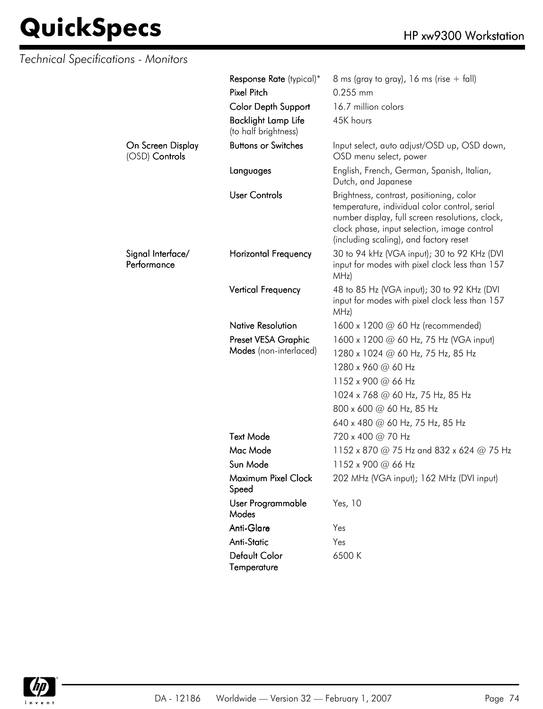| Technical Specifications - Monitors |                                                    |                                                                                                                                                                                                                                       |
|-------------------------------------|----------------------------------------------------|---------------------------------------------------------------------------------------------------------------------------------------------------------------------------------------------------------------------------------------|
|                                     | Response Rate (typical)*<br><b>Pixel Pitch</b>     | 8 ms (gray to gray), 16 ms (rise $+$ fall)<br>0.255 mm                                                                                                                                                                                |
|                                     | Color Depth Support                                | 16.7 million colors                                                                                                                                                                                                                   |
|                                     | <b>Backlight Lamp Life</b><br>(to half brightness) | 45K hours                                                                                                                                                                                                                             |
| On Screen Display<br>(OSD) Controls | <b>Buttons or Switches</b>                         | Input select, auto adjust/OSD up, OSD down,<br>OSD menu select, power                                                                                                                                                                 |
|                                     | Languages                                          | English, French, German, Spanish, Italian,<br>Dutch, and Japanese                                                                                                                                                                     |
|                                     | <b>User Controls</b>                               | Brightness, contrast, positioning, color<br>temperature, individual color control, serial<br>number display, full screen resolutions, clock,<br>clock phase, input selection, image control<br>(including scaling), and factory reset |
| Signal Interface/<br>Performance    | <b>Horizontal Frequency</b>                        | 30 to 94 kHz (VGA input); 30 to 92 KHz (DVI<br>input for modes with pixel clock less than 157<br>MHz)                                                                                                                                 |
|                                     | <b>Vertical Frequency</b>                          | 48 to 85 Hz (VGA input); 30 to 92 KHz (DVI<br>input for modes with pixel clock less than 157<br>MHz)                                                                                                                                  |
|                                     | <b>Native Resolution</b>                           | 1600 x 1200 $\omega$ 60 Hz (recommended)                                                                                                                                                                                              |
|                                     | Preset VESA Graphic                                | 1600 x 1200 @ 60 Hz, 75 Hz (VGA input)                                                                                                                                                                                                |
|                                     | Modes (non-interlaced)                             | 1280 x 1024 @ 60 Hz, 75 Hz, 85 Hz                                                                                                                                                                                                     |
|                                     |                                                    | 1280 x 960 @ 60 Hz                                                                                                                                                                                                                    |
|                                     |                                                    | 1152 x 900 @ 66 Hz                                                                                                                                                                                                                    |
|                                     |                                                    | 1024 x 768 @ 60 Hz, 75 Hz, 85 Hz                                                                                                                                                                                                      |
|                                     |                                                    | 800 x 600 @ 60 Hz, 85 Hz                                                                                                                                                                                                              |
|                                     |                                                    | 640 x 480 @ 60 Hz, 75 Hz, 85 Hz                                                                                                                                                                                                       |
|                                     | <b>Text Mode</b>                                   | 720 x 400 @ 70 Hz                                                                                                                                                                                                                     |
|                                     | Mac Mode                                           | 1152 x 870 @ 75 Hz and 832 x 624 @ 75 Hz                                                                                                                                                                                              |
|                                     | Sun Mode                                           | 1152 x 900 @ 66 Hz                                                                                                                                                                                                                    |
|                                     | Maximum Pixel Clock<br>Speed                       | 202 MHz (VGA input); 162 MHz (DVI input)                                                                                                                                                                                              |
|                                     | User Programmable<br>Modes                         | Yes, 10                                                                                                                                                                                                                               |
|                                     | Anti-Glare                                         | Yes                                                                                                                                                                                                                                   |
|                                     | Anti-Static                                        | Yes                                                                                                                                                                                                                                   |
|                                     | Default Color<br>Temperature                       | 6500K                                                                                                                                                                                                                                 |

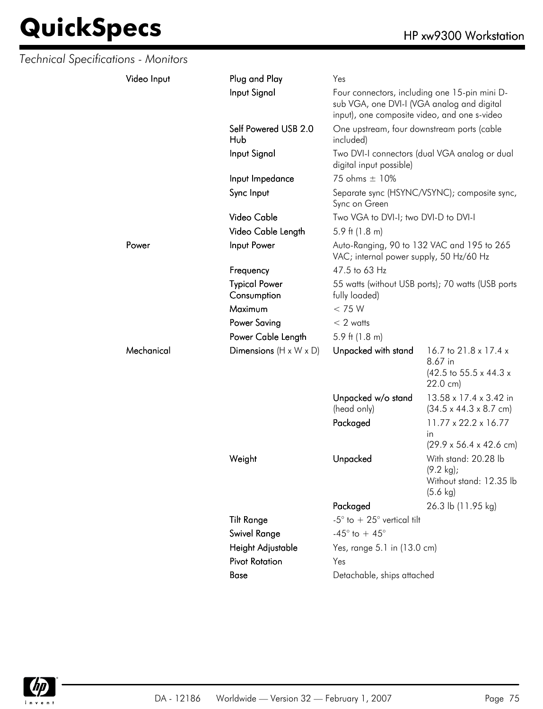| Technical Specifications - Monitors |             |                                                                                                       |                                                                                                                                                                   |                                                                                               |
|-------------------------------------|-------------|-------------------------------------------------------------------------------------------------------|-------------------------------------------------------------------------------------------------------------------------------------------------------------------|-----------------------------------------------------------------------------------------------|
|                                     | Video Input | Plug and Play                                                                                         | Yes                                                                                                                                                               |                                                                                               |
|                                     |             | Input Signal                                                                                          | Four connectors, including one 15-pin mini D-<br>sub VGA, one DVI-I (VGA analog and digital<br>input), one composite video, and one s-video                       |                                                                                               |
|                                     |             | Self Powered USB 2.0<br>Hub                                                                           | One upstream, four downstream ports (cable<br>included)                                                                                                           |                                                                                               |
|                                     |             | Input Signal                                                                                          | digital input possible)                                                                                                                                           | Two DVI-I connectors (dual VGA analog or dual                                                 |
|                                     |             | Input Impedance                                                                                       | 75 ohms ± 10%                                                                                                                                                     |                                                                                               |
|                                     |             | Sync Input                                                                                            | Sync on Green                                                                                                                                                     | Separate sync (HSYNC/VSYNC); composite sync,                                                  |
|                                     |             | Video Cable                                                                                           | Two VGA to DVI-I; two DVI-D to DVI-I                                                                                                                              |                                                                                               |
|                                     |             | Video Cable Length                                                                                    | 5.9 ft $(1.8 \text{ m})$                                                                                                                                          |                                                                                               |
|                                     | Power       | Input Power                                                                                           | Auto-Ranging, 90 to 132 VAC and 195 to 265<br>VAC; internal power supply, 50 Hz/60 Hz                                                                             |                                                                                               |
|                                     |             | Frequency                                                                                             | 47.5 to 63 Hz                                                                                                                                                     |                                                                                               |
|                                     |             | <b>Typical Power</b><br>Consumption                                                                   | fully loaded)                                                                                                                                                     | 55 watts (without USB ports); 70 watts (USB ports                                             |
|                                     |             | Maximum                                                                                               | < 75 W                                                                                                                                                            |                                                                                               |
|                                     |             | <b>Power Saving</b>                                                                                   | $< 2$ watts                                                                                                                                                       |                                                                                               |
|                                     |             | Power Cable Length                                                                                    | 5.9 ft $(1.8 \text{ m})$                                                                                                                                          |                                                                                               |
|                                     | Mechanical  | Dimensions $(H \times W \times D)$                                                                    | Unpacked with stand                                                                                                                                               | 16.7 to 21.8 x 17.4 x<br>8.67 in<br>$(42.5 \text{ to } 55.5 \times 44.3 \times$<br>22.0 cm)   |
|                                     |             |                                                                                                       | Unpacked w/o stand<br>(head only)                                                                                                                                 | 13.58 x 17.4 x 3.42 in<br>$(34.5 \times 44.3 \times 8.7 \text{ cm})$                          |
|                                     |             |                                                                                                       | Packaged                                                                                                                                                          | $11.77 \times 22.2 \times 16.77$<br>in.<br>$(29.9 \times 56.4 \times 42.6 \text{ cm})$        |
|                                     |             | Weight                                                                                                | Unpacked                                                                                                                                                          | With stand: 20.28 lb<br>$(9.2 \text{ kg})$ ;<br>Without stand: 12.35 lb<br>$(5.6 \text{ kg})$ |
|                                     |             | <b>Tilt Range</b><br><b>Swivel Range</b><br>Height Adjustable<br><b>Pivot Rotation</b><br><b>Base</b> | Packaged<br>-5 $^{\circ}$ to $+25^{\circ}$ vertical tilt<br>-45 $^{\circ}$ to + 45 $^{\circ}$<br>Yes, range 5.1 in (13.0 cm)<br>Yes<br>Detachable, ships attached | 26.3 lb (11.95 kg)                                                                            |

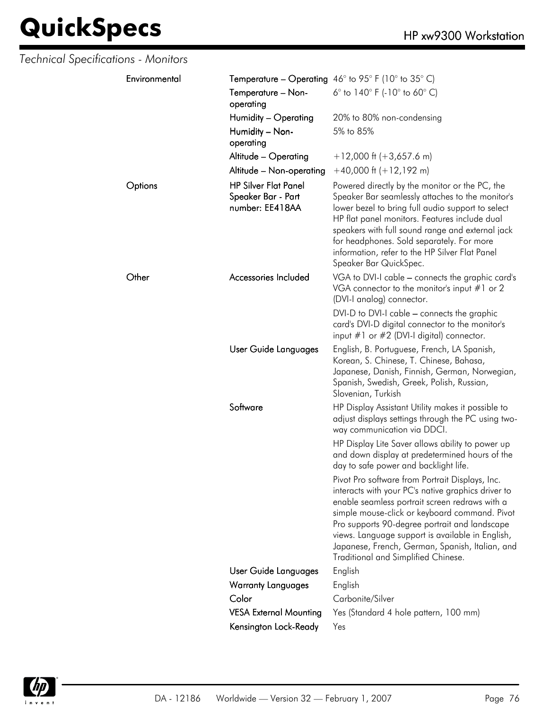| Technical Specifications - Monitors |                                                                      |                                                                                                                                                                                                                                                                                                                                                                                                         |
|-------------------------------------|----------------------------------------------------------------------|---------------------------------------------------------------------------------------------------------------------------------------------------------------------------------------------------------------------------------------------------------------------------------------------------------------------------------------------------------------------------------------------------------|
| Environmental                       |                                                                      | <b>Temperature – Operating</b> 46° to 95° F (10° to 35° C)                                                                                                                                                                                                                                                                                                                                              |
|                                     | Temperature - Non-<br>operating                                      | 6 $^{\circ}$ to 140 $^{\circ}$ F (-10 $^{\circ}$ to 60 $^{\circ}$ C)                                                                                                                                                                                                                                                                                                                                    |
|                                     | Humidity - Operating                                                 | 20% to 80% non-condensing                                                                                                                                                                                                                                                                                                                                                                               |
|                                     | Humidity - Non-<br>operating                                         | 5% to 85%                                                                                                                                                                                                                                                                                                                                                                                               |
|                                     | Altitude - Operating                                                 | $+12,000$ ft (+3,657.6 m)                                                                                                                                                                                                                                                                                                                                                                               |
|                                     | Altitude - Non-operating                                             | $+40,000$ ft $(+12,192$ m)                                                                                                                                                                                                                                                                                                                                                                              |
| Options                             | <b>HP Silver Flat Panel</b><br>Speaker Bar - Part<br>number: EE418AA | Powered directly by the monitor or the PC, the<br>Speaker Bar seamlessly attaches to the monitor's<br>lower bezel to bring full audio support to select<br>HP flat panel monitors. Features include dual<br>speakers with full sound range and external jack<br>for headphones. Sold separately. For more<br>information, refer to the HP Silver Flat Panel<br>Speaker Bar QuickSpec.                   |
| Other                               | Accessories Included                                                 | VGA to DVI-I cable - connects the graphic card's<br>VGA connector to the monitor's input $#1$ or 2<br>(DVI-I analog) connector.                                                                                                                                                                                                                                                                         |
|                                     |                                                                      | DVI-D to DVI-I cable - connects the graphic<br>card's DVI-D digital connector to the monitor's<br>input $#1$ or $#2$ (DVI-I digital) connector.                                                                                                                                                                                                                                                         |
|                                     | User Guide Languages                                                 | English, B. Portuguese, French, LA Spanish,<br>Korean, S. Chinese, T. Chinese, Bahasa,<br>Japanese, Danish, Finnish, German, Norwegian,<br>Spanish, Swedish, Greek, Polish, Russian,<br>Slovenian, Turkish                                                                                                                                                                                              |
|                                     | Software                                                             | HP Display Assistant Utility makes it possible to<br>adjust displays settings through the PC using two-<br>way communication via DDCI.                                                                                                                                                                                                                                                                  |
|                                     |                                                                      | HP Display Lite Saver allows ability to power up<br>and down display at predetermined hours of the<br>day to safe power and backlight life.                                                                                                                                                                                                                                                             |
|                                     |                                                                      | Pivot Pro software from Portrait Displays, Inc.<br>interacts with your PC's native graphics driver to<br>enable seamless portrait screen redraws with a<br>simple mouse-click or keyboard command. Pivot<br>Pro supports 90-degree portrait and landscape<br>views. Language support is available in English,<br>Japanese, French, German, Spanish, Italian, and<br>Traditional and Simplified Chinese. |
|                                     | User Guide Languages                                                 | English                                                                                                                                                                                                                                                                                                                                                                                                 |
|                                     | <b>Warranty Languages</b>                                            | English                                                                                                                                                                                                                                                                                                                                                                                                 |
|                                     | Color                                                                | Carbonite/Silver                                                                                                                                                                                                                                                                                                                                                                                        |
|                                     | <b>VESA External Mounting</b>                                        | Yes (Standard 4 hole pattern, 100 mm)                                                                                                                                                                                                                                                                                                                                                                   |
|                                     | Kensington Lock-Ready                                                | Yes                                                                                                                                                                                                                                                                                                                                                                                                     |

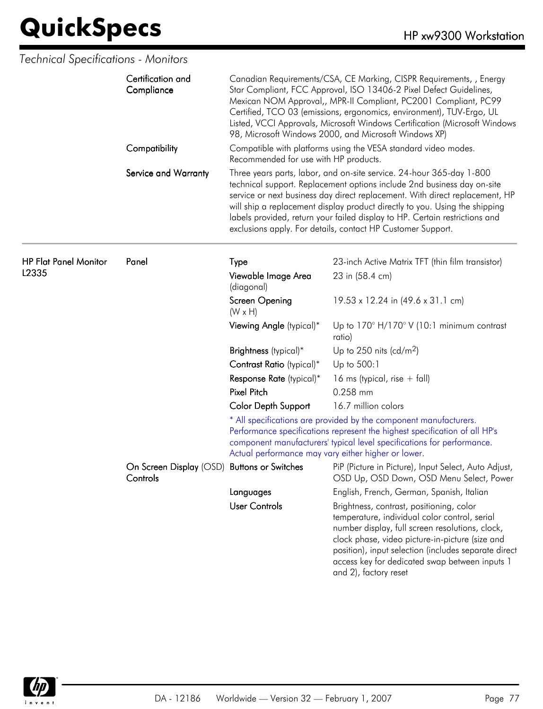|                              | Certification and<br>Compliance                         | Canadian Requirements/CSA, CE Marking, CISPR Requirements, , Energy<br>Star Compliant, FCC Approval, ISO 13406-2 Pixel Defect Guidelines,<br>Mexican NOM Approval,, MPR-II Compliant, PC2001 Compliant, PC99<br>Certified, TCO 03 (emissions, ergonomics, environment), TUV-Ergo, UL<br>Listed, VCCI Approvals, Microsoft Windows Certification (Microsoft Windows<br>98, Microsoft Windows 2000, and Microsoft Windows XP) |                                                                                                                                                                                                                                                                                                                                                                                                                                                              |
|------------------------------|---------------------------------------------------------|-----------------------------------------------------------------------------------------------------------------------------------------------------------------------------------------------------------------------------------------------------------------------------------------------------------------------------------------------------------------------------------------------------------------------------|--------------------------------------------------------------------------------------------------------------------------------------------------------------------------------------------------------------------------------------------------------------------------------------------------------------------------------------------------------------------------------------------------------------------------------------------------------------|
|                              | Compatibility                                           | Recommended for use with HP products.                                                                                                                                                                                                                                                                                                                                                                                       | Compatible with platforms using the VESA standard video modes.                                                                                                                                                                                                                                                                                                                                                                                               |
|                              | Service and Warranty                                    |                                                                                                                                                                                                                                                                                                                                                                                                                             | Three years parts, labor, and on-site service. 24-hour 365-day 1-800<br>technical support. Replacement options include 2nd business day on-site<br>service or next business day direct replacement. With direct replacement, HP<br>will ship a replacement display product directly to you. Using the shipping<br>labels provided, return your failed display to HP. Certain restrictions and<br>exclusions apply. For details, contact HP Customer Support. |
| <b>HP Flat Panel Monitor</b> | Panel                                                   | Type                                                                                                                                                                                                                                                                                                                                                                                                                        | 23-inch Active Matrix TFT (thin film transistor)                                                                                                                                                                                                                                                                                                                                                                                                             |
| L2335                        |                                                         | Viewable Image Area<br>(diagonal)                                                                                                                                                                                                                                                                                                                                                                                           | 23 in (58.4 cm)                                                                                                                                                                                                                                                                                                                                                                                                                                              |
|                              |                                                         | Screen Opening<br>$(W \times H)$                                                                                                                                                                                                                                                                                                                                                                                            | 19.53 x 12.24 in (49.6 x 31.1 cm)                                                                                                                                                                                                                                                                                                                                                                                                                            |
|                              |                                                         | Viewing Angle (typical)*                                                                                                                                                                                                                                                                                                                                                                                                    | Up to 170° H/170° V (10:1 minimum contrast<br>ratio)                                                                                                                                                                                                                                                                                                                                                                                                         |
|                              |                                                         | Brightness (typical)*                                                                                                                                                                                                                                                                                                                                                                                                       | Up to $250$ nits (cd/m <sup>2</sup> )                                                                                                                                                                                                                                                                                                                                                                                                                        |
|                              |                                                         | Contrast Ratio (typical)*                                                                                                                                                                                                                                                                                                                                                                                                   | Up to 500:1                                                                                                                                                                                                                                                                                                                                                                                                                                                  |
|                              |                                                         | Response Rate (typical)*                                                                                                                                                                                                                                                                                                                                                                                                    | 16 ms (typical, rise $+$ fall)                                                                                                                                                                                                                                                                                                                                                                                                                               |
|                              |                                                         | <b>Pixel Pitch</b>                                                                                                                                                                                                                                                                                                                                                                                                          | 0.258 mm                                                                                                                                                                                                                                                                                                                                                                                                                                                     |
|                              |                                                         | <b>Color Depth Support</b>                                                                                                                                                                                                                                                                                                                                                                                                  | 16.7 million colors                                                                                                                                                                                                                                                                                                                                                                                                                                          |
|                              |                                                         | Actual performance may vary either higher or lower.                                                                                                                                                                                                                                                                                                                                                                         | * All specifications are provided by the component manufacturers.<br>Performance specifications represent the highest specification of all HP's<br>component manufacturers' typical level specifications for performance.                                                                                                                                                                                                                                    |
|                              | On Screen Display (OSD) Buttons or Switches<br>Controls |                                                                                                                                                                                                                                                                                                                                                                                                                             | PiP (Picture in Picture), Input Select, Auto Adjust,<br>OSD Up, OSD Down, OSD Menu Select, Power                                                                                                                                                                                                                                                                                                                                                             |
|                              |                                                         | Languages                                                                                                                                                                                                                                                                                                                                                                                                                   | English, French, German, Spanish, Italian                                                                                                                                                                                                                                                                                                                                                                                                                    |
|                              |                                                         | <b>User Controls</b>                                                                                                                                                                                                                                                                                                                                                                                                        | Brightness, contrast, positioning, color<br>temperature, individual color control, serial<br>number display, full screen resolutions, clock,<br>clock phase, video picture-in-picture (size and<br>position), input selection (includes separate direct<br>access key for dedicated swap between inputs 1<br>and 2), factory reset                                                                                                                           |

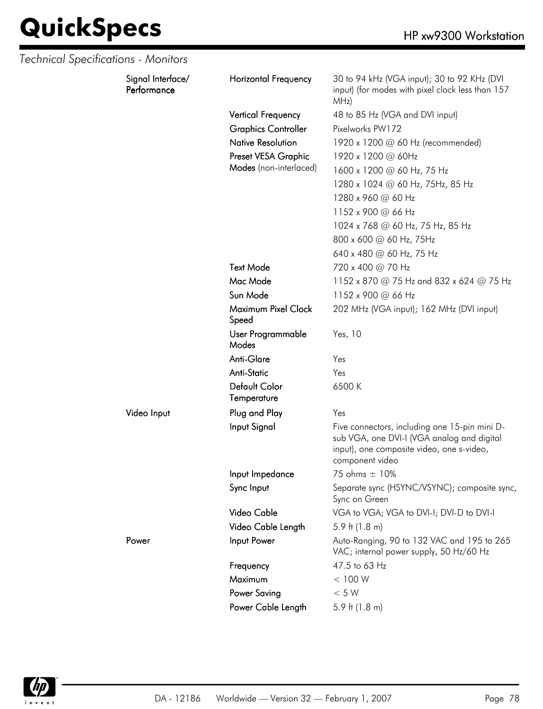| Technical Specifications - Monitors |                                  |                              |                                                                                                                                                             |
|-------------------------------------|----------------------------------|------------------------------|-------------------------------------------------------------------------------------------------------------------------------------------------------------|
|                                     | Signal Interface/<br>Performance | <b>Horizontal Frequency</b>  | 30 to 94 kHz (VGA input); 30 to 92 KHz (DVI<br>input) (for modes with pixel clock less than 157<br>MHz)                                                     |
|                                     |                                  | <b>Vertical Frequency</b>    | 48 to 85 Hz (VGA and DVI input)                                                                                                                             |
|                                     |                                  | <b>Graphics Controller</b>   | Pixelworks PW172                                                                                                                                            |
|                                     |                                  | <b>Native Resolution</b>     | 1920 x 1200 @ 60 Hz (recommended)                                                                                                                           |
|                                     |                                  | Preset VESA Graphic          | 1920 x 1200 @ 60Hz                                                                                                                                          |
|                                     |                                  | Modes (non-interlaced)       | 1600 x 1200 @ 60 Hz, 75 Hz                                                                                                                                  |
|                                     |                                  |                              | 1280 x 1024 @ 60 Hz, 75Hz, 85 Hz                                                                                                                            |
|                                     |                                  |                              | 1280 x 960 @ 60 Hz                                                                                                                                          |
|                                     |                                  |                              | 1152 x 900 @ 66 Hz                                                                                                                                          |
|                                     |                                  |                              | 1024 x 768 @ 60 Hz, 75 Hz, 85 Hz                                                                                                                            |
|                                     |                                  |                              | 800 x 600 @ 60 Hz, 75Hz                                                                                                                                     |
|                                     |                                  |                              | 640 x 480 @ 60 Hz, 75 Hz                                                                                                                                    |
|                                     |                                  | <b>Text Mode</b>             | 720 x 400 @ 70 Hz                                                                                                                                           |
|                                     |                                  | Mac Mode                     | 1152 x 870 @ 75 Hz and 832 x 624 @ 75 Hz                                                                                                                    |
|                                     |                                  | Sun Mode                     | 1152 x 900 @ 66 Hz                                                                                                                                          |
|                                     |                                  | Maximum Pixel Clock<br>Speed | 202 MHz (VGA input); 162 MHz (DVI input)                                                                                                                    |
|                                     |                                  | User Programmable<br>Modes   | Yes, 10                                                                                                                                                     |
|                                     |                                  | Anti-Glare                   | Yes                                                                                                                                                         |
|                                     |                                  | <b>Anti-Static</b>           | Yes                                                                                                                                                         |
|                                     |                                  | Default Color<br>Temperature | 6500K                                                                                                                                                       |
|                                     | Video Input                      | Plug and Play                | Yes                                                                                                                                                         |
|                                     |                                  | Input Signal                 | Five connectors, including one 15-pin mini D-<br>sub VGA, one DVI-I (VGA analog and digital<br>input), one composite video, one s-video,<br>component video |
|                                     |                                  | Input Impedance              | 75 ohms ± 10%                                                                                                                                               |
|                                     |                                  | Sync Input                   | Separate sync (HSYNC/VSYNC); composite sync,<br>Sync on Green                                                                                               |
|                                     |                                  | Video Cable                  | VGA to VGA; VGA to DVI-I; DVI-D to DVI-I                                                                                                                    |
|                                     |                                  | Video Cable Length           | 5.9 ft $(1.8 \text{ m})$                                                                                                                                    |
|                                     | Power                            | Input Power                  | Auto-Ranging, 90 to 132 VAC and 195 to 265<br>VAC; internal power supply, 50 Hz/60 Hz                                                                       |
|                                     |                                  | Frequency                    | 47.5 to 63 Hz                                                                                                                                               |
|                                     |                                  | Maximum                      | < 100 W                                                                                                                                                     |
|                                     |                                  | <b>Power Saving</b>          | < 5 W                                                                                                                                                       |
|                                     |                                  | Power Cable Length           | 5.9 ft $(1.8 \text{ m})$                                                                                                                                    |

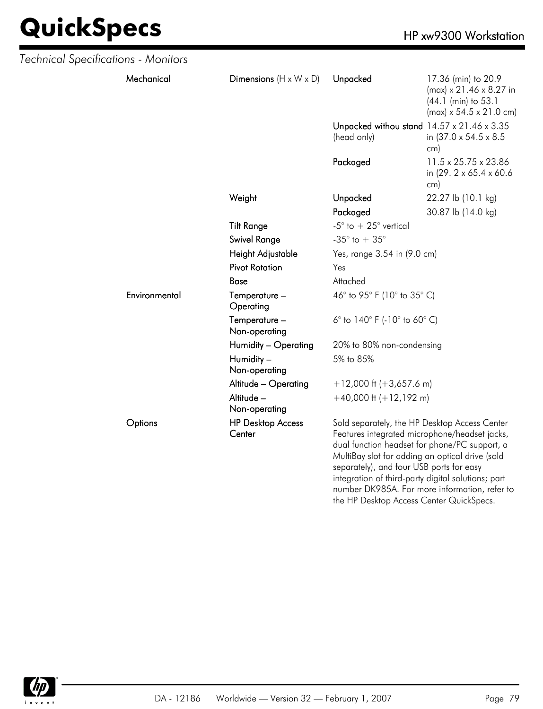| Technical Specifications - Monitors |               |                                    |                                                                                                                                                                                                                                                                                                                                                       |                                                                                                                          |
|-------------------------------------|---------------|------------------------------------|-------------------------------------------------------------------------------------------------------------------------------------------------------------------------------------------------------------------------------------------------------------------------------------------------------------------------------------------------------|--------------------------------------------------------------------------------------------------------------------------|
|                                     | Mechanical    | Dimensions $(H \times W \times D)$ | Unpacked                                                                                                                                                                                                                                                                                                                                              | 17.36 (min) to 20.9<br>$(max) \times 21.46 \times 8.27$ in<br>(44.1 (min) to 53.1<br>$(max) \times 54.5 \times 21.0$ cm) |
|                                     |               |                                    | Unpacked withou stand 14.57 x 21.46 x 3.35<br>(head only)                                                                                                                                                                                                                                                                                             | in (37.0 x 54.5 x 8.5)<br>cm)                                                                                            |
|                                     |               |                                    | Packaged                                                                                                                                                                                                                                                                                                                                              | 11.5 x 25.75 x 23.86<br>in (29. 2 x 65.4 x 60.6)<br>cm)                                                                  |
|                                     |               | Weight                             | Unpacked                                                                                                                                                                                                                                                                                                                                              | 22.27 lb (10.1 kg)                                                                                                       |
|                                     |               |                                    | Packaged                                                                                                                                                                                                                                                                                                                                              | 30.87 lb (14.0 kg)                                                                                                       |
|                                     |               | <b>Tilt Range</b>                  | -5 $^{\circ}$ to $+25^{\circ}$ vertical                                                                                                                                                                                                                                                                                                               |                                                                                                                          |
|                                     |               | <b>Swivel Range</b>                | -35 $^{\circ}$ to + 35 $^{\circ}$                                                                                                                                                                                                                                                                                                                     |                                                                                                                          |
|                                     |               | Height Adjustable                  | Yes, range 3.54 in (9.0 cm)                                                                                                                                                                                                                                                                                                                           |                                                                                                                          |
|                                     |               | <b>Pivot Rotation</b>              | Yes                                                                                                                                                                                                                                                                                                                                                   |                                                                                                                          |
|                                     |               | Base                               | Attached                                                                                                                                                                                                                                                                                                                                              |                                                                                                                          |
|                                     | Environmental | Temperature -<br>Operating         | 46° to 95° F (10° to 35° C)                                                                                                                                                                                                                                                                                                                           |                                                                                                                          |
|                                     |               | Temperature -<br>Non-operating     | 6 $^{\circ}$ to 140 $^{\circ}$ F (-10 $^{\circ}$ to 60 $^{\circ}$ C)                                                                                                                                                                                                                                                                                  |                                                                                                                          |
|                                     |               | Humidity - Operating               | 20% to 80% non-condensing                                                                                                                                                                                                                                                                                                                             |                                                                                                                          |
|                                     |               | Humidity -<br>Non-operating        | 5% to 85%                                                                                                                                                                                                                                                                                                                                             |                                                                                                                          |
|                                     |               | Altitude - Operating               | $+12,000$ ft (+3,657.6 m)                                                                                                                                                                                                                                                                                                                             |                                                                                                                          |
|                                     |               | Altitude -<br>Non-operating        | $+40,000$ ft $(+12,192$ m)                                                                                                                                                                                                                                                                                                                            |                                                                                                                          |
|                                     | Options       | <b>HP Desktop Access</b><br>Center | Sold separately, the HP Desktop Access Center<br>Features integrated microphone/headset jacks,<br>dual function headset for phone/PC support, a<br>MultiBay slot for adding an optical drive (sold<br>separately), and four USB ports for easy<br>integration of third-party digital solutions; part<br>number DK985A. For more information, refer to |                                                                                                                          |



the HP Desktop Access Center QuickSpecs.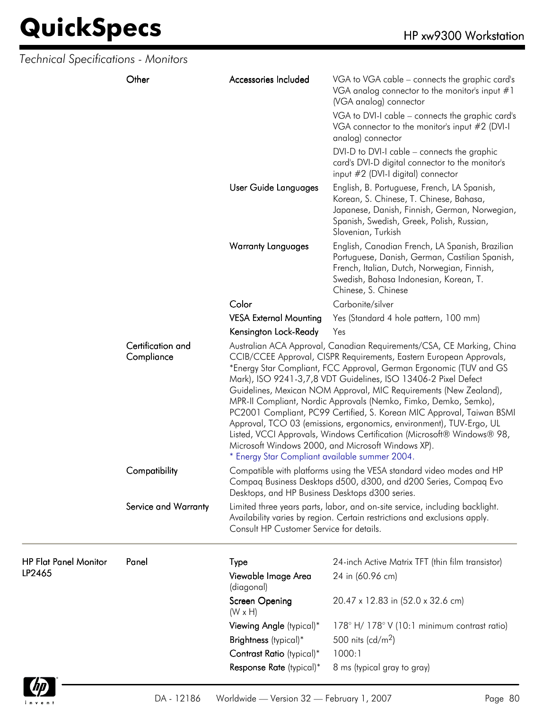| <b>Technical Specifications - Monitors</b> |                                 |                                                 |                                                                                                                                                                                                                                                                                                                                                                                                                                                                                                                                                                                                                                                                                                               |  |
|--------------------------------------------|---------------------------------|-------------------------------------------------|---------------------------------------------------------------------------------------------------------------------------------------------------------------------------------------------------------------------------------------------------------------------------------------------------------------------------------------------------------------------------------------------------------------------------------------------------------------------------------------------------------------------------------------------------------------------------------------------------------------------------------------------------------------------------------------------------------------|--|
|                                            | Other                           | Accessories Included                            | VGA to VGA cable – connects the graphic card's<br>VGA analog connector to the monitor's input $#1$<br>(VGA analog) connector                                                                                                                                                                                                                                                                                                                                                                                                                                                                                                                                                                                  |  |
|                                            |                                 |                                                 | VGA to DVI-I cable - connects the graphic card's<br>VGA connector to the monitor's input #2 (DVI-I<br>analog) connector                                                                                                                                                                                                                                                                                                                                                                                                                                                                                                                                                                                       |  |
|                                            |                                 |                                                 | DVI-D to DVI-I cable – connects the graphic<br>card's DVI-D digital connector to the monitor's<br>input #2 (DVI-I digital) connector                                                                                                                                                                                                                                                                                                                                                                                                                                                                                                                                                                          |  |
|                                            |                                 | User Guide Languages                            | English, B. Portuguese, French, LA Spanish,<br>Korean, S. Chinese, T. Chinese, Bahasa,<br>Japanese, Danish, Finnish, German, Norwegian,<br>Spanish, Swedish, Greek, Polish, Russian,<br>Slovenian, Turkish                                                                                                                                                                                                                                                                                                                                                                                                                                                                                                    |  |
|                                            |                                 | <b>Warranty Languages</b>                       | English, Canadian French, LA Spanish, Brazilian<br>Portuguese, Danish, German, Castilian Spanish,<br>French, Italian, Dutch, Norwegian, Finnish,<br>Swedish, Bahasa Indonesian, Korean, T.<br>Chinese, S. Chinese                                                                                                                                                                                                                                                                                                                                                                                                                                                                                             |  |
|                                            |                                 | Color                                           | Carbonite/silver                                                                                                                                                                                                                                                                                                                                                                                                                                                                                                                                                                                                                                                                                              |  |
|                                            |                                 | <b>VESA External Mounting</b>                   | Yes (Standard 4 hole pattern, 100 mm)                                                                                                                                                                                                                                                                                                                                                                                                                                                                                                                                                                                                                                                                         |  |
|                                            |                                 | Kensington Lock-Ready                           | Yes                                                                                                                                                                                                                                                                                                                                                                                                                                                                                                                                                                                                                                                                                                           |  |
|                                            | Certification and<br>Compliance | * Energy Star Compliant available summer 2004.  | Australian ACA Approval, Canadian Requirements/CSA, CE Marking, China<br>CCIB/CCEE Approval, CISPR Requirements, Eastern European Approvals,<br>*Energy Star Compliant, FCC Approval, German Ergonomic (TUV and GS<br>Mark), ISO 9241-3,7,8 VDT Guidelines, ISO 13406-2 Pixel Defect<br>Guidelines, Mexican NOM Approval, MIC Requirements (New Zealand),<br>MPR-II Compliant, Nordic Approvals (Nemko, Fimko, Demko, Semko),<br>PC2001 Compliant, PC99 Certified, S. Korean MIC Approval, Taiwan BSMI<br>Approval, TCO 03 (emissions, ergonomics, environment), TUV-Ergo, UL<br>Listed, VCCI Approvals, Windows Certification (Microsoft® Windows® 98,<br>Microsoft Windows 2000, and Microsoft Windows XP). |  |
|                                            | Compatibility                   | Desktops, and HP Business Desktops d300 series. | Compatible with platforms using the VESA standard video modes and HP<br>Compaq Business Desktops d500, d300, and d200 Series, Compaq Evo                                                                                                                                                                                                                                                                                                                                                                                                                                                                                                                                                                      |  |
|                                            | Service and Warranty            | Consult HP Customer Service for details.        | Limited three years parts, labor, and on-site service, including backlight.<br>Availability varies by region. Certain restrictions and exclusions apply.                                                                                                                                                                                                                                                                                                                                                                                                                                                                                                                                                      |  |
| <b>HP Flat Panel Monitor</b><br>LP2465     | Panel                           | Type<br>Viewable Image Area                     | 24-inch Active Matrix TFT (thin film transistor)<br>24 in (60.96 cm)                                                                                                                                                                                                                                                                                                                                                                                                                                                                                                                                                                                                                                          |  |
|                                            |                                 | (diagonal)<br>Screen Opening<br>$(W \times H)$  | 20.47 x 12.83 in (52.0 x 32.6 cm)                                                                                                                                                                                                                                                                                                                                                                                                                                                                                                                                                                                                                                                                             |  |
|                                            |                                 | Viewing Angle (typical)*                        | 178° H/178° V (10:1 minimum contrast ratio)                                                                                                                                                                                                                                                                                                                                                                                                                                                                                                                                                                                                                                                                   |  |
|                                            |                                 | Brightness (typical)*                           | 500 nits (cd/m <sup>2</sup> )                                                                                                                                                                                                                                                                                                                                                                                                                                                                                                                                                                                                                                                                                 |  |
|                                            |                                 | Contrast Ratio (typical)*                       | 1000:1                                                                                                                                                                                                                                                                                                                                                                                                                                                                                                                                                                                                                                                                                                        |  |
|                                            |                                 | Response Rate (typical)*                        | 8 ms (typical gray to gray)                                                                                                                                                                                                                                                                                                                                                                                                                                                                                                                                                                                                                                                                                   |  |
|                                            |                                 |                                                 |                                                                                                                                                                                                                                                                                                                                                                                                                                                                                                                                                                                                                                                                                                               |  |

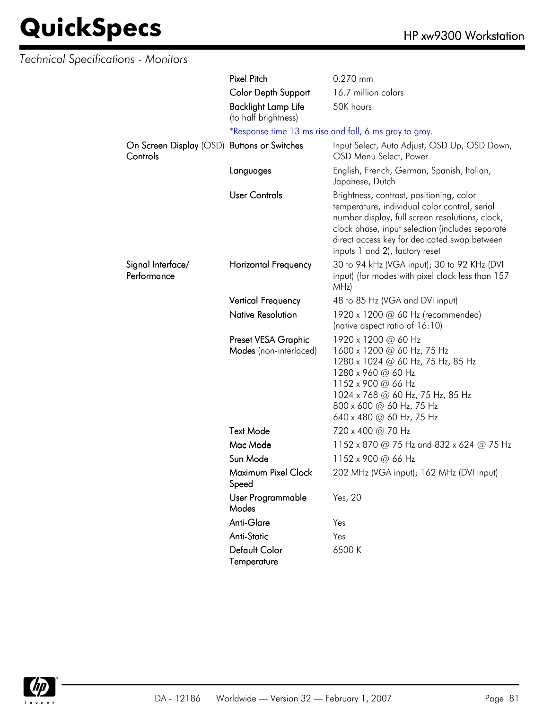| <b>Technical Specifications - Monitors</b> |                                                    |                                                                                                                                                                                                                                                                                   |
|--------------------------------------------|----------------------------------------------------|-----------------------------------------------------------------------------------------------------------------------------------------------------------------------------------------------------------------------------------------------------------------------------------|
|                                            | <b>Pixel Pitch</b>                                 | 0.270 mm                                                                                                                                                                                                                                                                          |
|                                            | Color Depth Support                                | 16.7 million colors                                                                                                                                                                                                                                                               |
|                                            | <b>Backlight Lamp Life</b><br>(to half brightness) | 50K hours                                                                                                                                                                                                                                                                         |
|                                            |                                                    | *Response time 13 ms rise and fall, 6 ms gray to gray.                                                                                                                                                                                                                            |
| On Screen Display (OSD)<br>Controls        | <b>Buttons or Switches</b>                         | Input Select, Auto Adjust, OSD Up, OSD Down,<br>OSD Menu Select, Power                                                                                                                                                                                                            |
|                                            | Languages                                          | English, French, German, Spanish, Italian,<br>Japanese, Dutch                                                                                                                                                                                                                     |
|                                            | <b>User Controls</b>                               | Brightness, contrast, positioning, color<br>temperature, individual color control, serial<br>number display, full screen resolutions, clock,<br>clock phase, input selection (includes separate<br>direct access key for dedicated swap between<br>inputs 1 and 2), factory reset |
| Signal Interface/<br>Performance           | Horizontal Frequency                               | 30 to 94 kHz (VGA input); 30 to 92 KHz (DVI<br>input) (for modes with pixel clock less than 157<br>MHz)                                                                                                                                                                           |
|                                            | <b>Vertical Frequency</b>                          | 48 to 85 Hz (VGA and DVI input)                                                                                                                                                                                                                                                   |
|                                            | <b>Native Resolution</b>                           | 1920 x 1200 @ 60 Hz (recommended)<br>(native aspect ratio of 16:10)                                                                                                                                                                                                               |
|                                            | Preset VESA Graphic<br>Modes (non-interlaced)      | 1920 x 1200 @ 60 Hz<br>1600 x 1200 @ 60 Hz, 75 Hz<br>1280 x 1024 @ 60 Hz, 75 Hz, 85 Hz<br>1280 x 960 @ 60 Hz<br>1152 x 900 @ 66 Hz<br>1024 x 768 @ 60 Hz, 75 Hz, 85 Hz<br>800 x 600 @ 60 Hz, 75 Hz<br>640 x 480 $\omega$ 60 Hz, 75 Hz                                             |
|                                            | <b>Text Mode</b>                                   | 720 x 400 @ 70 Hz                                                                                                                                                                                                                                                                 |
|                                            | Mac Mode                                           | 1152 x 870 @ 75 Hz and 832 x 624 @ 75 Hz                                                                                                                                                                                                                                          |
|                                            | Sun Mode                                           | 1152 x 900 @ 66 Hz                                                                                                                                                                                                                                                                |
|                                            | Maximum Pixel Clock<br>Speed                       | 202 MHz (VGA input); 162 MHz (DVI input)                                                                                                                                                                                                                                          |
|                                            | User Programmable<br>Modes                         | Yes, 20                                                                                                                                                                                                                                                                           |
|                                            | Anti-Glare                                         | Yes                                                                                                                                                                                                                                                                               |
|                                            | <b>Anti-Static</b>                                 | Yes                                                                                                                                                                                                                                                                               |
|                                            | <b>Default Color</b><br>Temperature                | 6500K                                                                                                                                                                                                                                                                             |

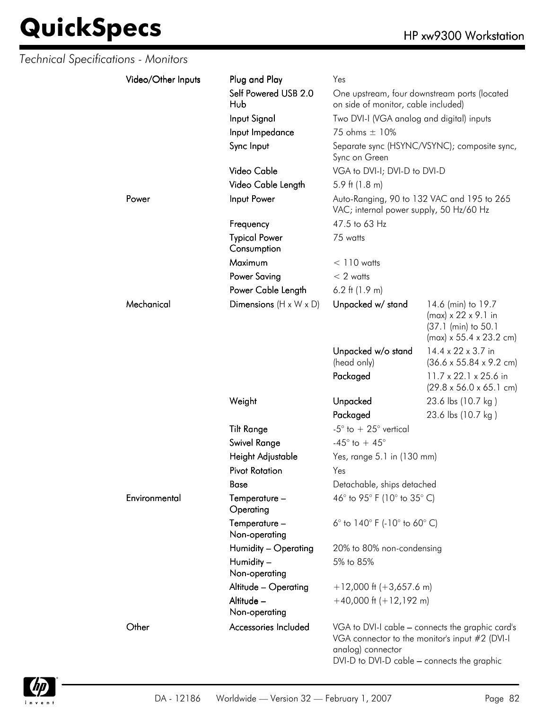| Technical Specifications - Monitors |                    |                                     |                                                                      |                                                                                                                     |
|-------------------------------------|--------------------|-------------------------------------|----------------------------------------------------------------------|---------------------------------------------------------------------------------------------------------------------|
|                                     | Video/Other Inputs | Plug and Play                       | Yes                                                                  |                                                                                                                     |
|                                     |                    | Self Powered USB 2.0<br>Hub         | on side of monitor, cable included)                                  | One upstream, four downstream ports (located                                                                        |
|                                     |                    | Input Signal                        | Two DVI-I (VGA analog and digital) inputs                            |                                                                                                                     |
|                                     |                    | Input Impedance                     | 75 ohms $\pm$ 10%                                                    |                                                                                                                     |
|                                     |                    | Sync Input                          | Sync on Green                                                        | Separate sync (HSYNC/VSYNC); composite sync,                                                                        |
|                                     |                    | Video Cable                         | VGA to DVI-I; DVI-D to DVI-D                                         |                                                                                                                     |
|                                     |                    | Video Cable Length                  | 5.9 ft $(1.8 \text{ m})$                                             |                                                                                                                     |
|                                     | Power              | Input Power                         | VAC; internal power supply, 50 Hz/60 Hz                              | Auto-Ranging, 90 to 132 VAC and 195 to 265                                                                          |
|                                     |                    | Frequency                           | 47.5 to 63 Hz                                                        |                                                                                                                     |
|                                     |                    | <b>Typical Power</b><br>Consumption | 75 watts                                                             |                                                                                                                     |
|                                     |                    | Maximum                             | $< 110$ watts                                                        |                                                                                                                     |
|                                     |                    | <b>Power Saving</b>                 | $< 2$ watts                                                          |                                                                                                                     |
|                                     |                    | Power Cable Length                  | 6.2 ft $(1.9 m)$                                                     |                                                                                                                     |
|                                     | Mechanical         | Dimensions $(H \times W \times D)$  | Unpacked w/ stand                                                    | 14.6 (min) to 19.7<br>$(max) \times 22 \times 9.1$ in<br>(37.1 (min) to 50.1<br>$(max) \times 55.4 \times 23.2$ cm) |
|                                     |                    |                                     | Unpacked w/o stand<br>(head only)                                    | 14.4 x 22 x 3.7 in<br>$(36.6 \times 55.84 \times 9.2 \text{ cm})$                                                   |
|                                     |                    |                                     | Packaged                                                             | 11.7 x 22.1 x 25.6 in<br>$(29.8 \times 56.0 \times 65.1 \text{ cm})$                                                |
|                                     |                    | Weight                              | Unpacked                                                             | 23.6 lbs (10.7 kg)                                                                                                  |
|                                     |                    |                                     | Packaged                                                             | 23.6 lbs (10.7 kg)                                                                                                  |
|                                     |                    | <b>Tilt Range</b>                   | -5 $^{\circ}$ to $+25^{\circ}$ vertical                              |                                                                                                                     |
|                                     |                    | Swivel Range                        | -45 $^{\circ}$ to + 45 $^{\circ}$                                    |                                                                                                                     |
|                                     |                    | Height Adjustable                   | Yes, range 5.1 in (130 mm)                                           |                                                                                                                     |
|                                     |                    | <b>Pivot Rotation</b>               | Yes                                                                  |                                                                                                                     |
|                                     |                    | <b>Base</b>                         | Detachable, ships detached                                           |                                                                                                                     |
|                                     | Environmental      | Temperature -<br>Operating          | 46° to 95° F (10° to 35° C)                                          |                                                                                                                     |
|                                     |                    | Temperature -<br>Non-operating      | 6 $^{\circ}$ to 140 $^{\circ}$ F (-10 $^{\circ}$ to 60 $^{\circ}$ C) |                                                                                                                     |
|                                     |                    | Humidity - Operating                | 20% to 80% non-condensing                                            |                                                                                                                     |
|                                     |                    | Humidity -<br>Non-operating         | 5% to 85%                                                            |                                                                                                                     |
|                                     |                    | Altitude - Operating                | $+12,000$ ft (+3,657.6 m)                                            |                                                                                                                     |
|                                     |                    | Altitude -<br>Non-operating         | $+40,000$ ft $(+12,192$ m)                                           |                                                                                                                     |
|                                     | Other              | Accessories Included                | analog) connector<br>DVI-D to DVI-D cable - connects the graphic     | VGA to DVI-I cable - connects the graphic card's<br>VGA connector to the monitor's input #2 (DVI-I                  |

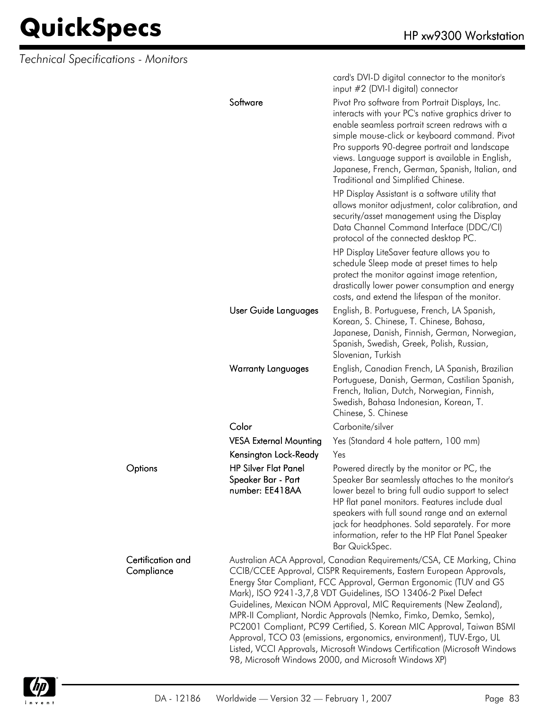*Technical Specifications - Monitors*

|                                 |                                                                      | card's DVI-D digital connector to the monitor's<br>input #2 (DVI-I digital) connector                                                                                                                                                                                                                                                                                                                                                                                                                                                                                                                                                                                                                               |
|---------------------------------|----------------------------------------------------------------------|---------------------------------------------------------------------------------------------------------------------------------------------------------------------------------------------------------------------------------------------------------------------------------------------------------------------------------------------------------------------------------------------------------------------------------------------------------------------------------------------------------------------------------------------------------------------------------------------------------------------------------------------------------------------------------------------------------------------|
|                                 | Software                                                             | Pivot Pro software from Portrait Displays, Inc.<br>interacts with your PC's native graphics driver to<br>enable seamless portrait screen redraws with a<br>simple mouse-click or keyboard command. Pivot<br>Pro supports 90-degree portrait and landscape<br>views. Language support is available in English,<br>Japanese, French, German, Spanish, Italian, and<br>Traditional and Simplified Chinese.                                                                                                                                                                                                                                                                                                             |
|                                 |                                                                      | HP Display Assistant is a software utility that<br>allows monitor adjustment, color calibration, and<br>security/asset management using the Display<br>Data Channel Command Interface (DDC/CI)<br>protocol of the connected desktop PC.                                                                                                                                                                                                                                                                                                                                                                                                                                                                             |
|                                 |                                                                      | HP Display LiteSaver feature allows you to<br>schedule Sleep mode at preset times to help<br>protect the monitor against image retention,<br>drastically lower power consumption and energy<br>costs, and extend the lifespan of the monitor.                                                                                                                                                                                                                                                                                                                                                                                                                                                                       |
|                                 | User Guide Languages                                                 | English, B. Portuguese, French, LA Spanish,<br>Korean, S. Chinese, T. Chinese, Bahasa,<br>Japanese, Danish, Finnish, German, Norwegian,<br>Spanish, Swedish, Greek, Polish, Russian,<br>Slovenian, Turkish                                                                                                                                                                                                                                                                                                                                                                                                                                                                                                          |
|                                 | <b>Warranty Languages</b>                                            | English, Canadian French, LA Spanish, Brazilian<br>Portuguese, Danish, German, Castilian Spanish,<br>French, Italian, Dutch, Norwegian, Finnish,<br>Swedish, Bahasa Indonesian, Korean, T.<br>Chinese, S. Chinese                                                                                                                                                                                                                                                                                                                                                                                                                                                                                                   |
|                                 | Color                                                                | Carbonite/silver                                                                                                                                                                                                                                                                                                                                                                                                                                                                                                                                                                                                                                                                                                    |
|                                 | <b>VESA External Mounting</b>                                        | Yes (Standard 4 hole pattern, 100 mm)                                                                                                                                                                                                                                                                                                                                                                                                                                                                                                                                                                                                                                                                               |
|                                 | Kensington Lock-Ready                                                | Yes                                                                                                                                                                                                                                                                                                                                                                                                                                                                                                                                                                                                                                                                                                                 |
| Options                         | <b>HP Silver Flat Panel</b><br>Speaker Bar - Part<br>number: EE418AA | Powered directly by the monitor or PC, the<br>Speaker Bar seamlessly attaches to the monitor's<br>lower bezel to bring full audio support to select<br>HP flat panel monitors. Features include dual<br>speakers with full sound range and an external<br>jack for headphones. Sold separately. For more<br>information, refer to the HP Flat Panel Speaker<br>Bar QuickSpec.                                                                                                                                                                                                                                                                                                                                       |
| Certification and<br>Compliance |                                                                      | Australian ACA Approval, Canadian Requirements/CSA, CE Marking, China<br>CCIB/CCEE Approval, CISPR Requirements, Eastern European Approvals,<br>Energy Star Compliant, FCC Approval, German Ergonomic (TUV and GS<br>Mark), ISO 9241-3,7,8 VDT Guidelines, ISO 13406-2 Pixel Defect<br>Guidelines, Mexican NOM Approval, MIC Requirements (New Zealand),<br>MPR-II Compliant, Nordic Approvals (Nemko, Fimko, Demko, Semko),<br>PC2001 Compliant, PC99 Certified, S. Korean MIC Approval, Taiwan BSMI<br>Approval, TCO 03 (emissions, ergonomics, environment), TUV-Ergo, UL<br>Listed, VCCI Approvals, Microsoft Windows Certification (Microsoft Windows<br>98, Microsoft Windows 2000, and Microsoft Windows XP) |